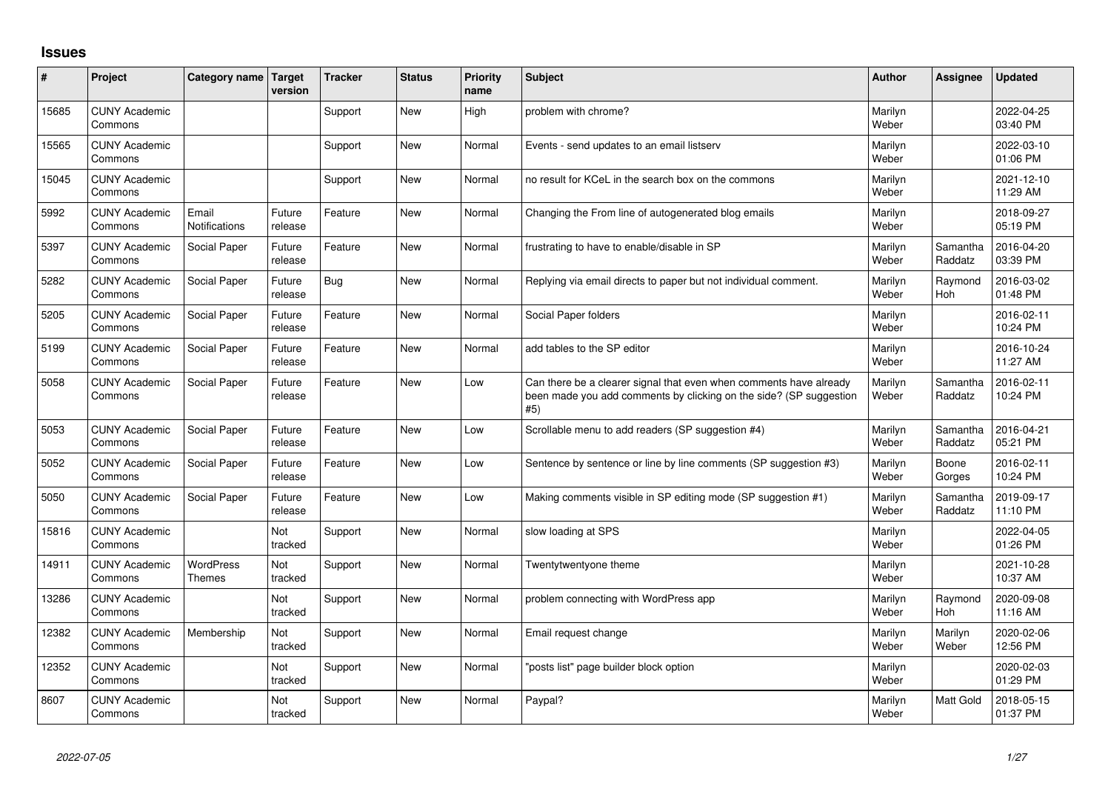## **Issues**

| #     | Project                         | Category name                     | Target<br>version | <b>Tracker</b> | <b>Status</b> | <b>Priority</b><br>name | <b>Subject</b>                                                                                                                                  | <b>Author</b>    | Assignee              | <b>Updated</b>         |
|-------|---------------------------------|-----------------------------------|-------------------|----------------|---------------|-------------------------|-------------------------------------------------------------------------------------------------------------------------------------------------|------------------|-----------------------|------------------------|
| 15685 | <b>CUNY Academic</b><br>Commons |                                   |                   | Support        | New           | High                    | problem with chrome?                                                                                                                            | Marilyn<br>Weber |                       | 2022-04-25<br>03:40 PM |
| 15565 | <b>CUNY Academic</b><br>Commons |                                   |                   | Support        | <b>New</b>    | Normal                  | Events - send updates to an email listserv                                                                                                      | Marilyn<br>Weber |                       | 2022-03-10<br>01:06 PM |
| 15045 | <b>CUNY Academic</b><br>Commons |                                   |                   | Support        | New           | Normal                  | no result for KCeL in the search box on the commons                                                                                             | Marilyn<br>Weber |                       | 2021-12-10<br>11:29 AM |
| 5992  | <b>CUNY Academic</b><br>Commons | Email<br>Notifications            | Future<br>release | Feature        | New           | Normal                  | Changing the From line of autogenerated blog emails                                                                                             | Marilyn<br>Weber |                       | 2018-09-27<br>05:19 PM |
| 5397  | <b>CUNY Academic</b><br>Commons | Social Paper                      | Future<br>release | Feature        | <b>New</b>    | Normal                  | frustrating to have to enable/disable in SP                                                                                                     | Marilyn<br>Weber | Samantha<br>Raddatz   | 2016-04-20<br>03:39 PM |
| 5282  | <b>CUNY Academic</b><br>Commons | Social Paper                      | Future<br>release | <b>Bug</b>     | <b>New</b>    | Normal                  | Replying via email directs to paper but not individual comment.                                                                                 | Marilyn<br>Weber | Raymond<br><b>Hoh</b> | 2016-03-02<br>01:48 PM |
| 5205  | <b>CUNY Academic</b><br>Commons | Social Paper                      | Future<br>release | Feature        | New           | Normal                  | Social Paper folders                                                                                                                            | Marilyn<br>Weber |                       | 2016-02-11<br>10:24 PM |
| 5199  | <b>CUNY Academic</b><br>Commons | Social Paper                      | Future<br>release | Feature        | <b>New</b>    | Normal                  | add tables to the SP editor                                                                                                                     | Marilyn<br>Weber |                       | 2016-10-24<br>11:27 AM |
| 5058  | <b>CUNY Academic</b><br>Commons | Social Paper                      | Future<br>release | Feature        | New           | Low                     | Can there be a clearer signal that even when comments have already<br>been made you add comments by clicking on the side? (SP suggestion<br>#5) | Marilyn<br>Weber | Samantha<br>Raddatz   | 2016-02-11<br>10:24 PM |
| 5053  | <b>CUNY Academic</b><br>Commons | Social Paper                      | Future<br>release | Feature        | <b>New</b>    | Low                     | Scrollable menu to add readers (SP suggestion #4)                                                                                               | Marilyn<br>Weber | Samantha<br>Raddatz   | 2016-04-21<br>05:21 PM |
| 5052  | <b>CUNY Academic</b><br>Commons | Social Paper                      | Future<br>release | Feature        | <b>New</b>    | Low                     | Sentence by sentence or line by line comments (SP suggestion #3)                                                                                | Marilyn<br>Weber | Boone<br>Gorges       | 2016-02-11<br>10:24 PM |
| 5050  | <b>CUNY Academic</b><br>Commons | Social Paper                      | Future<br>release | Feature        | <b>New</b>    | Low                     | Making comments visible in SP editing mode (SP suggestion #1)                                                                                   | Marilyn<br>Weber | Samantha<br>Raddatz   | 2019-09-17<br>11:10 PM |
| 15816 | <b>CUNY Academic</b><br>Commons |                                   | Not<br>tracked    | Support        | <b>New</b>    | Normal                  | slow loading at SPS                                                                                                                             | Marilyn<br>Weber |                       | 2022-04-05<br>01:26 PM |
| 14911 | <b>CUNY Academic</b><br>Commons | <b>WordPress</b><br><b>Themes</b> | Not<br>tracked    | Support        | <b>New</b>    | Normal                  | Twentytwentyone theme                                                                                                                           | Marilyn<br>Weber |                       | 2021-10-28<br>10:37 AM |
| 13286 | <b>CUNY Academic</b><br>Commons |                                   | Not<br>tracked    | Support        | <b>New</b>    | Normal                  | problem connecting with WordPress app                                                                                                           | Marilyn<br>Weber | Raymond<br>Hoh        | 2020-09-08<br>11:16 AM |
| 12382 | <b>CUNY Academic</b><br>Commons | Membership                        | Not<br>tracked    | Support        | <b>New</b>    | Normal                  | Email request change                                                                                                                            | Marilyn<br>Weber | Marilyn<br>Weber      | 2020-02-06<br>12:56 PM |
| 12352 | <b>CUNY Academic</b><br>Commons |                                   | Not<br>tracked    | Support        | <b>New</b>    | Normal                  | 'posts list" page builder block option                                                                                                          | Marilyn<br>Weber |                       | 2020-02-03<br>01:29 PM |
| 8607  | <b>CUNY Academic</b><br>Commons |                                   | Not<br>tracked    | Support        | <b>New</b>    | Normal                  | Paypal?                                                                                                                                         | Marilyn<br>Weber | <b>Matt Gold</b>      | 2018-05-15<br>01:37 PM |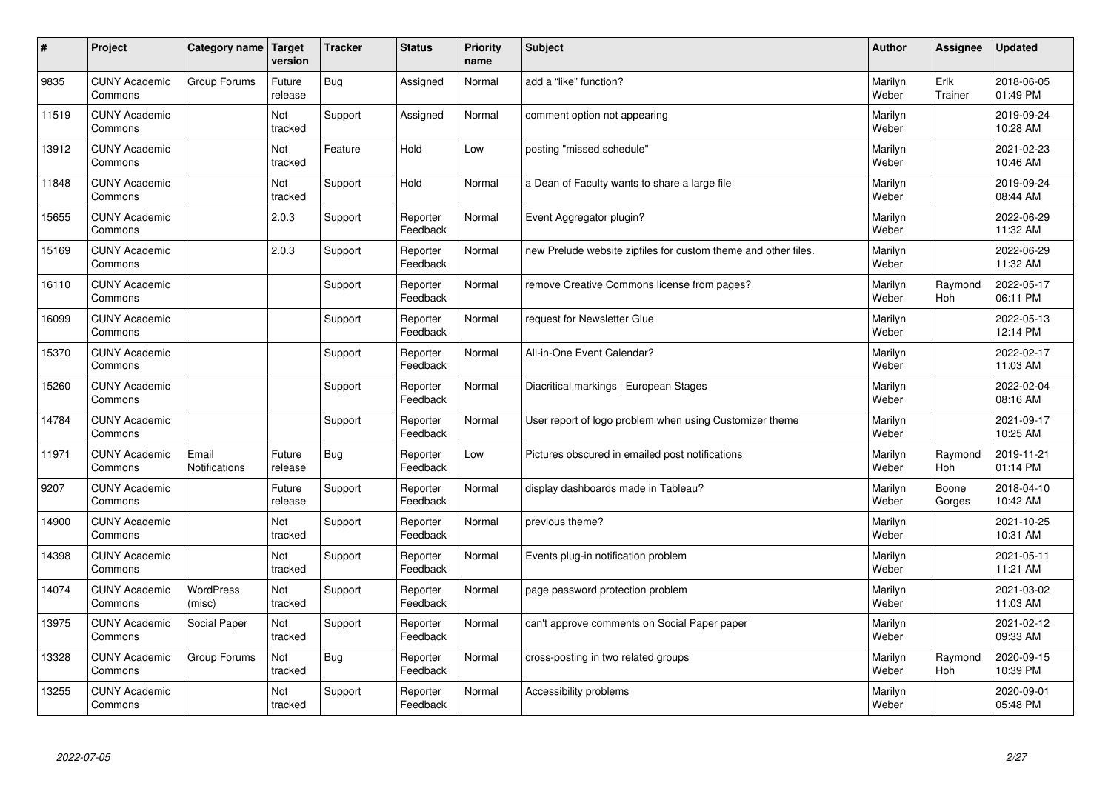| #     | Project                         | Category name                 | <b>Target</b><br>version | <b>Tracker</b> | <b>Status</b>        | <b>Priority</b><br>name | <b>Subject</b>                                                 | <b>Author</b>    | Assignee              | <b>Updated</b>         |
|-------|---------------------------------|-------------------------------|--------------------------|----------------|----------------------|-------------------------|----------------------------------------------------------------|------------------|-----------------------|------------------------|
| 9835  | <b>CUNY Academic</b><br>Commons | Group Forums                  | Future<br>release        | <b>Bug</b>     | Assigned             | Normal                  | add a "like" function?                                         | Marilyn<br>Weber | Erik<br>Trainer       | 2018-06-05<br>01:49 PM |
| 11519 | <b>CUNY Academic</b><br>Commons |                               | Not<br>tracked           | Support        | Assigned             | Normal                  | comment option not appearing                                   | Marilyn<br>Weber |                       | 2019-09-24<br>10:28 AM |
| 13912 | <b>CUNY Academic</b><br>Commons |                               | Not<br>tracked           | Feature        | Hold                 | Low                     | posting "missed schedule"                                      | Marilyn<br>Weber |                       | 2021-02-23<br>10:46 AM |
| 11848 | <b>CUNY Academic</b><br>Commons |                               | Not<br>tracked           | Support        | Hold                 | Normal                  | a Dean of Faculty wants to share a large file                  | Marilyn<br>Weber |                       | 2019-09-24<br>08:44 AM |
| 15655 | <b>CUNY Academic</b><br>Commons |                               | 2.0.3                    | Support        | Reporter<br>Feedback | Normal                  | Event Aggregator plugin?                                       | Marilyn<br>Weber |                       | 2022-06-29<br>11:32 AM |
| 15169 | <b>CUNY Academic</b><br>Commons |                               | 2.0.3                    | Support        | Reporter<br>Feedback | Normal                  | new Prelude website zipfiles for custom theme and other files. | Marilyn<br>Weber |                       | 2022-06-29<br>11:32 AM |
| 16110 | <b>CUNY Academic</b><br>Commons |                               |                          | Support        | Reporter<br>Feedback | Normal                  | remove Creative Commons license from pages?                    | Marilyn<br>Weber | Raymond<br><b>Hoh</b> | 2022-05-17<br>06:11 PM |
| 16099 | <b>CUNY Academic</b><br>Commons |                               |                          | Support        | Reporter<br>Feedback | Normal                  | request for Newsletter Glue                                    | Marilyn<br>Weber |                       | 2022-05-13<br>12:14 PM |
| 15370 | <b>CUNY Academic</b><br>Commons |                               |                          | Support        | Reporter<br>Feedback | Normal                  | All-in-One Event Calendar?                                     | Marilyn<br>Weber |                       | 2022-02-17<br>11:03 AM |
| 15260 | <b>CUNY Academic</b><br>Commons |                               |                          | Support        | Reporter<br>Feedback | Normal                  | Diacritical markings   European Stages                         | Marilyn<br>Weber |                       | 2022-02-04<br>08:16 AM |
| 14784 | <b>CUNY Academic</b><br>Commons |                               |                          | Support        | Reporter<br>Feedback | Normal                  | User report of logo problem when using Customizer theme        | Marilyn<br>Weber |                       | 2021-09-17<br>10:25 AM |
| 11971 | <b>CUNY Academic</b><br>Commons | Email<br><b>Notifications</b> | Future<br>release        | Bug            | Reporter<br>Feedback | Low                     | Pictures obscured in emailed post notifications                | Marilyn<br>Weber | Raymond<br>Hoh        | 2019-11-21<br>01:14 PM |
| 9207  | <b>CUNY Academic</b><br>Commons |                               | Future<br>release        | Support        | Reporter<br>Feedback | Normal                  | display dashboards made in Tableau?                            | Marilyn<br>Weber | Boone<br>Gorges       | 2018-04-10<br>10:42 AM |
| 14900 | <b>CUNY Academic</b><br>Commons |                               | Not<br>tracked           | Support        | Reporter<br>Feedback | Normal                  | previous theme?                                                | Marilyn<br>Weber |                       | 2021-10-25<br>10:31 AM |
| 14398 | <b>CUNY Academic</b><br>Commons |                               | Not<br>tracked           | Support        | Reporter<br>Feedback | Normal                  | Events plug-in notification problem                            | Marilyn<br>Weber |                       | 2021-05-11<br>11:21 AM |
| 14074 | <b>CUNY Academic</b><br>Commons | <b>WordPress</b><br>(misc)    | Not<br>tracked           | Support        | Reporter<br>Feedback | Normal                  | page password protection problem                               | Marilyn<br>Weber |                       | 2021-03-02<br>11:03 AM |
| 13975 | <b>CUNY Academic</b><br>Commons | Social Paper                  | Not<br>tracked           | Support        | Reporter<br>Feedback | Normal                  | can't approve comments on Social Paper paper                   | Marilyn<br>Weber |                       | 2021-02-12<br>09:33 AM |
| 13328 | <b>CUNY Academic</b><br>Commons | Group Forums                  | Not<br>tracked           | <b>Bug</b>     | Reporter<br>Feedback | Normal                  | cross-posting in two related groups                            | Marilyn<br>Weber | Raymond<br>Hoh        | 2020-09-15<br>10:39 PM |
| 13255 | <b>CUNY Academic</b><br>Commons |                               | Not<br>tracked           | Support        | Reporter<br>Feedback | Normal                  | Accessibility problems                                         | Marilyn<br>Weber |                       | 2020-09-01<br>05:48 PM |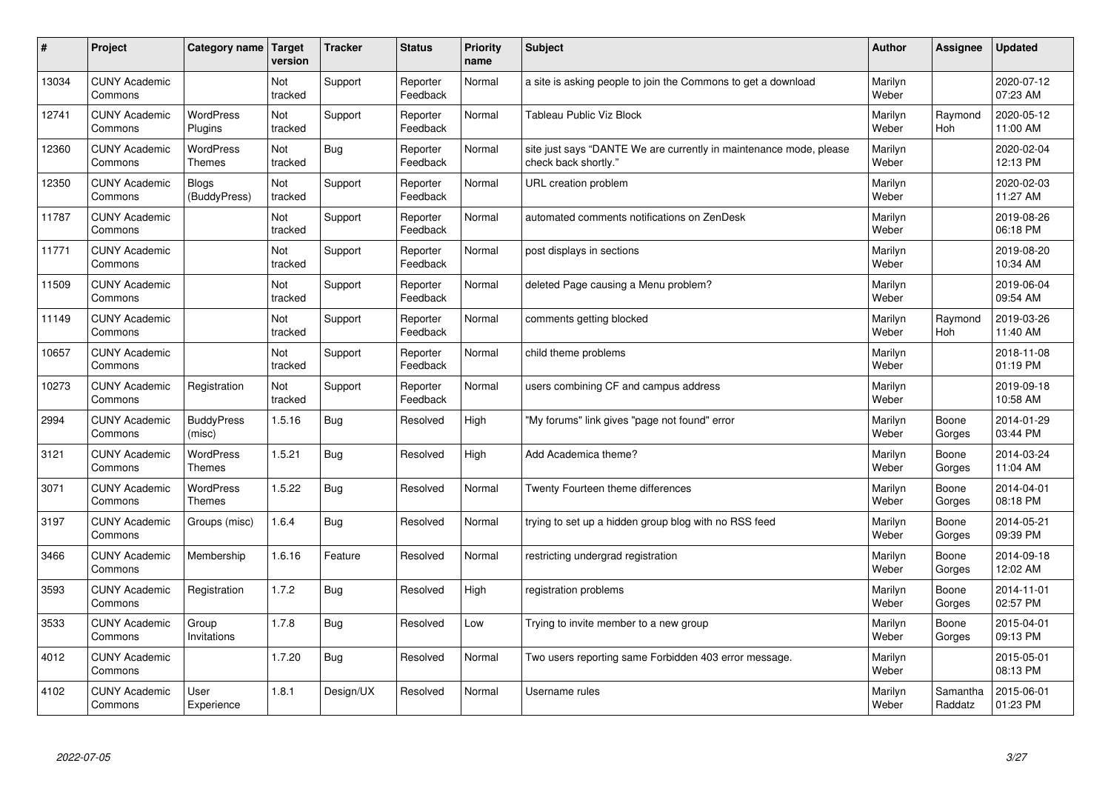| #     | Project                         | Category name                     | Target<br>version | <b>Tracker</b> | <b>Status</b>        | <b>Priority</b><br>name | <b>Subject</b>                                                                             | <b>Author</b>    | Assignee            | <b>Updated</b>         |
|-------|---------------------------------|-----------------------------------|-------------------|----------------|----------------------|-------------------------|--------------------------------------------------------------------------------------------|------------------|---------------------|------------------------|
| 13034 | <b>CUNY Academic</b><br>Commons |                                   | Not<br>tracked    | Support        | Reporter<br>Feedback | Normal                  | a site is asking people to join the Commons to get a download                              | Marilyn<br>Weber |                     | 2020-07-12<br>07:23 AM |
| 12741 | <b>CUNY Academic</b><br>Commons | <b>WordPress</b><br>Plugins       | Not<br>tracked    | Support        | Reporter<br>Feedback | Normal                  | Tableau Public Viz Block                                                                   | Marilyn<br>Weber | Raymond<br>Hoh      | 2020-05-12<br>11:00 AM |
| 12360 | <b>CUNY Academic</b><br>Commons | <b>WordPress</b><br><b>Themes</b> | Not<br>tracked    | Bug            | Reporter<br>Feedback | Normal                  | site just says "DANTE We are currently in maintenance mode, please<br>check back shortly." | Marilyn<br>Weber |                     | 2020-02-04<br>12:13 PM |
| 12350 | <b>CUNY Academic</b><br>Commons | Blogs<br>(BuddyPress)             | Not<br>tracked    | Support        | Reporter<br>Feedback | Normal                  | URL creation problem                                                                       | Marilyn<br>Weber |                     | 2020-02-03<br>11:27 AM |
| 11787 | <b>CUNY Academic</b><br>Commons |                                   | Not<br>tracked    | Support        | Reporter<br>Feedback | Normal                  | automated comments notifications on ZenDesk                                                | Marilyn<br>Weber |                     | 2019-08-26<br>06:18 PM |
| 11771 | <b>CUNY Academic</b><br>Commons |                                   | Not<br>tracked    | Support        | Reporter<br>Feedback | Normal                  | post displays in sections                                                                  | Marilyn<br>Weber |                     | 2019-08-20<br>10:34 AM |
| 11509 | <b>CUNY Academic</b><br>Commons |                                   | Not<br>tracked    | Support        | Reporter<br>Feedback | Normal                  | deleted Page causing a Menu problem?                                                       | Marilyn<br>Weber |                     | 2019-06-04<br>09:54 AM |
| 11149 | <b>CUNY Academic</b><br>Commons |                                   | Not<br>tracked    | Support        | Reporter<br>Feedback | Normal                  | comments getting blocked                                                                   | Marilyn<br>Weber | Raymond<br>Hoh      | 2019-03-26<br>11:40 AM |
| 10657 | <b>CUNY Academic</b><br>Commons |                                   | Not<br>tracked    | Support        | Reporter<br>Feedback | Normal                  | child theme problems                                                                       | Marilyn<br>Weber |                     | 2018-11-08<br>01:19 PM |
| 10273 | <b>CUNY Academic</b><br>Commons | Registration                      | Not<br>tracked    | Support        | Reporter<br>Feedback | Normal                  | users combining CF and campus address                                                      | Marilyn<br>Weber |                     | 2019-09-18<br>10:58 AM |
| 2994  | <b>CUNY Academic</b><br>Commons | <b>BuddyPress</b><br>(misc)       | 1.5.16            | <b>Bug</b>     | Resolved             | High                    | 'My forums" link gives "page not found" error                                              | Marilyn<br>Weber | Boone<br>Gorges     | 2014-01-29<br>03:44 PM |
| 3121  | <b>CUNY Academic</b><br>Commons | <b>WordPress</b><br><b>Themes</b> | 1.5.21            | <b>Bug</b>     | Resolved             | High                    | Add Academica theme?                                                                       | Marilyn<br>Weber | Boone<br>Gorges     | 2014-03-24<br>11:04 AM |
| 3071  | <b>CUNY Academic</b><br>Commons | <b>WordPress</b><br><b>Themes</b> | 1.5.22            | <b>Bug</b>     | Resolved             | Normal                  | Twenty Fourteen theme differences                                                          | Marilyn<br>Weber | Boone<br>Gorges     | 2014-04-01<br>08:18 PM |
| 3197  | <b>CUNY Academic</b><br>Commons | Groups (misc)                     | 1.6.4             | <b>Bug</b>     | Resolved             | Normal                  | trying to set up a hidden group blog with no RSS feed                                      | Marilyn<br>Weber | Boone<br>Gorges     | 2014-05-21<br>09:39 PM |
| 3466  | <b>CUNY Academic</b><br>Commons | Membership                        | 1.6.16            | Feature        | Resolved             | Normal                  | restricting undergrad registration                                                         | Marilyn<br>Weber | Boone<br>Gorges     | 2014-09-18<br>12:02 AM |
| 3593  | <b>CUNY Academic</b><br>Commons | Registration                      | 1.7.2             | Bug            | Resolved             | High                    | registration problems                                                                      | Marilyn<br>Weber | Boone<br>Gorges     | 2014-11-01<br>02:57 PM |
| 3533  | <b>CUNY Academic</b><br>Commons | Group<br>Invitations              | 1.7.8             | Bug            | Resolved             | Low                     | Trying to invite member to a new group                                                     | Marilyn<br>Weber | Boone<br>Gorges     | 2015-04-01<br>09:13 PM |
| 4012  | <b>CUNY Academic</b><br>Commons |                                   | 1.7.20            | Bug            | Resolved             | Normal                  | Two users reporting same Forbidden 403 error message.                                      | Marilyn<br>Weber |                     | 2015-05-01<br>08:13 PM |
| 4102  | <b>CUNY Academic</b><br>Commons | User<br>Experience                | 1.8.1             | Design/UX      | Resolved             | Normal                  | Username rules                                                                             | Marilyn<br>Weber | Samantha<br>Raddatz | 2015-06-01<br>01:23 PM |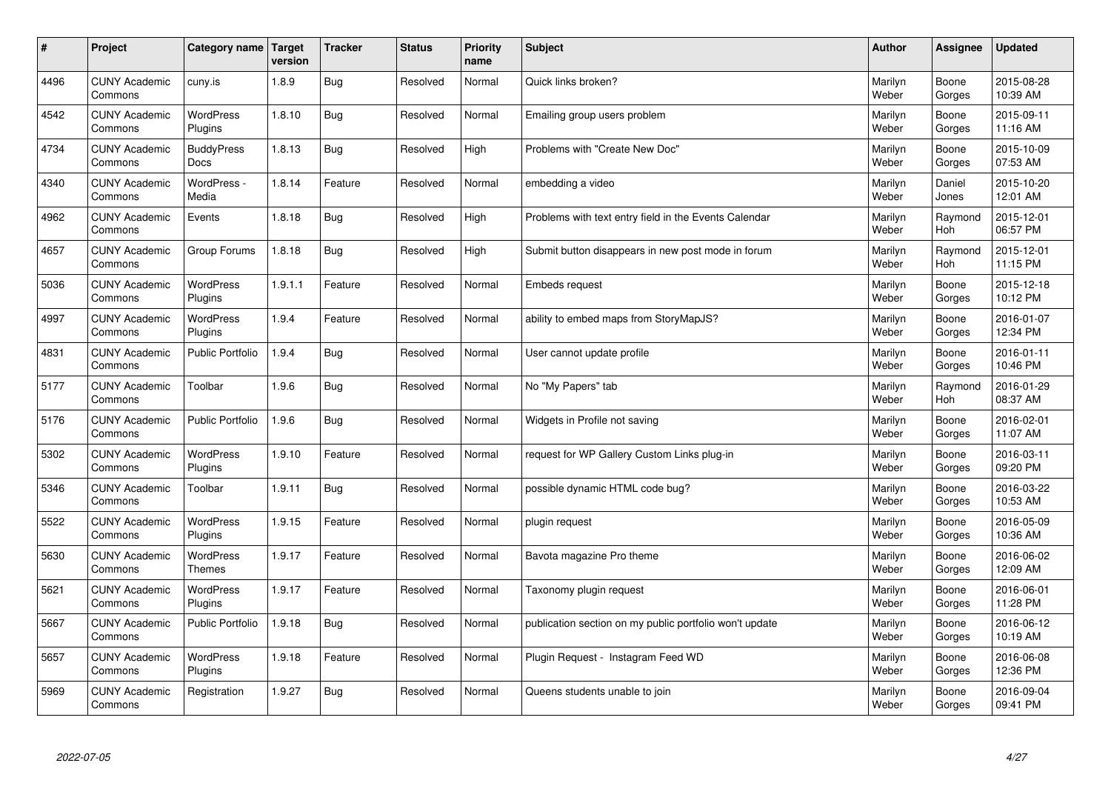| $\sharp$ | Project                         | Category name   Target            | version | <b>Tracker</b> | <b>Status</b> | <b>Priority</b><br>name | <b>Subject</b>                                          | <b>Author</b>    | Assignee              | <b>Updated</b>         |
|----------|---------------------------------|-----------------------------------|---------|----------------|---------------|-------------------------|---------------------------------------------------------|------------------|-----------------------|------------------------|
| 4496     | <b>CUNY Academic</b><br>Commons | cuny.is                           | 1.8.9   | Bug            | Resolved      | Normal                  | Quick links broken?                                     | Marilyn<br>Weber | Boone<br>Gorges       | 2015-08-28<br>10:39 AM |
| 4542     | <b>CUNY Academic</b><br>Commons | <b>WordPress</b><br>Plugins       | 1.8.10  | Bug            | Resolved      | Normal                  | Emailing group users problem                            | Marilyn<br>Weber | Boone<br>Gorges       | 2015-09-11<br>11:16 AM |
| 4734     | <b>CUNY Academic</b><br>Commons | <b>BuddyPress</b><br><b>Docs</b>  | 1.8.13  | Bug            | Resolved      | High                    | Problems with "Create New Doc"                          | Marilyn<br>Weber | Boone<br>Gorges       | 2015-10-09<br>07:53 AM |
| 4340     | <b>CUNY Academic</b><br>Commons | WordPress -<br>Media              | 1.8.14  | Feature        | Resolved      | Normal                  | embedding a video                                       | Marilyn<br>Weber | Daniel<br>Jones       | 2015-10-20<br>12:01 AM |
| 4962     | <b>CUNY Academic</b><br>Commons | Events                            | 1.8.18  | Bug            | Resolved      | High                    | Problems with text entry field in the Events Calendar   | Marilyn<br>Weber | Raymond<br>Hoh        | 2015-12-01<br>06:57 PM |
| 4657     | <b>CUNY Academic</b><br>Commons | Group Forums                      | 1.8.18  | Bug            | Resolved      | High                    | Submit button disappears in new post mode in forum      | Marilyn<br>Weber | Raymond<br><b>Hoh</b> | 2015-12-01<br>11:15 PM |
| 5036     | <b>CUNY Academic</b><br>Commons | WordPress<br>Plugins              | 1.9.1.1 | Feature        | Resolved      | Normal                  | <b>Embeds request</b>                                   | Marilyn<br>Weber | Boone<br>Gorges       | 2015-12-18<br>10:12 PM |
| 4997     | <b>CUNY Academic</b><br>Commons | WordPress<br>Plugins              | 1.9.4   | Feature        | Resolved      | Normal                  | ability to embed maps from StoryMapJS?                  | Marilyn<br>Weber | Boone<br>Gorges       | 2016-01-07<br>12:34 PM |
| 4831     | <b>CUNY Academic</b><br>Commons | <b>Public Portfolio</b>           | 1.9.4   | Bug            | Resolved      | Normal                  | User cannot update profile                              | Marilyn<br>Weber | Boone<br>Gorges       | 2016-01-11<br>10:46 PM |
| 5177     | <b>CUNY Academic</b><br>Commons | Toolbar                           | 1.9.6   | Bug            | Resolved      | Normal                  | No "My Papers" tab                                      | Marilyn<br>Weber | Raymond<br>Hoh        | 2016-01-29<br>08:37 AM |
| 5176     | <b>CUNY Academic</b><br>Commons | Public Portfolio                  | 1.9.6   | Bug            | Resolved      | Normal                  | Widgets in Profile not saving                           | Marilyn<br>Weber | Boone<br>Gorges       | 2016-02-01<br>11:07 AM |
| 5302     | <b>CUNY Academic</b><br>Commons | <b>WordPress</b><br>Plugins       | 1.9.10  | Feature        | Resolved      | Normal                  | request for WP Gallery Custom Links plug-in             | Marilyn<br>Weber | Boone<br>Gorges       | 2016-03-11<br>09:20 PM |
| 5346     | <b>CUNY Academic</b><br>Commons | Toolbar                           | 1.9.11  | Bug            | Resolved      | Normal                  | possible dynamic HTML code bug?                         | Marilyn<br>Weber | Boone<br>Gorges       | 2016-03-22<br>10:53 AM |
| 5522     | <b>CUNY Academic</b><br>Commons | WordPress<br>Plugins              | 1.9.15  | Feature        | Resolved      | Normal                  | plugin request                                          | Marilyn<br>Weber | Boone<br>Gorges       | 2016-05-09<br>10:36 AM |
| 5630     | <b>CUNY Academic</b><br>Commons | <b>WordPress</b><br><b>Themes</b> | 1.9.17  | Feature        | Resolved      | Normal                  | Bavota magazine Pro theme                               | Marilyn<br>Weber | Boone<br>Gorges       | 2016-06-02<br>12:09 AM |
| 5621     | <b>CUNY Academic</b><br>Commons | <b>WordPress</b><br>Plugins       | 1.9.17  | Feature        | Resolved      | Normal                  | Taxonomy plugin request                                 | Marilyn<br>Weber | Boone<br>Gorges       | 2016-06-01<br>11:28 PM |
| 5667     | <b>CUNY Academic</b><br>Commons | Public Portfolio                  | 1.9.18  | Bug            | Resolved      | Normal                  | publication section on my public portfolio won't update | Marilyn<br>Weber | Boone<br>Gorges       | 2016-06-12<br>10:19 AM |
| 5657     | <b>CUNY Academic</b><br>Commons | WordPress<br>Plugins              | 1.9.18  | Feature        | Resolved      | Normal                  | Plugin Request - Instagram Feed WD                      | Marilyn<br>Weber | Boone<br>Gorges       | 2016-06-08<br>12:36 PM |
| 5969     | <b>CUNY Academic</b><br>Commons | Registration                      | 1.9.27  | Bug            | Resolved      | Normal                  | Queens students unable to join                          | Marilyn<br>Weber | Boone<br>Gorges       | 2016-09-04<br>09:41 PM |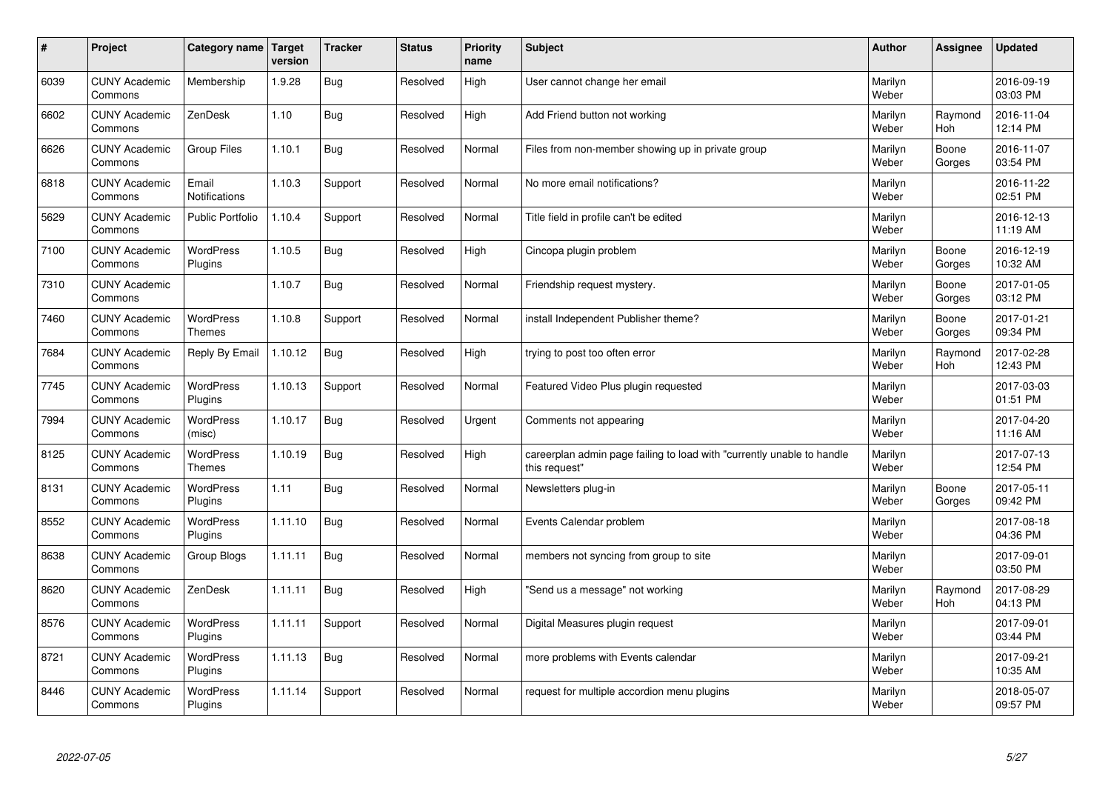| #    | Project                         | Category name   Target            | version | <b>Tracker</b> | <b>Status</b> | <b>Priority</b><br>name | <b>Subject</b>                                                                          | <b>Author</b>    | Assignee              | <b>Updated</b>         |
|------|---------------------------------|-----------------------------------|---------|----------------|---------------|-------------------------|-----------------------------------------------------------------------------------------|------------------|-----------------------|------------------------|
| 6039 | <b>CUNY Academic</b><br>Commons | Membership                        | 1.9.28  | Bug            | Resolved      | High                    | User cannot change her email                                                            | Marilyn<br>Weber |                       | 2016-09-19<br>03:03 PM |
| 6602 | <b>CUNY Academic</b><br>Commons | ZenDesk                           | 1.10    | Bug            | Resolved      | High                    | Add Friend button not working                                                           | Marilyn<br>Weber | Raymond<br><b>Hoh</b> | 2016-11-04<br>12:14 PM |
| 6626 | <b>CUNY Academic</b><br>Commons | Group Files                       | 1.10.1  | Bug            | Resolved      | Normal                  | Files from non-member showing up in private group                                       | Marilyn<br>Weber | Boone<br>Gorges       | 2016-11-07<br>03:54 PM |
| 6818 | <b>CUNY Academic</b><br>Commons | Email<br><b>Notifications</b>     | 1.10.3  | Support        | Resolved      | Normal                  | No more email notifications?                                                            | Marilyn<br>Weber |                       | 2016-11-22<br>02:51 PM |
| 5629 | <b>CUNY Academic</b><br>Commons | <b>Public Portfolio</b>           | 1.10.4  | Support        | Resolved      | Normal                  | Title field in profile can't be edited                                                  | Marilyn<br>Weber |                       | 2016-12-13<br>11:19 AM |
| 7100 | <b>CUNY Academic</b><br>Commons | <b>WordPress</b><br>Plugins       | 1.10.5  | <b>Bug</b>     | Resolved      | High                    | Cincopa plugin problem                                                                  | Marilyn<br>Weber | Boone<br>Gorges       | 2016-12-19<br>10:32 AM |
| 7310 | <b>CUNY Academic</b><br>Commons |                                   | 1.10.7  | Bug            | Resolved      | Normal                  | Friendship request mystery.                                                             | Marilyn<br>Weber | Boone<br>Gorges       | 2017-01-05<br>03:12 PM |
| 7460 | <b>CUNY Academic</b><br>Commons | WordPress<br><b>Themes</b>        | 1.10.8  | Support        | Resolved      | Normal                  | install Independent Publisher theme?                                                    | Marilyn<br>Weber | Boone<br>Gorges       | 2017-01-21<br>09:34 PM |
| 7684 | <b>CUNY Academic</b><br>Commons | Reply By Email                    | 1.10.12 | Bug            | Resolved      | High                    | trying to post too often error                                                          | Marilyn<br>Weber | Raymond<br>Hoh        | 2017-02-28<br>12:43 PM |
| 7745 | <b>CUNY Academic</b><br>Commons | <b>WordPress</b><br>Plugins       | 1.10.13 | Support        | Resolved      | Normal                  | Featured Video Plus plugin requested                                                    | Marilyn<br>Weber |                       | 2017-03-03<br>01:51 PM |
| 7994 | <b>CUNY Academic</b><br>Commons | <b>WordPress</b><br>(misc)        | 1.10.17 | Bug            | Resolved      | Urgent                  | Comments not appearing                                                                  | Marilyn<br>Weber |                       | 2017-04-20<br>11:16 AM |
| 8125 | <b>CUNY Academic</b><br>Commons | <b>WordPress</b><br><b>Themes</b> | 1.10.19 | Bug            | Resolved      | High                    | careerplan admin page failing to load with "currently unable to handle<br>this request" | Marilyn<br>Weber |                       | 2017-07-13<br>12:54 PM |
| 8131 | <b>CUNY Academic</b><br>Commons | <b>WordPress</b><br>Plugins       | 1.11    | Bug            | Resolved      | Normal                  | Newsletters plug-in                                                                     | Marilyn<br>Weber | Boone<br>Gorges       | 2017-05-11<br>09:42 PM |
| 8552 | <b>CUNY Academic</b><br>Commons | WordPress<br>Plugins              | 1.11.10 | Bug            | Resolved      | Normal                  | Events Calendar problem                                                                 | Marilyn<br>Weber |                       | 2017-08-18<br>04:36 PM |
| 8638 | <b>CUNY Academic</b><br>Commons | Group Blogs                       | 1.11.11 | Bug            | Resolved      | Normal                  | members not syncing from group to site                                                  | Marilyn<br>Weber |                       | 2017-09-01<br>03:50 PM |
| 8620 | <b>CUNY Academic</b><br>Commons | ZenDesk                           | 1.11.11 | <b>Bug</b>     | Resolved      | High                    | 'Send us a message" not working                                                         | Marilyn<br>Weber | Raymond<br><b>Hoh</b> | 2017-08-29<br>04:13 PM |
| 8576 | <b>CUNY Academic</b><br>Commons | WordPress<br>Plugins              | 1.11.11 | Support        | Resolved      | Normal                  | Digital Measures plugin request                                                         | Marilyn<br>Weber |                       | 2017-09-01<br>03:44 PM |
| 8721 | <b>CUNY Academic</b><br>Commons | <b>WordPress</b><br>Plugins       | 1.11.13 | Bug            | Resolved      | Normal                  | more problems with Events calendar                                                      | Marilyn<br>Weber |                       | 2017-09-21<br>10:35 AM |
| 8446 | <b>CUNY Academic</b><br>Commons | WordPress<br>Plugins              | 1.11.14 | Support        | Resolved      | Normal                  | request for multiple accordion menu plugins                                             | Marilyn<br>Weber |                       | 2018-05-07<br>09:57 PM |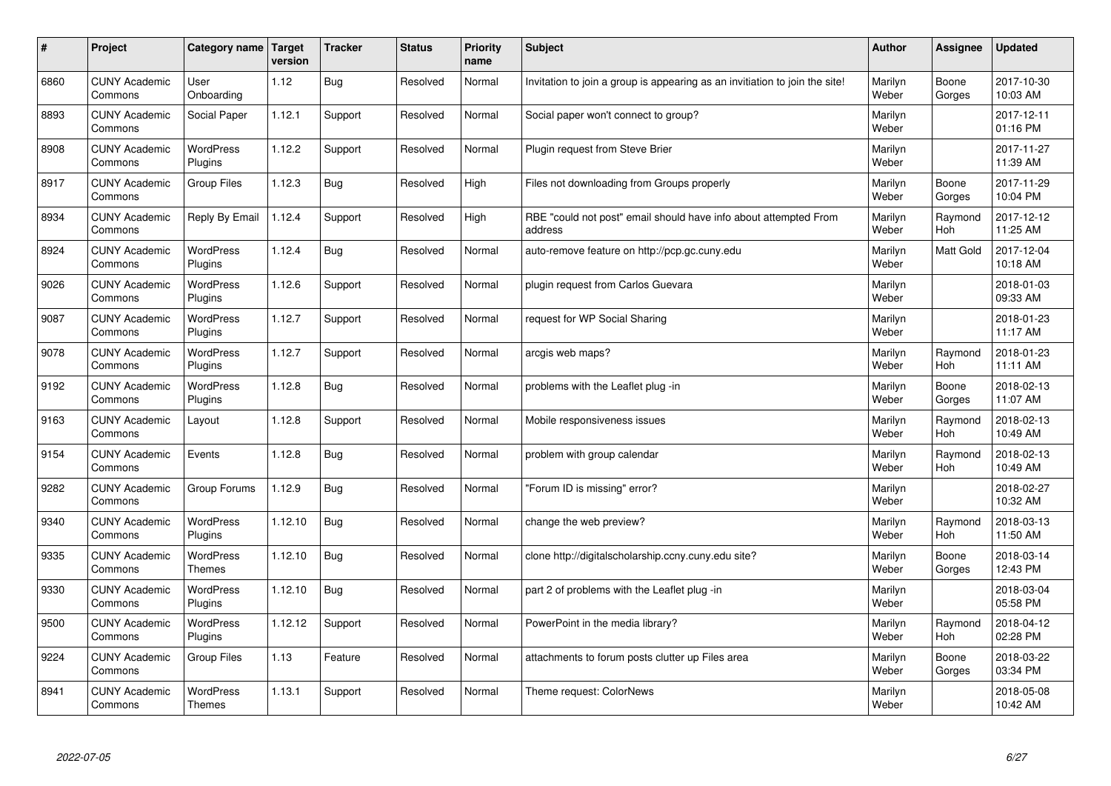| $\sharp$ | Project                         | Category name   Target            | version | <b>Tracker</b> | <b>Status</b> | <b>Priority</b><br>name | <b>Subject</b>                                                              | <b>Author</b>    | Assignee              | <b>Updated</b>         |
|----------|---------------------------------|-----------------------------------|---------|----------------|---------------|-------------------------|-----------------------------------------------------------------------------|------------------|-----------------------|------------------------|
| 6860     | <b>CUNY Academic</b><br>Commons | User<br>Onboarding                | 1.12    | Bug            | Resolved      | Normal                  | Invitation to join a group is appearing as an invitiation to join the site! | Marilyn<br>Weber | Boone<br>Gorges       | 2017-10-30<br>10:03 AM |
| 8893     | <b>CUNY Academic</b><br>Commons | Social Paper                      | 1.12.1  | Support        | Resolved      | Normal                  | Social paper won't connect to group?                                        | Marilyn<br>Weber |                       | 2017-12-11<br>01:16 PM |
| 8908     | <b>CUNY Academic</b><br>Commons | <b>WordPress</b><br>Plugins       | 1.12.2  | Support        | Resolved      | Normal                  | Plugin request from Steve Brier                                             | Marilyn<br>Weber |                       | 2017-11-27<br>11:39 AM |
| 8917     | <b>CUNY Academic</b><br>Commons | Group Files                       | 1.12.3  | Bug            | Resolved      | High                    | Files not downloading from Groups properly                                  | Marilyn<br>Weber | Boone<br>Gorges       | 2017-11-29<br>10:04 PM |
| 8934     | <b>CUNY Academic</b><br>Commons | Reply By Email                    | 1.12.4  | Support        | Resolved      | High                    | RBE "could not post" email should have info about attempted From<br>address | Marilyn<br>Weber | Raymond<br>Hoh        | 2017-12-12<br>11:25 AM |
| 8924     | <b>CUNY Academic</b><br>Commons | WordPress<br>Plugins              | 1.12.4  | Bug            | Resolved      | Normal                  | auto-remove feature on http://pcp.gc.cuny.edu                               | Marilyn<br>Weber | Matt Gold             | 2017-12-04<br>10:18 AM |
| 9026     | <b>CUNY Academic</b><br>Commons | <b>WordPress</b><br>Plugins       | 1.12.6  | Support        | Resolved      | Normal                  | plugin request from Carlos Guevara                                          | Marilyn<br>Weber |                       | 2018-01-03<br>09:33 AM |
| 9087     | <b>CUNY Academic</b><br>Commons | WordPress<br>Plugins              | 1.12.7  | Support        | Resolved      | Normal                  | request for WP Social Sharing                                               | Marilyn<br>Weber |                       | 2018-01-23<br>11:17 AM |
| 9078     | <b>CUNY Academic</b><br>Commons | <b>WordPress</b><br>Plugins       | 1.12.7  | Support        | Resolved      | Normal                  | arcgis web maps?                                                            | Marilyn<br>Weber | Raymond<br><b>Hoh</b> | 2018-01-23<br>11:11 AM |
| 9192     | <b>CUNY Academic</b><br>Commons | WordPress<br>Plugins              | 1.12.8  | Bug            | Resolved      | Normal                  | problems with the Leaflet plug -in                                          | Marilyn<br>Weber | Boone<br>Gorges       | 2018-02-13<br>11:07 AM |
| 9163     | <b>CUNY Academic</b><br>Commons | Layout                            | 1.12.8  | Support        | Resolved      | Normal                  | Mobile responsiveness issues                                                | Marilyn<br>Weber | Raymond<br>Hoh        | 2018-02-13<br>10:49 AM |
| 9154     | <b>CUNY Academic</b><br>Commons | Events                            | 1.12.8  | Bug            | Resolved      | Normal                  | problem with group calendar                                                 | Marilyn<br>Weber | Raymond<br>Hoh        | 2018-02-13<br>10:49 AM |
| 9282     | <b>CUNY Academic</b><br>Commons | Group Forums                      | 1.12.9  | Bug            | Resolved      | Normal                  | 'Forum ID is missing" error?                                                | Marilyn<br>Weber |                       | 2018-02-27<br>10:32 AM |
| 9340     | <b>CUNY Academic</b><br>Commons | WordPress<br>Plugins              | 1.12.10 | Bug            | Resolved      | Normal                  | change the web preview?                                                     | Marilyn<br>Weber | Raymond<br><b>Hoh</b> | 2018-03-13<br>11:50 AM |
| 9335     | <b>CUNY Academic</b><br>Commons | <b>WordPress</b><br><b>Themes</b> | 1.12.10 | Bug            | Resolved      | Normal                  | clone http://digitalscholarship.ccny.cuny.edu site?                         | Marilyn<br>Weber | Boone<br>Gorges       | 2018-03-14<br>12:43 PM |
| 9330     | <b>CUNY Academic</b><br>Commons | <b>WordPress</b><br>Plugins       | 1.12.10 | Bug            | Resolved      | Normal                  | part 2 of problems with the Leaflet plug -in                                | Marilyn<br>Weber |                       | 2018-03-04<br>05:58 PM |
| 9500     | <b>CUNY Academic</b><br>Commons | WordPress<br>Plugins              | 1.12.12 | Support        | Resolved      | Normal                  | PowerPoint in the media library?                                            | Marilyn<br>Weber | Raymond<br><b>Hoh</b> | 2018-04-12<br>02:28 PM |
| 9224     | <b>CUNY Academic</b><br>Commons | <b>Group Files</b>                | 1.13    | Feature        | Resolved      | Normal                  | attachments to forum posts clutter up Files area                            | Marilyn<br>Weber | Boone<br>Gorges       | 2018-03-22<br>03:34 PM |
| 8941     | <b>CUNY Academic</b><br>Commons | <b>WordPress</b><br><b>Themes</b> | 1.13.1  | Support        | Resolved      | Normal                  | Theme request: ColorNews                                                    | Marilyn<br>Weber |                       | 2018-05-08<br>10:42 AM |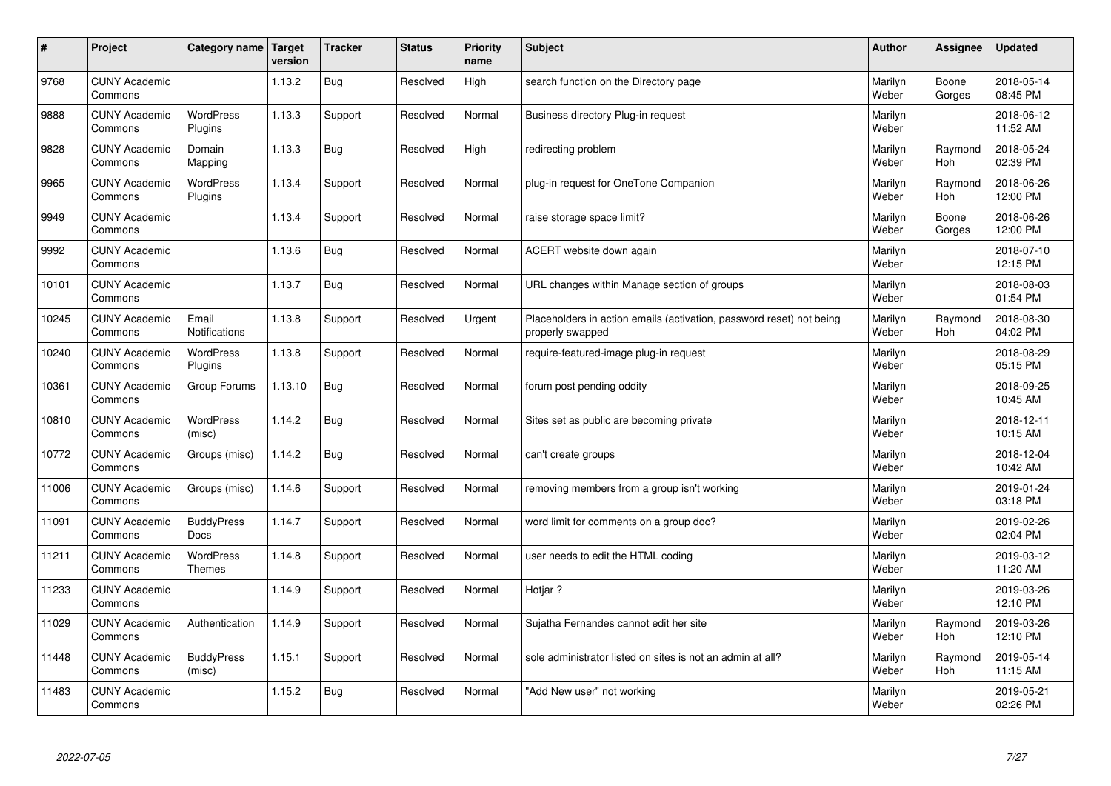| #     | Project                         | Category name   Target        | version | <b>Tracker</b> | <b>Status</b> | <b>Priority</b><br>name | <b>Subject</b>                                                                           | <b>Author</b>    | Assignee              | <b>Updated</b>         |
|-------|---------------------------------|-------------------------------|---------|----------------|---------------|-------------------------|------------------------------------------------------------------------------------------|------------------|-----------------------|------------------------|
| 9768  | <b>CUNY Academic</b><br>Commons |                               | 1.13.2  | <b>Bug</b>     | Resolved      | High                    | search function on the Directory page                                                    | Marilyn<br>Weber | Boone<br>Gorges       | 2018-05-14<br>08:45 PM |
| 9888  | <b>CUNY Academic</b><br>Commons | <b>WordPress</b><br>Plugins   | 1.13.3  | Support        | Resolved      | Normal                  | Business directory Plug-in request                                                       | Marilyn<br>Weber |                       | 2018-06-12<br>11:52 AM |
| 9828  | <b>CUNY Academic</b><br>Commons | Domain<br>Mapping             | 1.13.3  | <b>Bug</b>     | Resolved      | High                    | redirecting problem                                                                      | Marilyn<br>Weber | Raymond<br>Hoh        | 2018-05-24<br>02:39 PM |
| 9965  | <b>CUNY Academic</b><br>Commons | <b>WordPress</b><br>Plugins   | 1.13.4  | Support        | Resolved      | Normal                  | plug-in request for OneTone Companion                                                    | Marilyn<br>Weber | Raymond<br>Hoh        | 2018-06-26<br>12:00 PM |
| 9949  | <b>CUNY Academic</b><br>Commons |                               | 1.13.4  | Support        | Resolved      | Normal                  | raise storage space limit?                                                               | Marilyn<br>Weber | Boone<br>Gorges       | 2018-06-26<br>12:00 PM |
| 9992  | <b>CUNY Academic</b><br>Commons |                               | 1.13.6  | <b>Bug</b>     | Resolved      | Normal                  | ACERT website down again                                                                 | Marilyn<br>Weber |                       | 2018-07-10<br>12:15 PM |
| 10101 | <b>CUNY Academic</b><br>Commons |                               | 1.13.7  | Bug            | Resolved      | Normal                  | URL changes within Manage section of groups                                              | Marilyn<br>Weber |                       | 2018-08-03<br>01:54 PM |
| 10245 | <b>CUNY Academic</b><br>Commons | Email<br><b>Notifications</b> | 1.13.8  | Support        | Resolved      | Urgent                  | Placeholders in action emails (activation, password reset) not being<br>properly swapped | Marilyn<br>Weber | Raymond<br><b>Hoh</b> | 2018-08-30<br>04:02 PM |
| 10240 | <b>CUNY Academic</b><br>Commons | WordPress<br>Plugins          | 1.13.8  | Support        | Resolved      | Normal                  | require-featured-image plug-in request                                                   | Marilyn<br>Weber |                       | 2018-08-29<br>05:15 PM |
| 10361 | <b>CUNY Academic</b><br>Commons | Group Forums                  | 1.13.10 | <b>Bug</b>     | Resolved      | Normal                  | forum post pending oddity                                                                | Marilyn<br>Weber |                       | 2018-09-25<br>10:45 AM |
| 10810 | <b>CUNY Academic</b><br>Commons | WordPress<br>(misc)           | 1.14.2  | <b>Bug</b>     | Resolved      | Normal                  | Sites set as public are becoming private                                                 | Marilyn<br>Weber |                       | 2018-12-11<br>10:15 AM |
| 10772 | <b>CUNY Academic</b><br>Commons | Groups (misc)                 | 1.14.2  | <b>Bug</b>     | Resolved      | Normal                  | can't create groups                                                                      | Marilyn<br>Weber |                       | 2018-12-04<br>10:42 AM |
| 11006 | <b>CUNY Academic</b><br>Commons | Groups (misc)                 | 1.14.6  | Support        | Resolved      | Normal                  | removing members from a group isn't working                                              | Marilyn<br>Weber |                       | 2019-01-24<br>03:18 PM |
| 11091 | <b>CUNY Academic</b><br>Commons | <b>BuddyPress</b><br>Docs     | 1.14.7  | Support        | Resolved      | Normal                  | word limit for comments on a group doc?                                                  | Marilyn<br>Weber |                       | 2019-02-26<br>02:04 PM |
| 11211 | <b>CUNY Academic</b><br>Commons | WordPress<br>Themes           | 1.14.8  | Support        | Resolved      | Normal                  | user needs to edit the HTML coding                                                       | Marilyn<br>Weber |                       | 2019-03-12<br>11:20 AM |
| 11233 | <b>CUNY Academic</b><br>Commons |                               | 1.14.9  | Support        | Resolved      | Normal                  | Hotiar?                                                                                  | Marilyn<br>Weber |                       | 2019-03-26<br>12:10 PM |
| 11029 | <b>CUNY Academic</b><br>Commons | Authentication                | 1.14.9  | Support        | Resolved      | Normal                  | Sujatha Fernandes cannot edit her site                                                   | Marilyn<br>Weber | Raymond<br>Hoh        | 2019-03-26<br>12:10 PM |
| 11448 | <b>CUNY Academic</b><br>Commons | <b>BuddyPress</b><br>(misc)   | 1.15.1  | Support        | Resolved      | Normal                  | sole administrator listed on sites is not an admin at all?                               | Marilyn<br>Weber | Raymond<br><b>Hoh</b> | 2019-05-14<br>11:15 AM |
| 11483 | <b>CUNY Academic</b><br>Commons |                               | 1.15.2  | Bug            | Resolved      | Normal                  | 'Add New user" not working                                                               | Marilyn<br>Weber |                       | 2019-05-21<br>02:26 PM |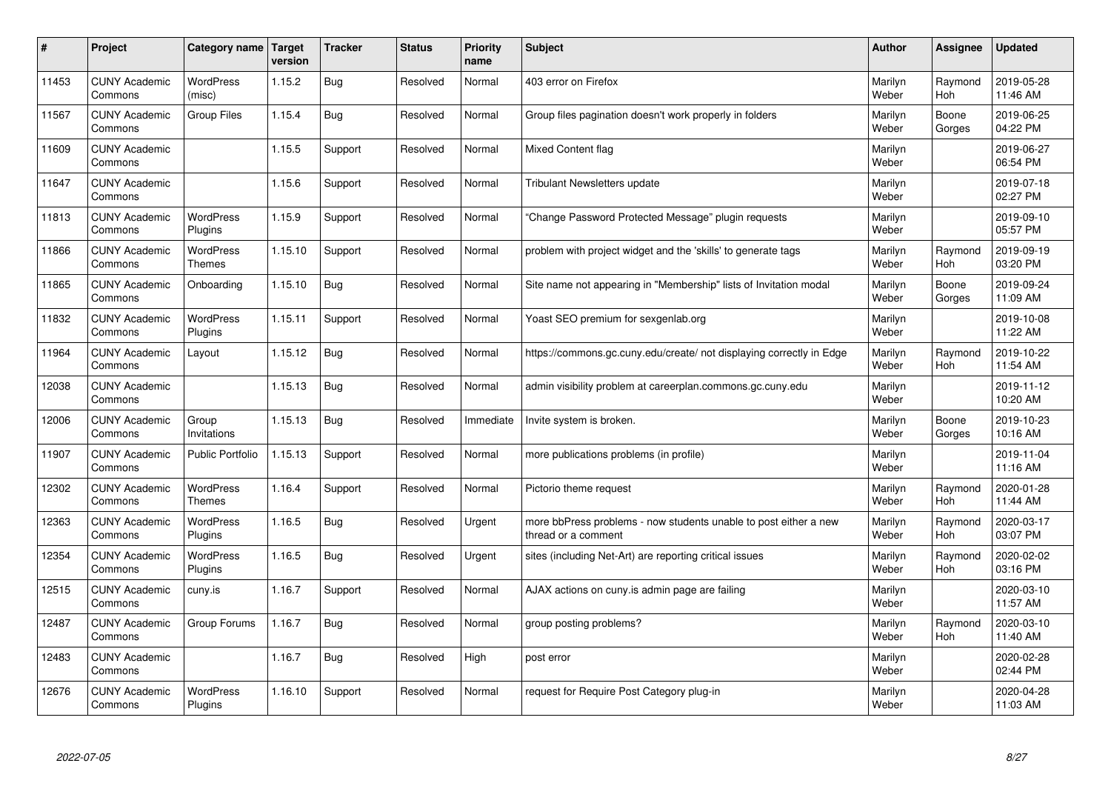| #     | Project                         | Category name                     | Target<br>version | <b>Tracker</b> | <b>Status</b> | <b>Priority</b><br>name | <b>Subject</b>                                                                          | <b>Author</b>    | Assignee              | <b>Updated</b>         |
|-------|---------------------------------|-----------------------------------|-------------------|----------------|---------------|-------------------------|-----------------------------------------------------------------------------------------|------------------|-----------------------|------------------------|
| 11453 | <b>CUNY Academic</b><br>Commons | <b>WordPress</b><br>(misc)        | 1.15.2            | Bug            | Resolved      | Normal                  | 403 error on Firefox                                                                    | Marilyn<br>Weber | Raymond<br><b>Hoh</b> | 2019-05-28<br>11:46 AM |
| 11567 | <b>CUNY Academic</b><br>Commons | Group Files                       | 1.15.4            | Bug            | Resolved      | Normal                  | Group files pagination doesn't work properly in folders                                 | Marilyn<br>Weber | Boone<br>Gorges       | 2019-06-25<br>04:22 PM |
| 11609 | <b>CUNY Academic</b><br>Commons |                                   | 1.15.5            | Support        | Resolved      | Normal                  | Mixed Content flag                                                                      | Marilyn<br>Weber |                       | 2019-06-27<br>06:54 PM |
| 11647 | <b>CUNY Academic</b><br>Commons |                                   | 1.15.6            | Support        | Resolved      | Normal                  | <b>Tribulant Newsletters update</b>                                                     | Marilyn<br>Weber |                       | 2019-07-18<br>02:27 PM |
| 11813 | <b>CUNY Academic</b><br>Commons | <b>WordPress</b><br>Plugins       | 1.15.9            | Support        | Resolved      | Normal                  | 'Change Password Protected Message" plugin requests                                     | Marilyn<br>Weber |                       | 2019-09-10<br>05:57 PM |
| 11866 | <b>CUNY Academic</b><br>Commons | <b>WordPress</b><br><b>Themes</b> | 1.15.10           | Support        | Resolved      | Normal                  | problem with project widget and the 'skills' to generate tags                           | Marilyn<br>Weber | Raymond<br>Hoh        | 2019-09-19<br>03:20 PM |
| 11865 | <b>CUNY Academic</b><br>Commons | Onboarding                        | 1.15.10           | Bug            | Resolved      | Normal                  | Site name not appearing in "Membership" lists of Invitation modal                       | Marilyn<br>Weber | Boone<br>Gorges       | 2019-09-24<br>11:09 AM |
| 11832 | <b>CUNY Academic</b><br>Commons | WordPress<br>Plugins              | 1.15.11           | Support        | Resolved      | Normal                  | Yoast SEO premium for sexgenlab.org                                                     | Marilyn<br>Weber |                       | 2019-10-08<br>11:22 AM |
| 11964 | <b>CUNY Academic</b><br>Commons | Layout                            | 1.15.12           | Bug            | Resolved      | Normal                  | https://commons.gc.cuny.edu/create/ not displaying correctly in Edge                    | Marilyn<br>Weber | Raymond<br><b>Hoh</b> | 2019-10-22<br>11:54 AM |
| 12038 | <b>CUNY Academic</b><br>Commons |                                   | 1.15.13           | Bug            | Resolved      | Normal                  | admin visibility problem at careerplan.commons.gc.cuny.edu                              | Marilyn<br>Weber |                       | 2019-11-12<br>10:20 AM |
| 12006 | <b>CUNY Academic</b><br>Commons | Group<br>Invitations              | 1.15.13           | Bug            | Resolved      | Immediate               | Invite system is broken.                                                                | Marilyn<br>Weber | Boone<br>Gorges       | 2019-10-23<br>10:16 AM |
| 11907 | <b>CUNY Academic</b><br>Commons | <b>Public Portfolio</b>           | 1.15.13           | Support        | Resolved      | Normal                  | more publications problems (in profile)                                                 | Marilyn<br>Weber |                       | 2019-11-04<br>11:16 AM |
| 12302 | <b>CUNY Academic</b><br>Commons | <b>WordPress</b><br><b>Themes</b> | 1.16.4            | Support        | Resolved      | Normal                  | Pictorio theme request                                                                  | Marilyn<br>Weber | Raymond<br>Hoh        | 2020-01-28<br>11:44 AM |
| 12363 | <b>CUNY Academic</b><br>Commons | <b>WordPress</b><br>Plugins       | 1.16.5            | Bug            | Resolved      | Urgent                  | more bbPress problems - now students unable to post either a new<br>thread or a comment | Marilyn<br>Weber | Raymond<br><b>Hoh</b> | 2020-03-17<br>03:07 PM |
| 12354 | <b>CUNY Academic</b><br>Commons | <b>WordPress</b><br>Plugins       | 1.16.5            | Bug            | Resolved      | Urgent                  | sites (including Net-Art) are reporting critical issues                                 | Marilyn<br>Weber | Raymond<br><b>Hoh</b> | 2020-02-02<br>03:16 PM |
| 12515 | <b>CUNY Academic</b><br>Commons | cuny.is                           | 1.16.7            | Support        | Resolved      | Normal                  | AJAX actions on cuny is admin page are failing                                          | Marilyn<br>Weber |                       | 2020-03-10<br>11:57 AM |
| 12487 | <b>CUNY Academic</b><br>Commons | Group Forums                      | 1.16.7            | Bug            | Resolved      | Normal                  | group posting problems?                                                                 | Marilyn<br>Weber | Raymond<br>Hoh        | 2020-03-10<br>11:40 AM |
| 12483 | <b>CUNY Academic</b><br>Commons |                                   | 1.16.7            | Bug            | Resolved      | High                    | post error                                                                              | Marilyn<br>Weber |                       | 2020-02-28<br>02:44 PM |
| 12676 | <b>CUNY Academic</b><br>Commons | <b>WordPress</b><br>Plugins       | 1.16.10           | Support        | Resolved      | Normal                  | request for Require Post Category plug-in                                               | Marilyn<br>Weber |                       | 2020-04-28<br>11:03 AM |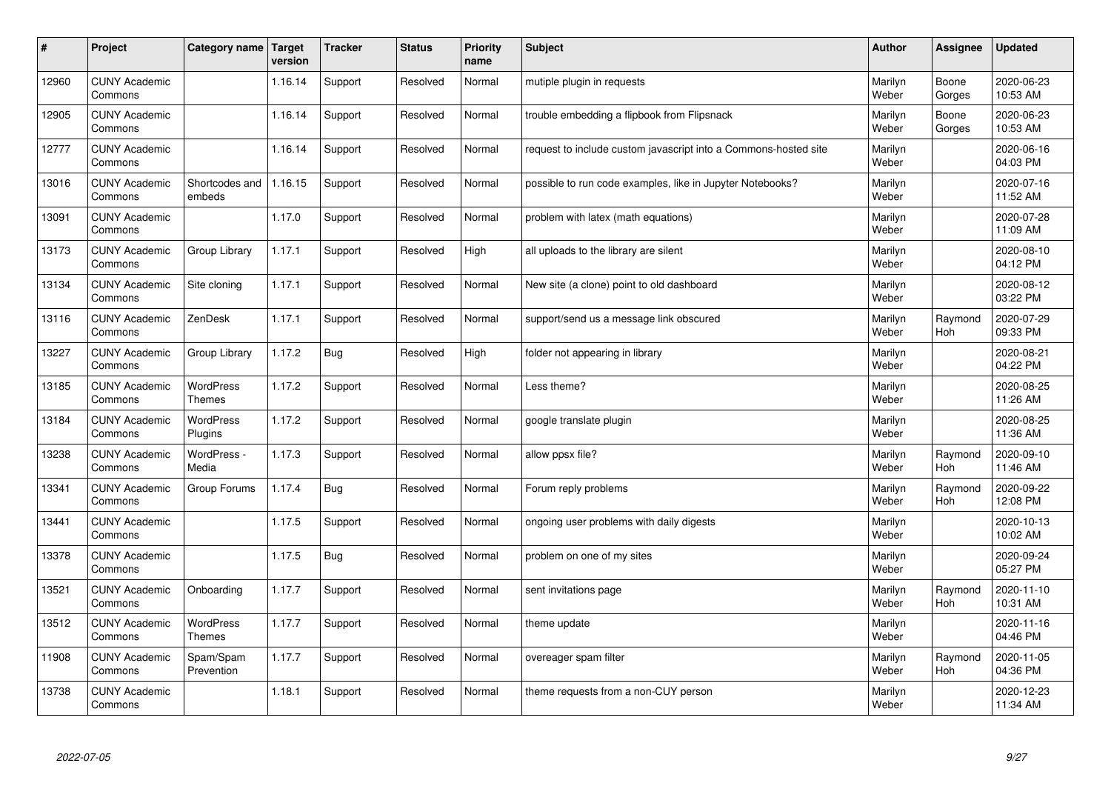| $\sharp$ | Project                         | Category name            | Target<br>version | <b>Tracker</b> | <b>Status</b> | <b>Priority</b><br>name | <b>Subject</b>                                                  | <b>Author</b>    | Assignee              | <b>Updated</b>         |
|----------|---------------------------------|--------------------------|-------------------|----------------|---------------|-------------------------|-----------------------------------------------------------------|------------------|-----------------------|------------------------|
| 12960    | <b>CUNY Academic</b><br>Commons |                          | 1.16.14           | Support        | Resolved      | Normal                  | mutiple plugin in requests                                      | Marilyn<br>Weber | Boone<br>Gorges       | 2020-06-23<br>10:53 AM |
| 12905    | <b>CUNY Academic</b><br>Commons |                          | 1.16.14           | Support        | Resolved      | Normal                  | trouble embedding a flipbook from Flipsnack                     | Marilyn<br>Weber | Boone<br>Gorges       | 2020-06-23<br>10:53 AM |
| 12777    | <b>CUNY Academic</b><br>Commons |                          | 1.16.14           | Support        | Resolved      | Normal                  | request to include custom javascript into a Commons-hosted site | Marilyn<br>Weber |                       | 2020-06-16<br>04:03 PM |
| 13016    | <b>CUNY Academic</b><br>Commons | Shortcodes and<br>embeds | 1.16.15           | Support        | Resolved      | Normal                  | possible to run code examples, like in Jupyter Notebooks?       | Marilyn<br>Weber |                       | 2020-07-16<br>11:52 AM |
| 13091    | <b>CUNY Academic</b><br>Commons |                          | 1.17.0            | Support        | Resolved      | Normal                  | problem with latex (math equations)                             | Marilyn<br>Weber |                       | 2020-07-28<br>11:09 AM |
| 13173    | <b>CUNY Academic</b><br>Commons | Group Library            | 1.17.1            | Support        | Resolved      | High                    | all uploads to the library are silent                           | Marilyn<br>Weber |                       | 2020-08-10<br>04:12 PM |
| 13134    | <b>CUNY Academic</b><br>Commons | Site cloning             | 1.17.1            | Support        | Resolved      | Normal                  | New site (a clone) point to old dashboard                       | Marilyn<br>Weber |                       | 2020-08-12<br>03:22 PM |
| 13116    | <b>CUNY Academic</b><br>Commons | ZenDesk                  | 1.17.1            | Support        | Resolved      | Normal                  | support/send us a message link obscured                         | Marilyn<br>Weber | Raymond<br>Hoh        | 2020-07-29<br>09:33 PM |
| 13227    | <b>CUNY Academic</b><br>Commons | Group Library            | 1.17.2            | Bug            | Resolved      | High                    | folder not appearing in library                                 | Marilyn<br>Weber |                       | 2020-08-21<br>04:22 PM |
| 13185    | <b>CUNY Academic</b><br>Commons | WordPress<br>Themes      | 1.17.2            | Support        | Resolved      | Normal                  | Less theme?                                                     | Marilyn<br>Weber |                       | 2020-08-25<br>11:26 AM |
| 13184    | <b>CUNY Academic</b><br>Commons | WordPress<br>Plugins     | 1.17.2            | Support        | Resolved      | Normal                  | google translate plugin                                         | Marilyn<br>Weber |                       | 2020-08-25<br>11:36 AM |
| 13238    | <b>CUNY Academic</b><br>Commons | WordPress -<br>Media     | 1.17.3            | Support        | Resolved      | Normal                  | allow ppsx file?                                                | Marilyn<br>Weber | Raymond<br>Hoh        | 2020-09-10<br>11:46 AM |
| 13341    | <b>CUNY Academic</b><br>Commons | Group Forums             | 1.17.4            | Bug            | Resolved      | Normal                  | Forum reply problems                                            | Marilyn<br>Weber | Raymond<br>Hoh        | 2020-09-22<br>12:08 PM |
| 13441    | <b>CUNY Academic</b><br>Commons |                          | 1.17.5            | Support        | Resolved      | Normal                  | ongoing user problems with daily digests                        | Marilyn<br>Weber |                       | 2020-10-13<br>10:02 AM |
| 13378    | <b>CUNY Academic</b><br>Commons |                          | 1.17.5            | <b>Bug</b>     | Resolved      | Normal                  | problem on one of my sites                                      | Marilyn<br>Weber |                       | 2020-09-24<br>05:27 PM |
| 13521    | <b>CUNY Academic</b><br>Commons | Onboarding               | 1.17.7            | Support        | Resolved      | Normal                  | sent invitations page                                           | Marilyn<br>Weber | Raymond<br><b>Hoh</b> | 2020-11-10<br>10:31 AM |
| 13512    | <b>CUNY Academic</b><br>Commons | WordPress<br>Themes      | 1.17.7            | Support        | Resolved      | Normal                  | theme update                                                    | Marilyn<br>Weber |                       | 2020-11-16<br>04:46 PM |
| 11908    | <b>CUNY Academic</b><br>Commons | Spam/Spam<br>Prevention  | 1.17.7            | Support        | Resolved      | Normal                  | overeager spam filter                                           | Marilyn<br>Weber | Raymond<br><b>Hoh</b> | 2020-11-05<br>04:36 PM |
| 13738    | <b>CUNY Academic</b><br>Commons |                          | 1.18.1            | Support        | Resolved      | Normal                  | theme requests from a non-CUY person                            | Marilyn<br>Weber |                       | 2020-12-23<br>11:34 AM |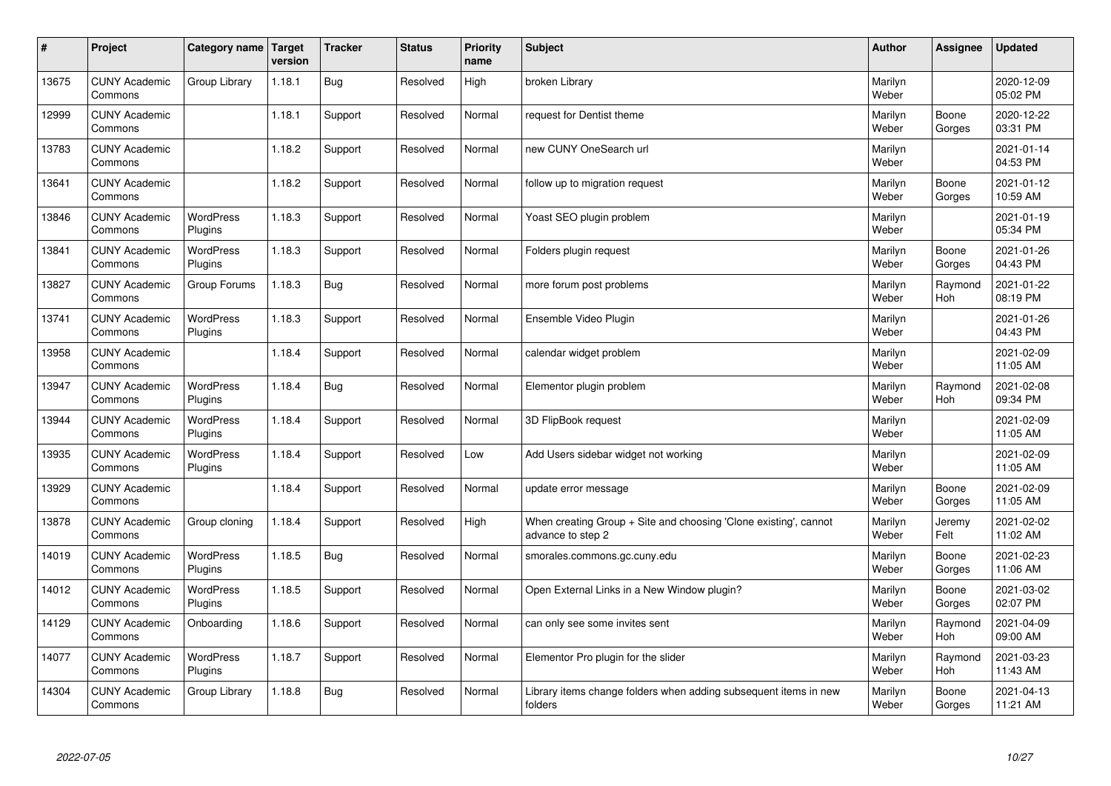| #     | Project                         | Category name Target        | version | <b>Tracker</b> | <b>Status</b> | <b>Priority</b><br>name | <b>Subject</b>                                                                        | <b>Author</b>    | Assignee              | <b>Updated</b>         |
|-------|---------------------------------|-----------------------------|---------|----------------|---------------|-------------------------|---------------------------------------------------------------------------------------|------------------|-----------------------|------------------------|
| 13675 | <b>CUNY Academic</b><br>Commons | Group Library               | 1.18.1  | Bug            | Resolved      | High                    | broken Library                                                                        | Marilyn<br>Weber |                       | 2020-12-09<br>05:02 PM |
| 12999 | <b>CUNY Academic</b><br>Commons |                             | 1.18.1  | Support        | Resolved      | Normal                  | request for Dentist theme                                                             | Marilyn<br>Weber | Boone<br>Gorges       | 2020-12-22<br>03:31 PM |
| 13783 | <b>CUNY Academic</b><br>Commons |                             | 1.18.2  | Support        | Resolved      | Normal                  | new CUNY OneSearch url                                                                | Marilyn<br>Weber |                       | 2021-01-14<br>04:53 PM |
| 13641 | <b>CUNY Academic</b><br>Commons |                             | 1.18.2  | Support        | Resolved      | Normal                  | follow up to migration request                                                        | Marilyn<br>Weber | Boone<br>Gorges       | 2021-01-12<br>10:59 AM |
| 13846 | <b>CUNY Academic</b><br>Commons | <b>WordPress</b><br>Plugins | 1.18.3  | Support        | Resolved      | Normal                  | Yoast SEO plugin problem                                                              | Marilyn<br>Weber |                       | 2021-01-19<br>05:34 PM |
| 13841 | <b>CUNY Academic</b><br>Commons | <b>WordPress</b><br>Plugins | 1.18.3  | Support        | Resolved      | Normal                  | Folders plugin request                                                                | Marilyn<br>Weber | Boone<br>Gorges       | 2021-01-26<br>04:43 PM |
| 13827 | <b>CUNY Academic</b><br>Commons | Group Forums                | 1.18.3  | Bug            | Resolved      | Normal                  | more forum post problems                                                              | Marilyn<br>Weber | Raymond<br>Hoh        | 2021-01-22<br>08:19 PM |
| 13741 | <b>CUNY Academic</b><br>Commons | WordPress<br>Plugins        | 1.18.3  | Support        | Resolved      | Normal                  | Ensemble Video Plugin                                                                 | Marilyn<br>Weber |                       | 2021-01-26<br>04:43 PM |
| 13958 | <b>CUNY Academic</b><br>Commons |                             | 1.18.4  | Support        | Resolved      | Normal                  | calendar widget problem                                                               | Marilyn<br>Weber |                       | 2021-02-09<br>11:05 AM |
| 13947 | <b>CUNY Academic</b><br>Commons | WordPress<br>Plugins        | 1.18.4  | Bug            | Resolved      | Normal                  | Elementor plugin problem                                                              | Marilyn<br>Weber | Raymond<br><b>Hoh</b> | 2021-02-08<br>09:34 PM |
| 13944 | <b>CUNY Academic</b><br>Commons | <b>WordPress</b><br>Plugins | 1.18.4  | Support        | Resolved      | Normal                  | 3D FlipBook request                                                                   | Marilyn<br>Weber |                       | 2021-02-09<br>11:05 AM |
| 13935 | <b>CUNY Academic</b><br>Commons | <b>WordPress</b><br>Plugins | 1.18.4  | Support        | Resolved      | Low                     | Add Users sidebar widget not working                                                  | Marilyn<br>Weber |                       | 2021-02-09<br>11:05 AM |
| 13929 | <b>CUNY Academic</b><br>Commons |                             | 1.18.4  | Support        | Resolved      | Normal                  | update error message                                                                  | Marilyn<br>Weber | Boone<br>Gorges       | 2021-02-09<br>11:05 AM |
| 13878 | <b>CUNY Academic</b><br>Commons | Group cloning               | 1.18.4  | Support        | Resolved      | High                    | When creating Group + Site and choosing 'Clone existing', cannot<br>advance to step 2 | Marilyn<br>Weber | Jeremy<br>Felt        | 2021-02-02<br>11:02 AM |
| 14019 | <b>CUNY Academic</b><br>Commons | WordPress<br>Plugins        | 1.18.5  | <b>Bug</b>     | Resolved      | Normal                  | smorales.commons.gc.cuny.edu                                                          | Marilyn<br>Weber | Boone<br>Gorges       | 2021-02-23<br>11:06 AM |
| 14012 | <b>CUNY Academic</b><br>Commons | <b>WordPress</b><br>Plugins | 1.18.5  | Support        | Resolved      | Normal                  | Open External Links in a New Window plugin?                                           | Marilyn<br>Weber | Boone<br>Gorges       | 2021-03-02<br>02:07 PM |
| 14129 | <b>CUNY Academic</b><br>Commons | Onboarding                  | 1.18.6  | Support        | Resolved      | Normal                  | can only see some invites sent                                                        | Marilyn<br>Weber | Raymond<br>Hoh        | 2021-04-09<br>09:00 AM |
| 14077 | <b>CUNY Academic</b><br>Commons | <b>WordPress</b><br>Plugins | 1.18.7  | Support        | Resolved      | Normal                  | Elementor Pro plugin for the slider                                                   | Marilyn<br>Weber | Raymond<br>Hoh        | 2021-03-23<br>11:43 AM |
| 14304 | <b>CUNY Academic</b><br>Commons | Group Library               | 1.18.8  | <b>Bug</b>     | Resolved      | Normal                  | Library items change folders when adding subsequent items in new<br>folders           | Marilyn<br>Weber | Boone<br>Gorges       | 2021-04-13<br>11:21 AM |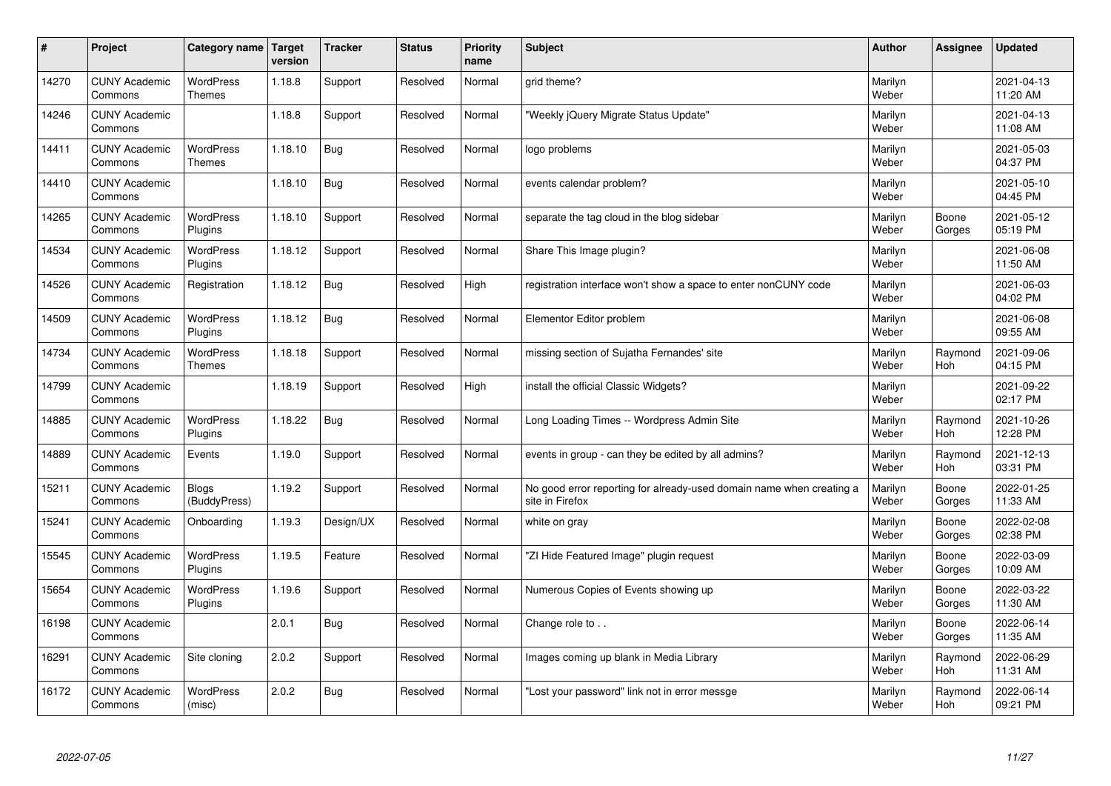| $\pmb{\#}$ | Project                         | Category name                     | Target<br>version | <b>Tracker</b> | <b>Status</b> | <b>Priority</b><br>name | <b>Subject</b>                                                                          | <b>Author</b>    | Assignee        | <b>Updated</b>         |
|------------|---------------------------------|-----------------------------------|-------------------|----------------|---------------|-------------------------|-----------------------------------------------------------------------------------------|------------------|-----------------|------------------------|
| 14270      | <b>CUNY Academic</b><br>Commons | <b>WordPress</b><br><b>Themes</b> | 1.18.8            | Support        | Resolved      | Normal                  | arid theme?                                                                             | Marilyn<br>Weber |                 | 2021-04-13<br>11:20 AM |
| 14246      | <b>CUNY Academic</b><br>Commons |                                   | 1.18.8            | Support        | Resolved      | Normal                  | 'Weekly jQuery Migrate Status Update"                                                   | Marilyn<br>Weber |                 | 2021-04-13<br>11:08 AM |
| 14411      | <b>CUNY Academic</b><br>Commons | <b>WordPress</b><br>Themes        | 1.18.10           | <b>Bug</b>     | Resolved      | Normal                  | logo problems                                                                           | Marilyn<br>Weber |                 | 2021-05-03<br>04:37 PM |
| 14410      | <b>CUNY Academic</b><br>Commons |                                   | 1.18.10           | <b>Bug</b>     | Resolved      | Normal                  | events calendar problem?                                                                | Marilyn<br>Weber |                 | 2021-05-10<br>04:45 PM |
| 14265      | <b>CUNY Academic</b><br>Commons | <b>WordPress</b><br>Plugins       | 1.18.10           | Support        | Resolved      | Normal                  | separate the tag cloud in the blog sidebar                                              | Marilyn<br>Weber | Boone<br>Gorges | 2021-05-12<br>05:19 PM |
| 14534      | <b>CUNY Academic</b><br>Commons | <b>WordPress</b><br>Plugins       | 1.18.12           | Support        | Resolved      | Normal                  | Share This Image plugin?                                                                | Marilyn<br>Weber |                 | 2021-06-08<br>11:50 AM |
| 14526      | <b>CUNY Academic</b><br>Commons | Registration                      | 1.18.12           | Bug            | Resolved      | High                    | registration interface won't show a space to enter nonCUNY code                         | Marilyn<br>Weber |                 | 2021-06-03<br>04:02 PM |
| 14509      | <b>CUNY Academic</b><br>Commons | <b>WordPress</b><br>Plugins       | 1.18.12           | <b>Bug</b>     | Resolved      | Normal                  | Elementor Editor problem                                                                | Marilyn<br>Weber |                 | 2021-06-08<br>09:55 AM |
| 14734      | <b>CUNY Academic</b><br>Commons | WordPress<br>Themes               | 1.18.18           | Support        | Resolved      | Normal                  | missing section of Sujatha Fernandes' site                                              | Marilyn<br>Weber | Raymond<br>Hoh  | 2021-09-06<br>04:15 PM |
| 14799      | <b>CUNY Academic</b><br>Commons |                                   | 1.18.19           | Support        | Resolved      | High                    | install the official Classic Widgets?                                                   | Marilyn<br>Weber |                 | 2021-09-22<br>02:17 PM |
| 14885      | <b>CUNY Academic</b><br>Commons | <b>WordPress</b><br>Plugins       | 1.18.22           | <b>Bug</b>     | Resolved      | Normal                  | Long Loading Times -- Wordpress Admin Site                                              | Marilyn<br>Weber | Raymond<br>Hoh  | 2021-10-26<br>12:28 PM |
| 14889      | <b>CUNY Academic</b><br>Commons | Events                            | 1.19.0            | Support        | Resolved      | Normal                  | events in group - can they be edited by all admins?                                     | Marilyn<br>Weber | Raymond<br>Hoh  | 2021-12-13<br>03:31 PM |
| 15211      | <b>CUNY Academic</b><br>Commons | Blogs<br>(BuddyPress)             | 1.19.2            | Support        | Resolved      | Normal                  | No good error reporting for already-used domain name when creating a<br>site in Firefox | Marilyn<br>Weber | Boone<br>Gorges | 2022-01-25<br>11:33 AM |
| 15241      | <b>CUNY Academic</b><br>Commons | Onboarding                        | 1.19.3            | Design/UX      | Resolved      | Normal                  | white on gray                                                                           | Marilyn<br>Weber | Boone<br>Gorges | 2022-02-08<br>02:38 PM |
| 15545      | <b>CUNY Academic</b><br>Commons | WordPress<br>Plugins              | 1.19.5            | Feature        | Resolved      | Normal                  | "ZI Hide Featured Image" plugin request                                                 | Marilyn<br>Weber | Boone<br>Gorges | 2022-03-09<br>10:09 AM |
| 15654      | <b>CUNY Academic</b><br>Commons | <b>WordPress</b><br>Plugins       | 1.19.6            | Support        | Resolved      | Normal                  | Numerous Copies of Events showing up                                                    | Marilyn<br>Weber | Boone<br>Gorges | 2022-03-22<br>11:30 AM |
| 16198      | <b>CUNY Academic</b><br>Commons |                                   | 2.0.1             | Bug            | Resolved      | Normal                  | Change role to                                                                          | Marilyn<br>Weber | Boone<br>Gorges | 2022-06-14<br>11:35 AM |
| 16291      | <b>CUNY Academic</b><br>Commons | Site cloning                      | 2.0.2             | Support        | Resolved      | Normal                  | Images coming up blank in Media Library                                                 | Marilyn<br>Weber | Raymond<br>Hoh  | 2022-06-29<br>11:31 AM |
| 16172      | <b>CUNY Academic</b><br>Commons | <b>WordPress</b><br>(misc)        | 2.0.2             | Bug            | Resolved      | Normal                  | "Lost your password" link not in error messge                                           | Marilyn<br>Weber | Raymond<br>Hoh  | 2022-06-14<br>09:21 PM |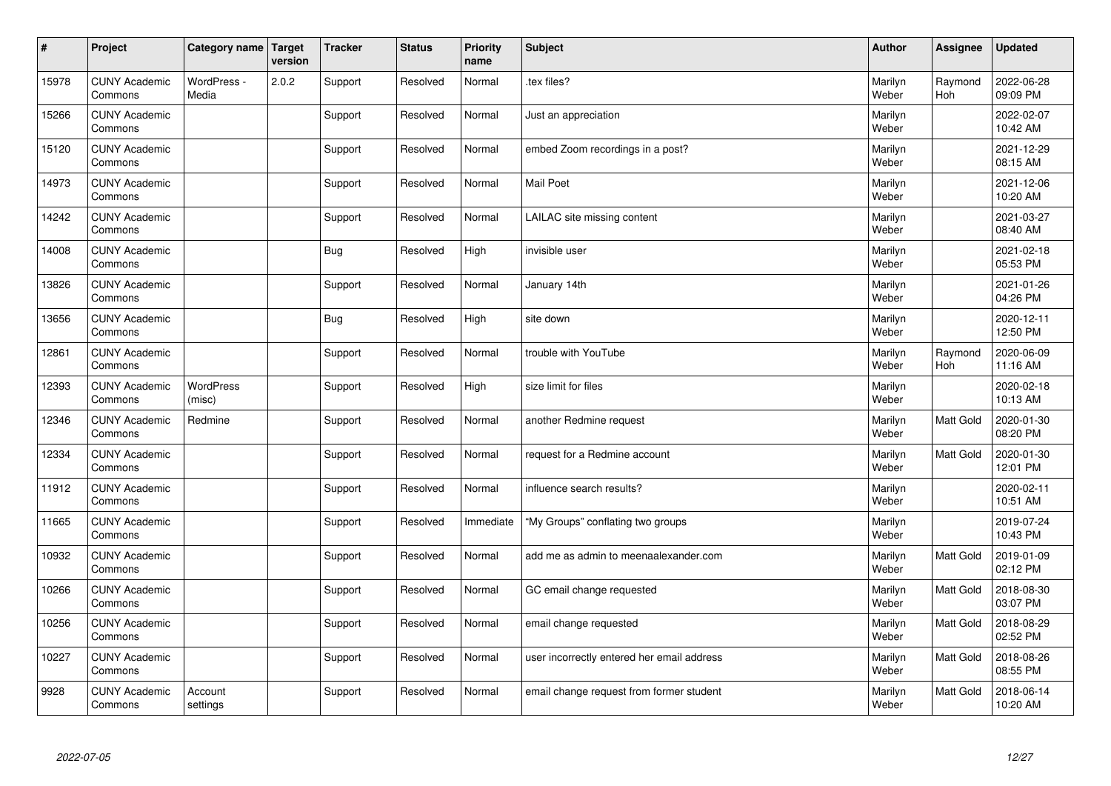| $\vert$ # | Project                         | Category name   Target     | version | <b>Tracker</b> | <b>Status</b> | <b>Priority</b><br>name | <b>Subject</b>                             | <b>Author</b>    | Assignee         | <b>Updated</b>         |
|-----------|---------------------------------|----------------------------|---------|----------------|---------------|-------------------------|--------------------------------------------|------------------|------------------|------------------------|
| 15978     | <b>CUNY Academic</b><br>Commons | WordPress -<br>Media       | 2.0.2   | Support        | Resolved      | Normal                  | tex files?                                 | Marilyn<br>Weber | Raymond<br>Hoh   | 2022-06-28<br>09:09 PM |
| 15266     | <b>CUNY Academic</b><br>Commons |                            |         | Support        | Resolved      | Normal                  | Just an appreciation                       | Marilyn<br>Weber |                  | 2022-02-07<br>10:42 AM |
| 15120     | <b>CUNY Academic</b><br>Commons |                            |         | Support        | Resolved      | Normal                  | embed Zoom recordings in a post?           | Marilyn<br>Weber |                  | 2021-12-29<br>08:15 AM |
| 14973     | <b>CUNY Academic</b><br>Commons |                            |         | Support        | Resolved      | Normal                  | <b>Mail Poet</b>                           | Marilyn<br>Weber |                  | 2021-12-06<br>10:20 AM |
| 14242     | <b>CUNY Academic</b><br>Commons |                            |         | Support        | Resolved      | Normal                  | LAILAC site missing content                | Marilyn<br>Weber |                  | 2021-03-27<br>08:40 AM |
| 14008     | <b>CUNY Academic</b><br>Commons |                            |         | Bug            | Resolved      | High                    | invisible user                             | Marilyn<br>Weber |                  | 2021-02-18<br>05:53 PM |
| 13826     | <b>CUNY Academic</b><br>Commons |                            |         | Support        | Resolved      | Normal                  | January 14th                               | Marilyn<br>Weber |                  | 2021-01-26<br>04:26 PM |
| 13656     | <b>CUNY Academic</b><br>Commons |                            |         | Bug            | Resolved      | High                    | site down                                  | Marilyn<br>Weber |                  | 2020-12-11<br>12:50 PM |
| 12861     | <b>CUNY Academic</b><br>Commons |                            |         | Support        | Resolved      | Normal                  | trouble with YouTube                       | Marilyn<br>Weber | Raymond<br>Hoh   | 2020-06-09<br>11:16 AM |
| 12393     | <b>CUNY Academic</b><br>Commons | <b>WordPress</b><br>(misc) |         | Support        | Resolved      | High                    | size limit for files                       | Marilyn<br>Weber |                  | 2020-02-18<br>10:13 AM |
| 12346     | <b>CUNY Academic</b><br>Commons | Redmine                    |         | Support        | Resolved      | Normal                  | another Redmine request                    | Marilyn<br>Weber | <b>Matt Gold</b> | 2020-01-30<br>08:20 PM |
| 12334     | <b>CUNY Academic</b><br>Commons |                            |         | Support        | Resolved      | Normal                  | request for a Redmine account              | Marilyn<br>Weber | Matt Gold        | 2020-01-30<br>12:01 PM |
| 11912     | <b>CUNY Academic</b><br>Commons |                            |         | Support        | Resolved      | Normal                  | influence search results?                  | Marilyn<br>Weber |                  | 2020-02-11<br>10:51 AM |
| 11665     | <b>CUNY Academic</b><br>Commons |                            |         | Support        | Resolved      | Immediate               | "My Groups" conflating two groups          | Marilyn<br>Weber |                  | 2019-07-24<br>10:43 PM |
| 10932     | <b>CUNY Academic</b><br>Commons |                            |         | Support        | Resolved      | Normal                  | add me as admin to meenaalexander.com      | Marilyn<br>Weber | Matt Gold        | 2019-01-09<br>02:12 PM |
| 10266     | <b>CUNY Academic</b><br>Commons |                            |         | Support        | Resolved      | Normal                  | GC email change requested                  | Marilyn<br>Weber | Matt Gold        | 2018-08-30<br>03:07 PM |
| 10256     | <b>CUNY Academic</b><br>Commons |                            |         | Support        | Resolved      | Normal                  | email change requested                     | Marilyn<br>Weber | Matt Gold        | 2018-08-29<br>02:52 PM |
| 10227     | <b>CUNY Academic</b><br>Commons |                            |         | Support        | Resolved      | Normal                  | user incorrectly entered her email address | Marilyn<br>Weber | Matt Gold        | 2018-08-26<br>08:55 PM |
| 9928      | <b>CUNY Academic</b><br>Commons | Account<br>settings        |         | Support        | Resolved      | Normal                  | email change request from former student   | Marilyn<br>Weber | Matt Gold        | 2018-06-14<br>10:20 AM |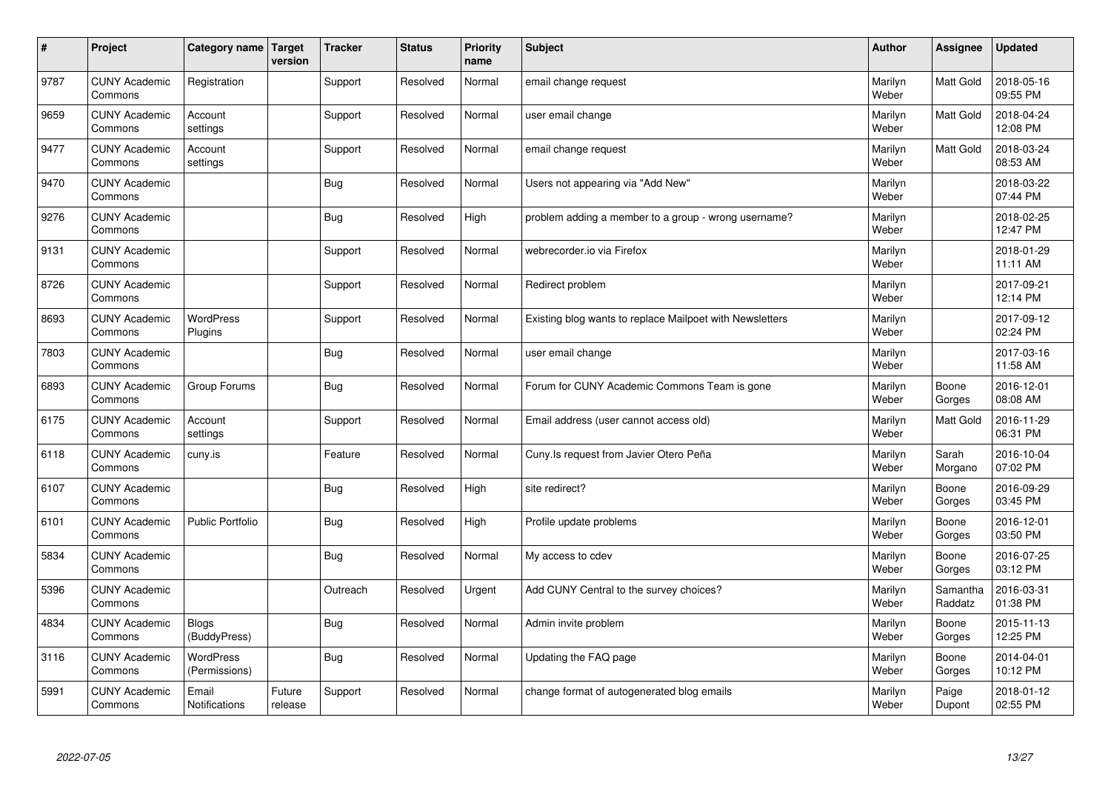| $\sharp$ | Project                         | Category name   Target     | version           | <b>Tracker</b> | <b>Status</b> | <b>Priority</b><br>name | <b>Subject</b>                                           | <b>Author</b>    | Assignee            | <b>Updated</b>         |
|----------|---------------------------------|----------------------------|-------------------|----------------|---------------|-------------------------|----------------------------------------------------------|------------------|---------------------|------------------------|
| 9787     | <b>CUNY Academic</b><br>Commons | Registration               |                   | Support        | Resolved      | Normal                  | email change request                                     | Marilyn<br>Weber | Matt Gold           | 2018-05-16<br>09:55 PM |
| 9659     | <b>CUNY Academic</b><br>Commons | Account<br>settings        |                   | Support        | Resolved      | Normal                  | user email change                                        | Marilyn<br>Weber | <b>Matt Gold</b>    | 2018-04-24<br>12:08 PM |
| 9477     | <b>CUNY Academic</b><br>Commons | Account<br>settings        |                   | Support        | Resolved      | Normal                  | email change request                                     | Marilyn<br>Weber | Matt Gold           | 2018-03-24<br>08:53 AM |
| 9470     | <b>CUNY Academic</b><br>Commons |                            |                   | Bug            | Resolved      | Normal                  | Users not appearing via "Add New"                        | Marilyn<br>Weber |                     | 2018-03-22<br>07:44 PM |
| 9276     | <b>CUNY Academic</b><br>Commons |                            |                   | Bug            | Resolved      | High                    | problem adding a member to a group - wrong username?     | Marilyn<br>Weber |                     | 2018-02-25<br>12:47 PM |
| 9131     | <b>CUNY Academic</b><br>Commons |                            |                   | Support        | Resolved      | Normal                  | webrecorder.jo via Firefox                               | Marilyn<br>Weber |                     | 2018-01-29<br>11:11 AM |
| 8726     | <b>CUNY Academic</b><br>Commons |                            |                   | Support        | Resolved      | Normal                  | Redirect problem                                         | Marilyn<br>Weber |                     | 2017-09-21<br>12:14 PM |
| 8693     | <b>CUNY Academic</b><br>Commons | WordPress<br>Plugins       |                   | Support        | Resolved      | Normal                  | Existing blog wants to replace Mailpoet with Newsletters | Marilyn<br>Weber |                     | 2017-09-12<br>02:24 PM |
| 7803     | <b>CUNY Academic</b><br>Commons |                            |                   | <b>Bug</b>     | Resolved      | Normal                  | user email change                                        | Marilyn<br>Weber |                     | 2017-03-16<br>11:58 AM |
| 6893     | <b>CUNY Academic</b><br>Commons | Group Forums               |                   | Bug            | Resolved      | Normal                  | Forum for CUNY Academic Commons Team is gone             | Marilyn<br>Weber | Boone<br>Gorges     | 2016-12-01<br>08:08 AM |
| 6175     | <b>CUNY Academic</b><br>Commons | Account<br>settings        |                   | Support        | Resolved      | Normal                  | Email address (user cannot access old)                   | Marilyn<br>Weber | Matt Gold           | 2016-11-29<br>06:31 PM |
| 6118     | <b>CUNY Academic</b><br>Commons | cuny.is                    |                   | Feature        | Resolved      | Normal                  | Cuny.Is request from Javier Otero Peña                   | Marilyn<br>Weber | Sarah<br>Morgano    | 2016-10-04<br>07:02 PM |
| 6107     | <b>CUNY Academic</b><br>Commons |                            |                   | Bug            | Resolved      | High                    | site redirect?                                           | Marilyn<br>Weber | Boone<br>Gorges     | 2016-09-29<br>03:45 PM |
| 6101     | <b>CUNY Academic</b><br>Commons | <b>Public Portfolio</b>    |                   | Bug            | Resolved      | High                    | Profile update problems                                  | Marilyn<br>Weber | Boone<br>Gorges     | 2016-12-01<br>03:50 PM |
| 5834     | <b>CUNY Academic</b><br>Commons |                            |                   | <b>Bug</b>     | Resolved      | Normal                  | My access to cdev                                        | Marilyn<br>Weber | Boone<br>Gorges     | 2016-07-25<br>03:12 PM |
| 5396     | <b>CUNY Academic</b><br>Commons |                            |                   | Outreach       | Resolved      | Urgent                  | Add CUNY Central to the survey choices?                  | Marilyn<br>Weber | Samantha<br>Raddatz | 2016-03-31<br>01:38 PM |
| 4834     | <b>CUNY Academic</b><br>Commons | Blogs<br>(BuddyPress)      |                   | Bug            | Resolved      | Normal                  | Admin invite problem                                     | Marilyn<br>Weber | Boone<br>Gorges     | 2015-11-13<br>12:25 PM |
| 3116     | <b>CUNY Academic</b><br>Commons | WordPress<br>(Permissions) |                   | Bug            | Resolved      | Normal                  | Updating the FAQ page                                    | Marilyn<br>Weber | Boone<br>Gorges     | 2014-04-01<br>10:12 PM |
| 5991     | <b>CUNY Academic</b><br>Commons | Email<br>Notifications     | Future<br>release | Support        | Resolved      | Normal                  | change format of autogenerated blog emails               | Marilyn<br>Weber | Paige<br>Dupont     | 2018-01-12<br>02:55 PM |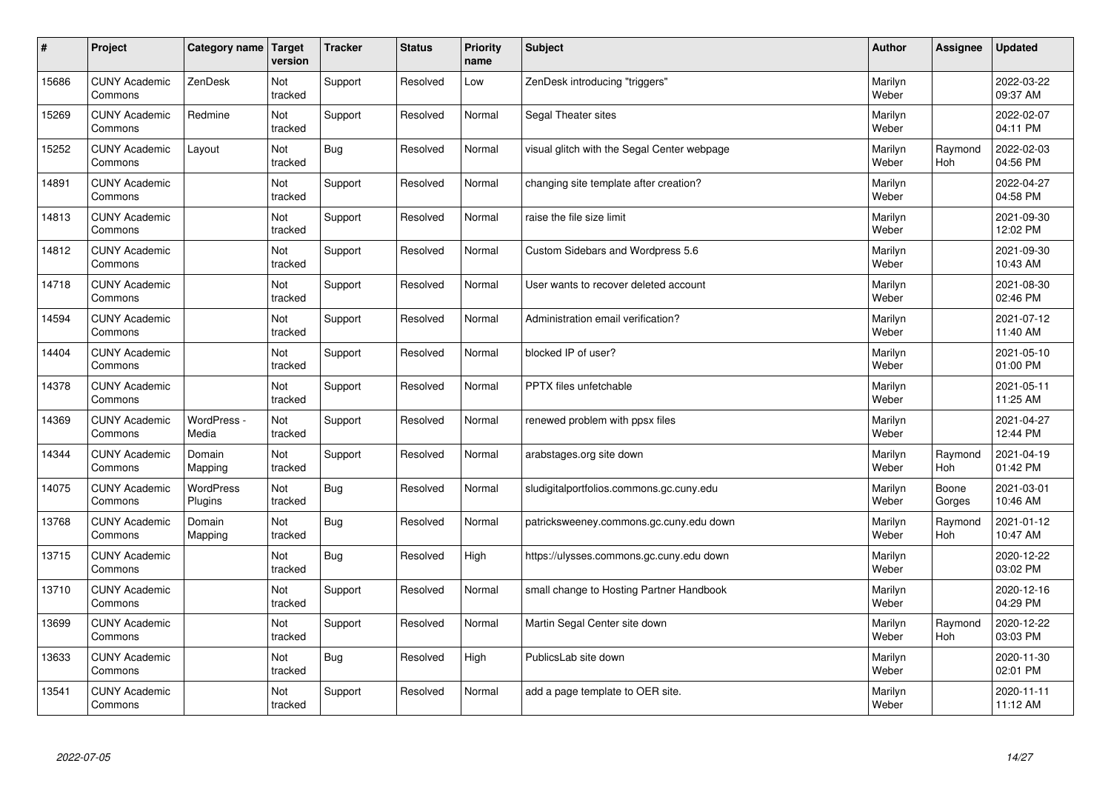| $\sharp$ | Project                         | Category name   Target | version        | <b>Tracker</b> | <b>Status</b> | <b>Priority</b><br>name | <b>Subject</b>                              | <b>Author</b>    | <b>Assignee</b>       | <b>Updated</b>         |
|----------|---------------------------------|------------------------|----------------|----------------|---------------|-------------------------|---------------------------------------------|------------------|-----------------------|------------------------|
| 15686    | <b>CUNY Academic</b><br>Commons | ZenDesk                | Not<br>tracked | Support        | Resolved      | Low                     | ZenDesk introducing "triggers"              | Marilyn<br>Weber |                       | 2022-03-22<br>09:37 AM |
| 15269    | <b>CUNY Academic</b><br>Commons | Redmine                | Not<br>tracked | Support        | Resolved      | Normal                  | Segal Theater sites                         | Marilyn<br>Weber |                       | 2022-02-07<br>04:11 PM |
| 15252    | <b>CUNY Academic</b><br>Commons | Layout                 | Not<br>tracked | Bug            | Resolved      | Normal                  | visual glitch with the Segal Center webpage | Marilyn<br>Weber | Raymond<br><b>Hoh</b> | 2022-02-03<br>04:56 PM |
| 14891    | <b>CUNY Academic</b><br>Commons |                        | Not<br>tracked | Support        | Resolved      | Normal                  | changing site template after creation?      | Marilyn<br>Weber |                       | 2022-04-27<br>04:58 PM |
| 14813    | <b>CUNY Academic</b><br>Commons |                        | Not<br>tracked | Support        | Resolved      | Normal                  | raise the file size limit                   | Marilyn<br>Weber |                       | 2021-09-30<br>12:02 PM |
| 14812    | <b>CUNY Academic</b><br>Commons |                        | Not<br>tracked | Support        | Resolved      | Normal                  | Custom Sidebars and Wordpress 5.6           | Marilyn<br>Weber |                       | 2021-09-30<br>10:43 AM |
| 14718    | <b>CUNY Academic</b><br>Commons |                        | Not<br>tracked | Support        | Resolved      | Normal                  | User wants to recover deleted account       | Marilyn<br>Weber |                       | 2021-08-30<br>02:46 PM |
| 14594    | <b>CUNY Academic</b><br>Commons |                        | Not<br>tracked | Support        | Resolved      | Normal                  | Administration email verification?          | Marilyn<br>Weber |                       | 2021-07-12<br>11:40 AM |
| 14404    | <b>CUNY Academic</b><br>Commons |                        | Not<br>tracked | Support        | Resolved      | Normal                  | blocked IP of user?                         | Marilyn<br>Weber |                       | 2021-05-10<br>01:00 PM |
| 14378    | <b>CUNY Academic</b><br>Commons |                        | Not<br>tracked | Support        | Resolved      | Normal                  | PPTX files unfetchable                      | Marilyn<br>Weber |                       | 2021-05-11<br>11:25 AM |
| 14369    | <b>CUNY Academic</b><br>Commons | WordPress -<br>Media   | Not<br>tracked | Support        | Resolved      | Normal                  | renewed problem with ppsx files             | Marilyn<br>Weber |                       | 2021-04-27<br>12:44 PM |
| 14344    | <b>CUNY Academic</b><br>Commons | Domain<br>Mapping      | Not<br>tracked | Support        | Resolved      | Normal                  | arabstages.org site down                    | Marilyn<br>Weber | Raymond<br>Hoh        | 2021-04-19<br>01:42 PM |
| 14075    | <b>CUNY Academic</b><br>Commons | WordPress<br>Plugins   | Not<br>tracked | Bug            | Resolved      | Normal                  | sludigitalportfolios.commons.gc.cuny.edu    | Marilyn<br>Weber | Boone<br>Gorges       | 2021-03-01<br>10:46 AM |
| 13768    | <b>CUNY Academic</b><br>Commons | Domain<br>Mapping      | Not<br>tracked | Bug            | Resolved      | Normal                  | patricksweeney.commons.gc.cuny.edu down     | Marilyn<br>Weber | Raymond<br><b>Hoh</b> | 2021-01-12<br>10:47 AM |
| 13715    | <b>CUNY Academic</b><br>Commons |                        | Not<br>tracked | Bug            | Resolved      | High                    | https://ulysses.commons.gc.cuny.edu down    | Marilyn<br>Weber |                       | 2020-12-22<br>03:02 PM |
| 13710    | <b>CUNY Academic</b><br>Commons |                        | Not<br>tracked | Support        | Resolved      | Normal                  | small change to Hosting Partner Handbook    | Marilyn<br>Weber |                       | 2020-12-16<br>04:29 PM |
| 13699    | <b>CUNY Academic</b><br>Commons |                        | Not<br>tracked | Support        | Resolved      | Normal                  | Martin Segal Center site down               | Marilyn<br>Weber | Raymond<br>Hoh        | 2020-12-22<br>03:03 PM |
| 13633    | <b>CUNY Academic</b><br>Commons |                        | Not<br>tracked | Bug            | Resolved      | High                    | PublicsLab site down                        | Marilyn<br>Weber |                       | 2020-11-30<br>02:01 PM |
| 13541    | <b>CUNY Academic</b><br>Commons |                        | Not<br>tracked | Support        | Resolved      | Normal                  | add a page template to OER site.            | Marilyn<br>Weber |                       | 2020-11-11<br>11:12 AM |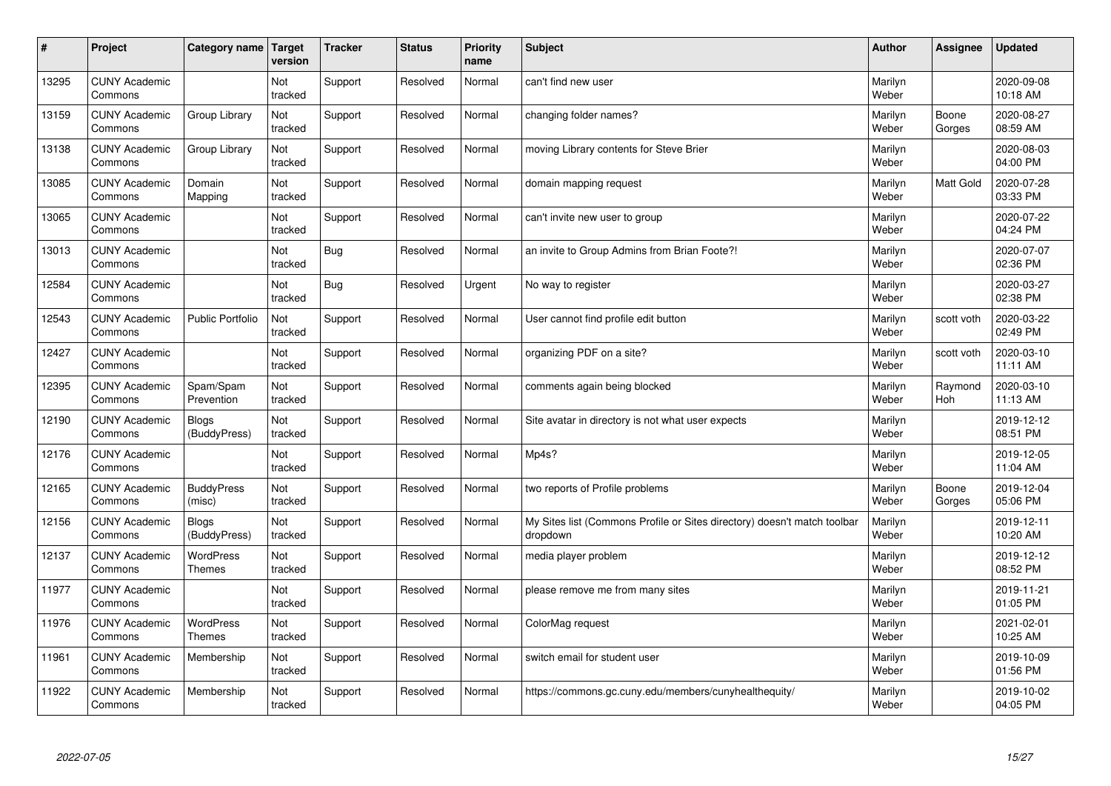| #     | Project                         | Category name                     | <b>Target</b><br>version | <b>Tracker</b> | <b>Status</b> | <b>Priority</b><br>name | <b>Subject</b>                                                                       | <b>Author</b>    | Assignee        | <b>Updated</b>         |
|-------|---------------------------------|-----------------------------------|--------------------------|----------------|---------------|-------------------------|--------------------------------------------------------------------------------------|------------------|-----------------|------------------------|
| 13295 | <b>CUNY Academic</b><br>Commons |                                   | Not<br>tracked           | Support        | Resolved      | Normal                  | can't find new user                                                                  | Marilyn<br>Weber |                 | 2020-09-08<br>10:18 AM |
| 13159 | <b>CUNY Academic</b><br>Commons | Group Library                     | Not<br>tracked           | Support        | Resolved      | Normal                  | changing folder names?                                                               | Marilyn<br>Weber | Boone<br>Gorges | 2020-08-27<br>08:59 AM |
| 13138 | <b>CUNY Academic</b><br>Commons | Group Library                     | Not<br>tracked           | Support        | Resolved      | Normal                  | moving Library contents for Steve Brier                                              | Marilyn<br>Weber |                 | 2020-08-03<br>04:00 PM |
| 13085 | <b>CUNY Academic</b><br>Commons | Domain<br>Mapping                 | Not<br>tracked           | Support        | Resolved      | Normal                  | domain mapping request                                                               | Marilyn<br>Weber | Matt Gold       | 2020-07-28<br>03:33 PM |
| 13065 | <b>CUNY Academic</b><br>Commons |                                   | Not<br>tracked           | Support        | Resolved      | Normal                  | can't invite new user to group                                                       | Marilyn<br>Weber |                 | 2020-07-22<br>04:24 PM |
| 13013 | <b>CUNY Academic</b><br>Commons |                                   | Not<br>tracked           | Bug            | Resolved      | Normal                  | an invite to Group Admins from Brian Foote?!                                         | Marilyn<br>Weber |                 | 2020-07-07<br>02:36 PM |
| 12584 | <b>CUNY Academic</b><br>Commons |                                   | Not<br>tracked           | Bug            | Resolved      | Urgent                  | No way to register                                                                   | Marilyn<br>Weber |                 | 2020-03-27<br>02:38 PM |
| 12543 | <b>CUNY Academic</b><br>Commons | <b>Public Portfolio</b>           | Not<br>tracked           | Support        | Resolved      | Normal                  | User cannot find profile edit button                                                 | Marilyn<br>Weber | scott voth      | 2020-03-22<br>02:49 PM |
| 12427 | <b>CUNY Academic</b><br>Commons |                                   | Not<br>tracked           | Support        | Resolved      | Normal                  | organizing PDF on a site?                                                            | Marilyn<br>Weber | scott voth      | 2020-03-10<br>11:11 AM |
| 12395 | <b>CUNY Academic</b><br>Commons | Spam/Spam<br>Prevention           | Not<br>tracked           | Support        | Resolved      | Normal                  | comments again being blocked                                                         | Marilyn<br>Weber | Raymond<br>Hoh  | 2020-03-10<br>11:13 AM |
| 12190 | <b>CUNY Academic</b><br>Commons | <b>Blogs</b><br>(BuddyPress)      | Not<br>tracked           | Support        | Resolved      | Normal                  | Site avatar in directory is not what user expects                                    | Marilyn<br>Weber |                 | 2019-12-12<br>08:51 PM |
| 12176 | <b>CUNY Academic</b><br>Commons |                                   | Not<br>tracked           | Support        | Resolved      | Normal                  | Mp4s?                                                                                | Marilyn<br>Weber |                 | 2019-12-05<br>11:04 AM |
| 12165 | <b>CUNY Academic</b><br>Commons | <b>BuddyPress</b><br>(misc)       | Not<br>tracked           | Support        | Resolved      | Normal                  | two reports of Profile problems                                                      | Marilyn<br>Weber | Boone<br>Gorges | 2019-12-04<br>05:06 PM |
| 12156 | <b>CUNY Academic</b><br>Commons | <b>Blogs</b><br>(BuddyPress)      | Not<br>tracked           | Support        | Resolved      | Normal                  | My Sites list (Commons Profile or Sites directory) doesn't match toolbar<br>dropdown | Marilyn<br>Weber |                 | 2019-12-11<br>10:20 AM |
| 12137 | <b>CUNY Academic</b><br>Commons | <b>WordPress</b><br><b>Themes</b> | Not<br>tracked           | Support        | Resolved      | Normal                  | media player problem                                                                 | Marilyn<br>Weber |                 | 2019-12-12<br>08:52 PM |
| 11977 | <b>CUNY Academic</b><br>Commons |                                   | Not<br>tracked           | Support        | Resolved      | Normal                  | please remove me from many sites                                                     | Marilyn<br>Weber |                 | 2019-11-21<br>01:05 PM |
| 11976 | <b>CUNY Academic</b><br>Commons | WordPress<br>Themes               | Not<br>tracked           | Support        | Resolved      | Normal                  | ColorMag request                                                                     | Marilyn<br>Weber |                 | 2021-02-01<br>10:25 AM |
| 11961 | <b>CUNY Academic</b><br>Commons | Membership                        | Not<br>tracked           | Support        | Resolved      | Normal                  | switch email for student user                                                        | Marilyn<br>Weber |                 | 2019-10-09<br>01:56 PM |
| 11922 | <b>CUNY Academic</b><br>Commons | Membership                        | Not<br>tracked           | Support        | Resolved      | Normal                  | https://commons.gc.cuny.edu/members/cunyhealthequity/                                | Marilyn<br>Weber |                 | 2019-10-02<br>04:05 PM |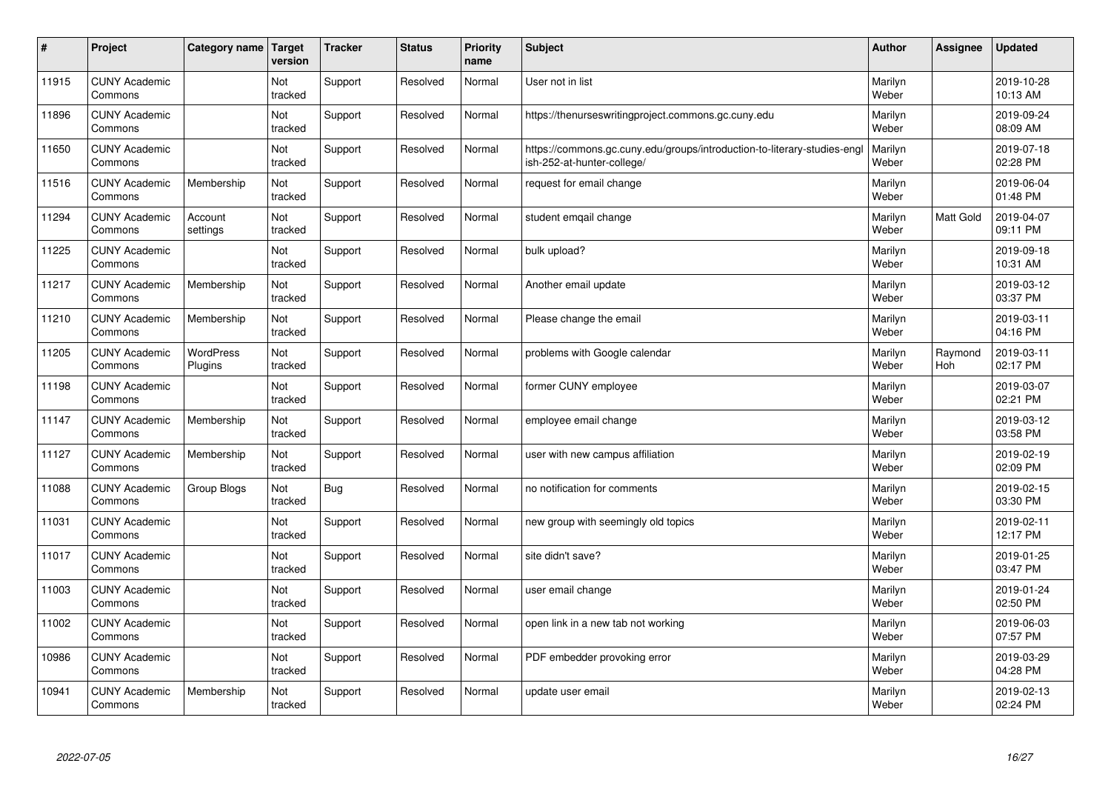| $\sharp$ | Project                         | Category name   Target      | version        | <b>Tracker</b> | <b>Status</b> | <b>Priority</b><br>name | <b>Subject</b>                                                                                        | <b>Author</b>    | Assignee              | <b>Updated</b>         |
|----------|---------------------------------|-----------------------------|----------------|----------------|---------------|-------------------------|-------------------------------------------------------------------------------------------------------|------------------|-----------------------|------------------------|
| 11915    | <b>CUNY Academic</b><br>Commons |                             | Not<br>tracked | Support        | Resolved      | Normal                  | User not in list                                                                                      | Marilyn<br>Weber |                       | 2019-10-28<br>10:13 AM |
| 11896    | <b>CUNY Academic</b><br>Commons |                             | Not<br>tracked | Support        | Resolved      | Normal                  | https://thenurseswritingproject.commons.gc.cuny.edu                                                   | Marilyn<br>Weber |                       | 2019-09-24<br>08:09 AM |
| 11650    | <b>CUNY Academic</b><br>Commons |                             | Not<br>tracked | Support        | Resolved      | Normal                  | https://commons.gc.cuny.edu/groups/introduction-to-literary-studies-eng<br>ish-252-at-hunter-college/ | Marilyn<br>Weber |                       | 2019-07-18<br>02:28 PM |
| 11516    | <b>CUNY Academic</b><br>Commons | Membership                  | Not<br>tracked | Support        | Resolved      | Normal                  | request for email change                                                                              | Marilyn<br>Weber |                       | 2019-06-04<br>01:48 PM |
| 11294    | <b>CUNY Academic</b><br>Commons | Account<br>settings         | Not<br>tracked | Support        | Resolved      | Normal                  | student emgail change                                                                                 | Marilyn<br>Weber | Matt Gold             | 2019-04-07<br>09:11 PM |
| 11225    | <b>CUNY Academic</b><br>Commons |                             | Not<br>tracked | Support        | Resolved      | Normal                  | bulk upload?                                                                                          | Marilyn<br>Weber |                       | 2019-09-18<br>10:31 AM |
| 11217    | <b>CUNY Academic</b><br>Commons | Membership                  | Not<br>tracked | Support        | Resolved      | Normal                  | Another email update                                                                                  | Marilyn<br>Weber |                       | 2019-03-12<br>03:37 PM |
| 11210    | <b>CUNY Academic</b><br>Commons | Membership                  | Not<br>tracked | Support        | Resolved      | Normal                  | Please change the email                                                                               | Marilyn<br>Weber |                       | 2019-03-11<br>04:16 PM |
| 11205    | <b>CUNY Academic</b><br>Commons | <b>WordPress</b><br>Plugins | Not<br>tracked | Support        | Resolved      | Normal                  | problems with Google calendar                                                                         | Marilyn<br>Weber | Raymond<br><b>Hoh</b> | 2019-03-11<br>02:17 PM |
| 11198    | <b>CUNY Academic</b><br>Commons |                             | Not<br>tracked | Support        | Resolved      | Normal                  | former CUNY employee                                                                                  | Marilyn<br>Weber |                       | 2019-03-07<br>02:21 PM |
| 11147    | <b>CUNY Academic</b><br>Commons | Membership                  | Not<br>tracked | Support        | Resolved      | Normal                  | employee email change                                                                                 | Marilyn<br>Weber |                       | 2019-03-12<br>03:58 PM |
| 11127    | <b>CUNY Academic</b><br>Commons | Membership                  | Not<br>tracked | Support        | Resolved      | Normal                  | user with new campus affiliation                                                                      | Marilyn<br>Weber |                       | 2019-02-19<br>02:09 PM |
| 11088    | <b>CUNY Academic</b><br>Commons | Group Blogs                 | Not<br>tracked | Bug            | Resolved      | Normal                  | no notification for comments                                                                          | Marilyn<br>Weber |                       | 2019-02-15<br>03:30 PM |
| 11031    | <b>CUNY Academic</b><br>Commons |                             | Not<br>tracked | Support        | Resolved      | Normal                  | new group with seemingly old topics                                                                   | Marilyn<br>Weber |                       | 2019-02-11<br>12:17 PM |
| 11017    | <b>CUNY Academic</b><br>Commons |                             | Not<br>tracked | Support        | Resolved      | Normal                  | site didn't save?                                                                                     | Marilyn<br>Weber |                       | 2019-01-25<br>03:47 PM |
| 11003    | <b>CUNY Academic</b><br>Commons |                             | Not<br>tracked | Support        | Resolved      | Normal                  | user email change                                                                                     | Marilyn<br>Weber |                       | 2019-01-24<br>02:50 PM |
| 11002    | <b>CUNY Academic</b><br>Commons |                             | Not<br>tracked | Support        | Resolved      | Normal                  | open link in a new tab not working                                                                    | Marilyn<br>Weber |                       | 2019-06-03<br>07:57 PM |
| 10986    | <b>CUNY Academic</b><br>Commons |                             | Not<br>tracked | Support        | Resolved      | Normal                  | PDF embedder provoking error                                                                          | Marilyn<br>Weber |                       | 2019-03-29<br>04:28 PM |
| 10941    | <b>CUNY Academic</b><br>Commons | Membership                  | Not<br>tracked | Support        | Resolved      | Normal                  | update user email                                                                                     | Marilyn<br>Weber |                       | 2019-02-13<br>02:24 PM |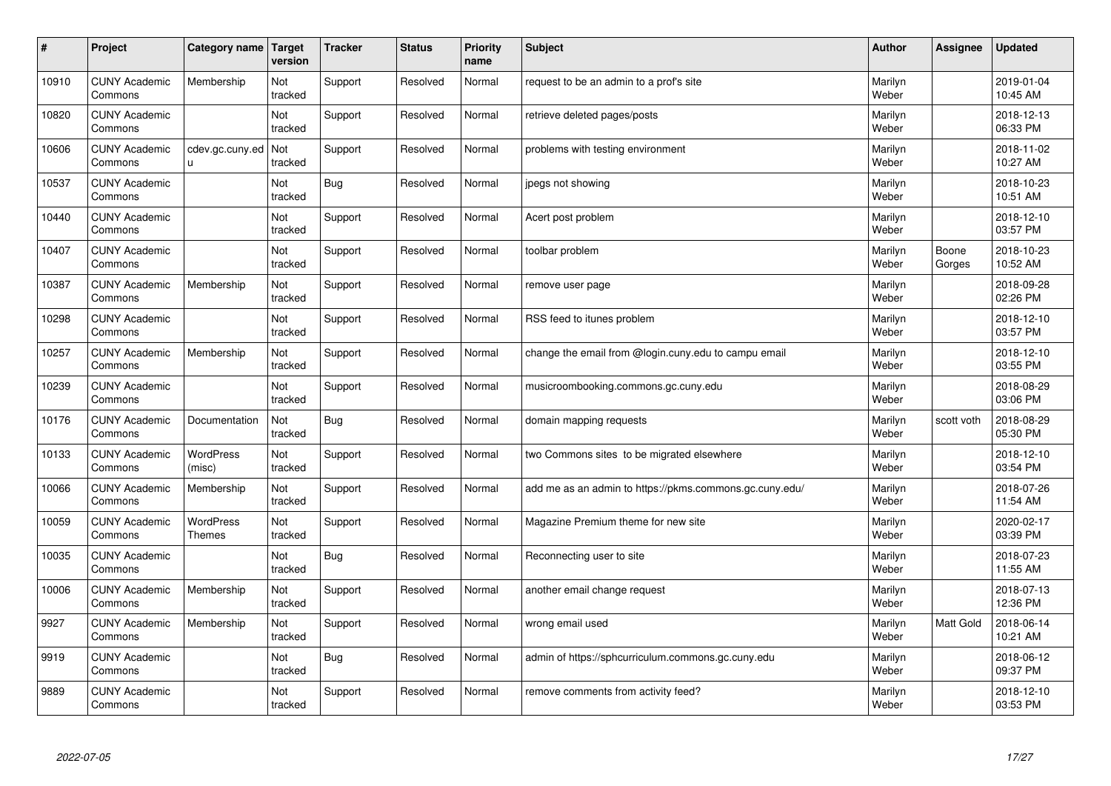| $\pmb{\#}$ | Project                         | Category name                     | Target<br>version | <b>Tracker</b> | <b>Status</b> | <b>Priority</b><br>name | <b>Subject</b>                                          | <b>Author</b>    | Assignee        | <b>Updated</b>         |
|------------|---------------------------------|-----------------------------------|-------------------|----------------|---------------|-------------------------|---------------------------------------------------------|------------------|-----------------|------------------------|
| 10910      | <b>CUNY Academic</b><br>Commons | Membership                        | Not<br>tracked    | Support        | Resolved      | Normal                  | request to be an admin to a prof's site                 | Marilyn<br>Weber |                 | 2019-01-04<br>10:45 AM |
| 10820      | <b>CUNY Academic</b><br>Commons |                                   | Not<br>tracked    | Support        | Resolved      | Normal                  | retrieve deleted pages/posts                            | Marilyn<br>Weber |                 | 2018-12-13<br>06:33 PM |
| 10606      | <b>CUNY Academic</b><br>Commons | cdev.gc.cuny.ed<br>u              | Not<br>tracked    | Support        | Resolved      | Normal                  | problems with testing environment                       | Marilyn<br>Weber |                 | 2018-11-02<br>10:27 AM |
| 10537      | <b>CUNY Academic</b><br>Commons |                                   | Not<br>tracked    | Bug            | Resolved      | Normal                  | jpegs not showing                                       | Marilyn<br>Weber |                 | 2018-10-23<br>10:51 AM |
| 10440      | <b>CUNY Academic</b><br>Commons |                                   | Not<br>tracked    | Support        | Resolved      | Normal                  | Acert post problem                                      | Marilyn<br>Weber |                 | 2018-12-10<br>03:57 PM |
| 10407      | <b>CUNY Academic</b><br>Commons |                                   | Not<br>tracked    | Support        | Resolved      | Normal                  | toolbar problem                                         | Marilyn<br>Weber | Boone<br>Gorges | 2018-10-23<br>10:52 AM |
| 10387      | <b>CUNY Academic</b><br>Commons | Membership                        | Not<br>tracked    | Support        | Resolved      | Normal                  | remove user page                                        | Marilyn<br>Weber |                 | 2018-09-28<br>02:26 PM |
| 10298      | <b>CUNY Academic</b><br>Commons |                                   | Not<br>tracked    | Support        | Resolved      | Normal                  | RSS feed to itunes problem                              | Marilyn<br>Weber |                 | 2018-12-10<br>03:57 PM |
| 10257      | <b>CUNY Academic</b><br>Commons | Membership                        | Not<br>tracked    | Support        | Resolved      | Normal                  | change the email from @login.cuny.edu to campu email    | Marilyn<br>Weber |                 | 2018-12-10<br>03:55 PM |
| 10239      | <b>CUNY Academic</b><br>Commons |                                   | Not<br>tracked    | Support        | Resolved      | Normal                  | musicroombooking.commons.gc.cuny.edu                    | Marilyn<br>Weber |                 | 2018-08-29<br>03:06 PM |
| 10176      | <b>CUNY Academic</b><br>Commons | Documentation                     | Not<br>tracked    | Bug            | Resolved      | Normal                  | domain mapping requests                                 | Marilyn<br>Weber | scott voth      | 2018-08-29<br>05:30 PM |
| 10133      | <b>CUNY Academic</b><br>Commons | <b>WordPress</b><br>(misc)        | Not<br>tracked    | Support        | Resolved      | Normal                  | two Commons sites to be migrated elsewhere              | Marilyn<br>Weber |                 | 2018-12-10<br>03:54 PM |
| 10066      | <b>CUNY Academic</b><br>Commons | Membership                        | Not<br>tracked    | Support        | Resolved      | Normal                  | add me as an admin to https://pkms.commons.gc.cuny.edu/ | Marilyn<br>Weber |                 | 2018-07-26<br>11:54 AM |
| 10059      | <b>CUNY Academic</b><br>Commons | <b>WordPress</b><br><b>Themes</b> | Not<br>tracked    | Support        | Resolved      | Normal                  | Magazine Premium theme for new site                     | Marilyn<br>Weber |                 | 2020-02-17<br>03:39 PM |
| 10035      | <b>CUNY Academic</b><br>Commons |                                   | Not<br>tracked    | Bug            | Resolved      | Normal                  | Reconnecting user to site                               | Marilyn<br>Weber |                 | 2018-07-23<br>11:55 AM |
| 10006      | <b>CUNY Academic</b><br>Commons | Membership                        | Not<br>tracked    | Support        | Resolved      | Normal                  | another email change request                            | Marilyn<br>Weber |                 | 2018-07-13<br>12:36 PM |
| 9927       | <b>CUNY Academic</b><br>Commons | Membership                        | Not<br>tracked    | Support        | Resolved      | Normal                  | wrong email used                                        | Marilyn<br>Weber | Matt Gold       | 2018-06-14<br>10:21 AM |
| 9919       | <b>CUNY Academic</b><br>Commons |                                   | Not<br>tracked    | Bug            | Resolved      | Normal                  | admin of https://sphcurriculum.commons.gc.cuny.edu      | Marilyn<br>Weber |                 | 2018-06-12<br>09:37 PM |
| 9889       | <b>CUNY Academic</b><br>Commons |                                   | Not<br>tracked    | Support        | Resolved      | Normal                  | remove comments from activity feed?                     | Marilyn<br>Weber |                 | 2018-12-10<br>03:53 PM |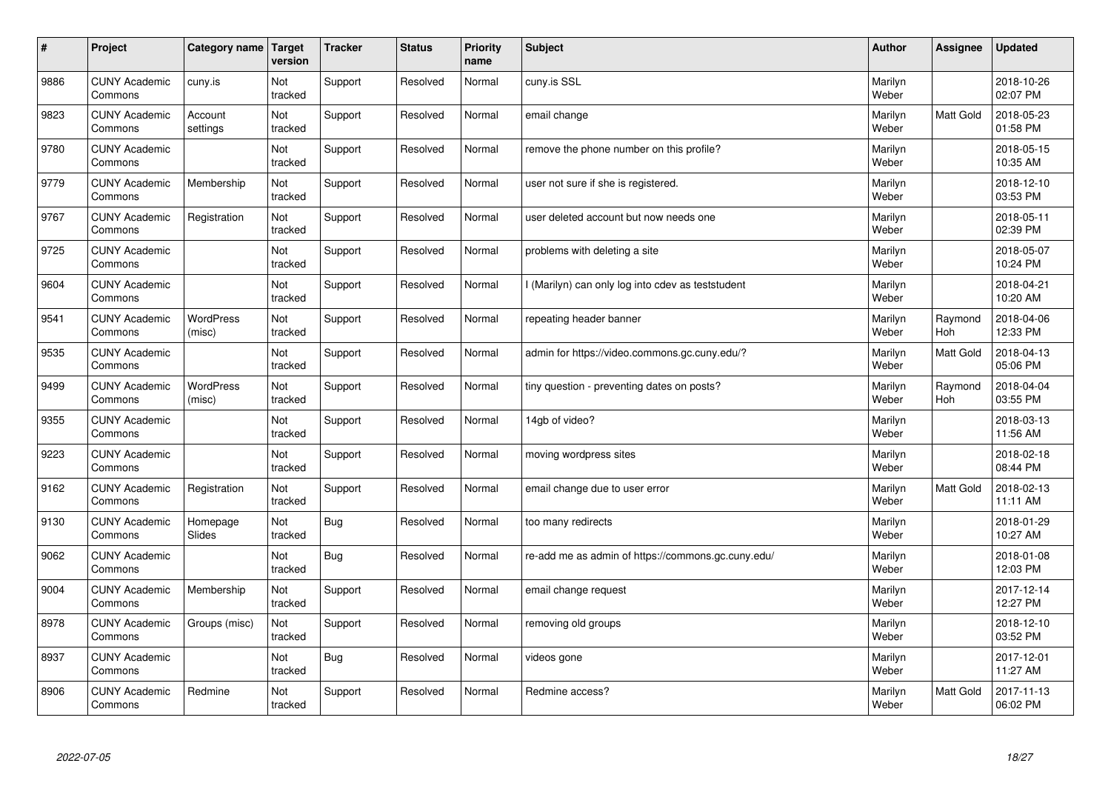| $\vert$ # | Project                         | Category name              | Target<br>version | <b>Tracker</b> | <b>Status</b> | <b>Priority</b><br>name | <b>Subject</b>                                     | <b>Author</b>    | Assignee         | <b>Updated</b>         |
|-----------|---------------------------------|----------------------------|-------------------|----------------|---------------|-------------------------|----------------------------------------------------|------------------|------------------|------------------------|
| 9886      | <b>CUNY Academic</b><br>Commons | cuny.is                    | Not<br>tracked    | Support        | Resolved      | Normal                  | cuny.is SSL                                        | Marilyn<br>Weber |                  | 2018-10-26<br>02:07 PM |
| 9823      | <b>CUNY Academic</b><br>Commons | Account<br>settings        | Not<br>tracked    | Support        | Resolved      | Normal                  | email change                                       | Marilyn<br>Weber | Matt Gold        | 2018-05-23<br>01:58 PM |
| 9780      | <b>CUNY Academic</b><br>Commons |                            | Not<br>tracked    | Support        | Resolved      | Normal                  | remove the phone number on this profile?           | Marilyn<br>Weber |                  | 2018-05-15<br>10:35 AM |
| 9779      | <b>CUNY Academic</b><br>Commons | Membership                 | Not<br>tracked    | Support        | Resolved      | Normal                  | user not sure if she is registered.                | Marilyn<br>Weber |                  | 2018-12-10<br>03:53 PM |
| 9767      | <b>CUNY Academic</b><br>Commons | Registration               | Not<br>tracked    | Support        | Resolved      | Normal                  | user deleted account but now needs one             | Marilyn<br>Weber |                  | 2018-05-11<br>02:39 PM |
| 9725      | <b>CUNY Academic</b><br>Commons |                            | Not<br>tracked    | Support        | Resolved      | Normal                  | problems with deleting a site                      | Marilyn<br>Weber |                  | 2018-05-07<br>10:24 PM |
| 9604      | <b>CUNY Academic</b><br>Commons |                            | Not<br>tracked    | Support        | Resolved      | Normal                  | I (Marilyn) can only log into cdev as teststudent  | Marilyn<br>Weber |                  | 2018-04-21<br>10:20 AM |
| 9541      | <b>CUNY Academic</b><br>Commons | <b>WordPress</b><br>(misc) | Not<br>tracked    | Support        | Resolved      | Normal                  | repeating header banner                            | Marilyn<br>Weber | Raymond<br>Hoh   | 2018-04-06<br>12:33 PM |
| 9535      | <b>CUNY Academic</b><br>Commons |                            | Not<br>tracked    | Support        | Resolved      | Normal                  | admin for https://video.commons.gc.cuny.edu/?      | Marilyn<br>Weber | <b>Matt Gold</b> | 2018-04-13<br>05:06 PM |
| 9499      | <b>CUNY Academic</b><br>Commons | WordPress<br>(misc)        | Not<br>tracked    | Support        | Resolved      | Normal                  | tiny question - preventing dates on posts?         | Marilyn<br>Weber | Raymond<br>Hoh   | 2018-04-04<br>03:55 PM |
| 9355      | <b>CUNY Academic</b><br>Commons |                            | Not<br>tracked    | Support        | Resolved      | Normal                  | 14gb of video?                                     | Marilyn<br>Weber |                  | 2018-03-13<br>11:56 AM |
| 9223      | <b>CUNY Academic</b><br>Commons |                            | Not<br>tracked    | Support        | Resolved      | Normal                  | moving wordpress sites                             | Marilyn<br>Weber |                  | 2018-02-18<br>08:44 PM |
| 9162      | <b>CUNY Academic</b><br>Commons | Registration               | Not<br>tracked    | Support        | Resolved      | Normal                  | email change due to user error                     | Marilyn<br>Weber | Matt Gold        | 2018-02-13<br>11:11 AM |
| 9130      | <b>CUNY Academic</b><br>Commons | Homepage<br>Slides         | Not<br>tracked    | <b>Bug</b>     | Resolved      | Normal                  | too many redirects                                 | Marilyn<br>Weber |                  | 2018-01-29<br>10:27 AM |
| 9062      | <b>CUNY Academic</b><br>Commons |                            | Not<br>tracked    | <b>Bug</b>     | Resolved      | Normal                  | re-add me as admin of https://commons.gc.cuny.edu/ | Marilyn<br>Weber |                  | 2018-01-08<br>12:03 PM |
| 9004      | <b>CUNY Academic</b><br>Commons | Membership                 | Not<br>tracked    | Support        | Resolved      | Normal                  | email change request                               | Marilyn<br>Weber |                  | 2017-12-14<br>12:27 PM |
| 8978      | <b>CUNY Academic</b><br>Commons | Groups (misc)              | Not<br>tracked    | Support        | Resolved      | Normal                  | removing old groups                                | Marilyn<br>Weber |                  | 2018-12-10<br>03:52 PM |
| 8937      | <b>CUNY Academic</b><br>Commons |                            | Not<br>tracked    | <b>Bug</b>     | Resolved      | Normal                  | videos gone                                        | Marilyn<br>Weber |                  | 2017-12-01<br>11:27 AM |
| 8906      | <b>CUNY Academic</b><br>Commons | Redmine                    | Not<br>tracked    | Support        | Resolved      | Normal                  | Redmine access?                                    | Marilyn<br>Weber | <b>Matt Gold</b> | 2017-11-13<br>06:02 PM |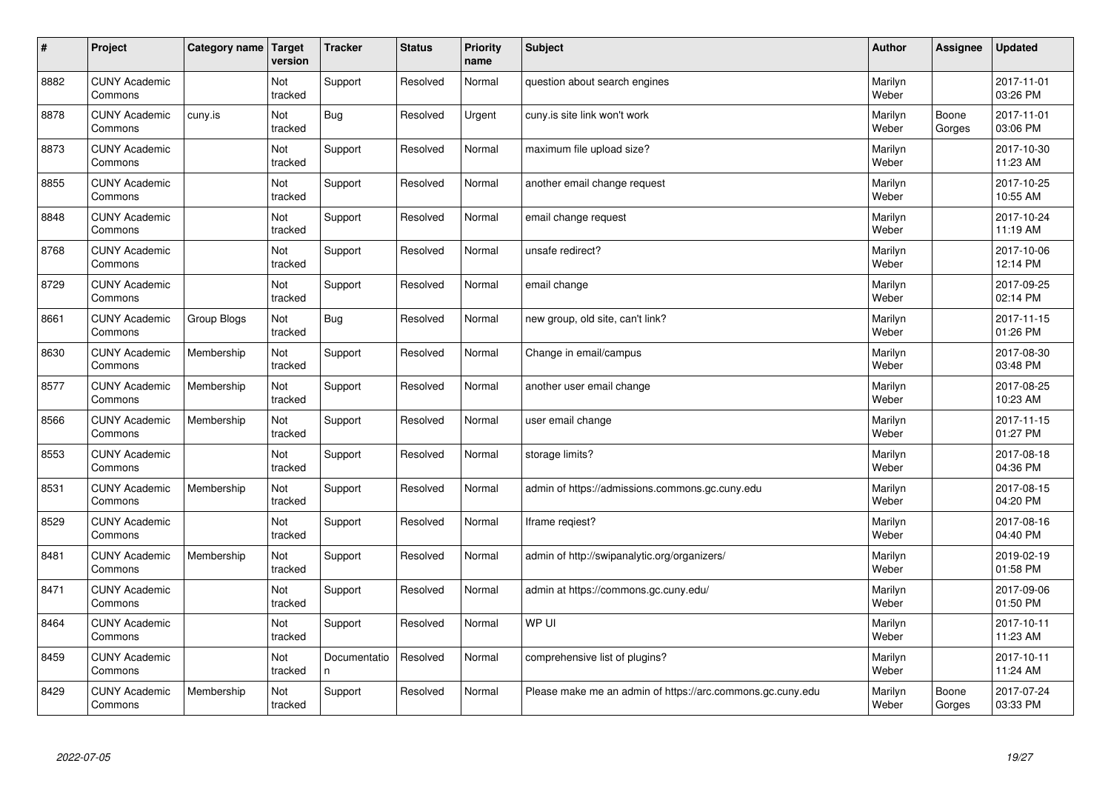| $\vert$ # | Project                         | Category name | Target<br>version     | <b>Tracker</b>     | <b>Status</b> | <b>Priority</b><br>name | <b>Subject</b>                                             | <b>Author</b>    | Assignee        | <b>Updated</b>         |
|-----------|---------------------------------|---------------|-----------------------|--------------------|---------------|-------------------------|------------------------------------------------------------|------------------|-----------------|------------------------|
| 8882      | <b>CUNY Academic</b><br>Commons |               | Not<br>tracked        | Support            | Resolved      | Normal                  | question about search engines                              | Marilyn<br>Weber |                 | 2017-11-01<br>03:26 PM |
| 8878      | <b>CUNY Academic</b><br>Commons | cuny.is       | Not<br>tracked        | <b>Bug</b>         | Resolved      | Urgent                  | cuny is site link won't work                               | Marilyn<br>Weber | Boone<br>Gorges | 2017-11-01<br>03:06 PM |
| 8873      | <b>CUNY Academic</b><br>Commons |               | Not<br>tracked        | Support            | Resolved      | Normal                  | maximum file upload size?                                  | Marilyn<br>Weber |                 | 2017-10-30<br>11:23 AM |
| 8855      | <b>CUNY Academic</b><br>Commons |               | Not<br>tracked        | Support            | Resolved      | Normal                  | another email change request                               | Marilyn<br>Weber |                 | 2017-10-25<br>10:55 AM |
| 8848      | <b>CUNY Academic</b><br>Commons |               | <b>Not</b><br>tracked | Support            | Resolved      | Normal                  | email change request                                       | Marilyn<br>Weber |                 | 2017-10-24<br>11:19 AM |
| 8768      | <b>CUNY Academic</b><br>Commons |               | Not<br>tracked        | Support            | Resolved      | Normal                  | unsafe redirect?                                           | Marilyn<br>Weber |                 | 2017-10-06<br>12:14 PM |
| 8729      | <b>CUNY Academic</b><br>Commons |               | Not<br>tracked        | Support            | Resolved      | Normal                  | email change                                               | Marilyn<br>Weber |                 | 2017-09-25<br>02:14 PM |
| 8661      | <b>CUNY Academic</b><br>Commons | Group Blogs   | Not<br>tracked        | <b>Bug</b>         | Resolved      | Normal                  | new group, old site, can't link?                           | Marilyn<br>Weber |                 | 2017-11-15<br>01:26 PM |
| 8630      | <b>CUNY Academic</b><br>Commons | Membership    | Not<br>tracked        | Support            | Resolved      | Normal                  | Change in email/campus                                     | Marilyn<br>Weber |                 | 2017-08-30<br>03:48 PM |
| 8577      | <b>CUNY Academic</b><br>Commons | Membership    | Not<br>tracked        | Support            | Resolved      | Normal                  | another user email change                                  | Marilyn<br>Weber |                 | 2017-08-25<br>10:23 AM |
| 8566      | <b>CUNY Academic</b><br>Commons | Membership    | Not<br>tracked        | Support            | Resolved      | Normal                  | user email change                                          | Marilyn<br>Weber |                 | 2017-11-15<br>01:27 PM |
| 8553      | <b>CUNY Academic</b><br>Commons |               | Not<br>tracked        | Support            | Resolved      | Normal                  | storage limits?                                            | Marilyn<br>Weber |                 | 2017-08-18<br>04:36 PM |
| 8531      | <b>CUNY Academic</b><br>Commons | Membership    | Not<br>tracked        | Support            | Resolved      | Normal                  | admin of https://admissions.commons.gc.cuny.edu            | Marilyn<br>Weber |                 | 2017-08-15<br>04:20 PM |
| 8529      | <b>CUNY Academic</b><br>Commons |               | Not<br>tracked        | Support            | Resolved      | Normal                  | Iframe regiest?                                            | Marilyn<br>Weber |                 | 2017-08-16<br>04:40 PM |
| 8481      | <b>CUNY Academic</b><br>Commons | Membership    | Not<br>tracked        | Support            | Resolved      | Normal                  | admin of http://swipanalytic.org/organizers/               | Marilyn<br>Weber |                 | 2019-02-19<br>01:58 PM |
| 8471      | <b>CUNY Academic</b><br>Commons |               | Not<br>tracked        | Support            | Resolved      | Normal                  | admin at https://commons.gc.cuny.edu/                      | Marilyn<br>Weber |                 | 2017-09-06<br>01:50 PM |
| 8464      | <b>CUNY Academic</b><br>Commons |               | Not<br>tracked        | Support            | Resolved      | Normal                  | WP UI                                                      | Marilyn<br>Weber |                 | 2017-10-11<br>11:23 AM |
| 8459      | <b>CUNY Academic</b><br>Commons |               | Not<br>tracked        | Documentatio<br>n. | Resolved      | Normal                  | comprehensive list of plugins?                             | Marilyn<br>Weber |                 | 2017-10-11<br>11:24 AM |
| 8429      | <b>CUNY Academic</b><br>Commons | Membership    | Not<br>tracked        | Support            | Resolved      | Normal                  | Please make me an admin of https://arc.commons.gc.cuny.edu | Marilyn<br>Weber | Boone<br>Gorges | 2017-07-24<br>03:33 PM |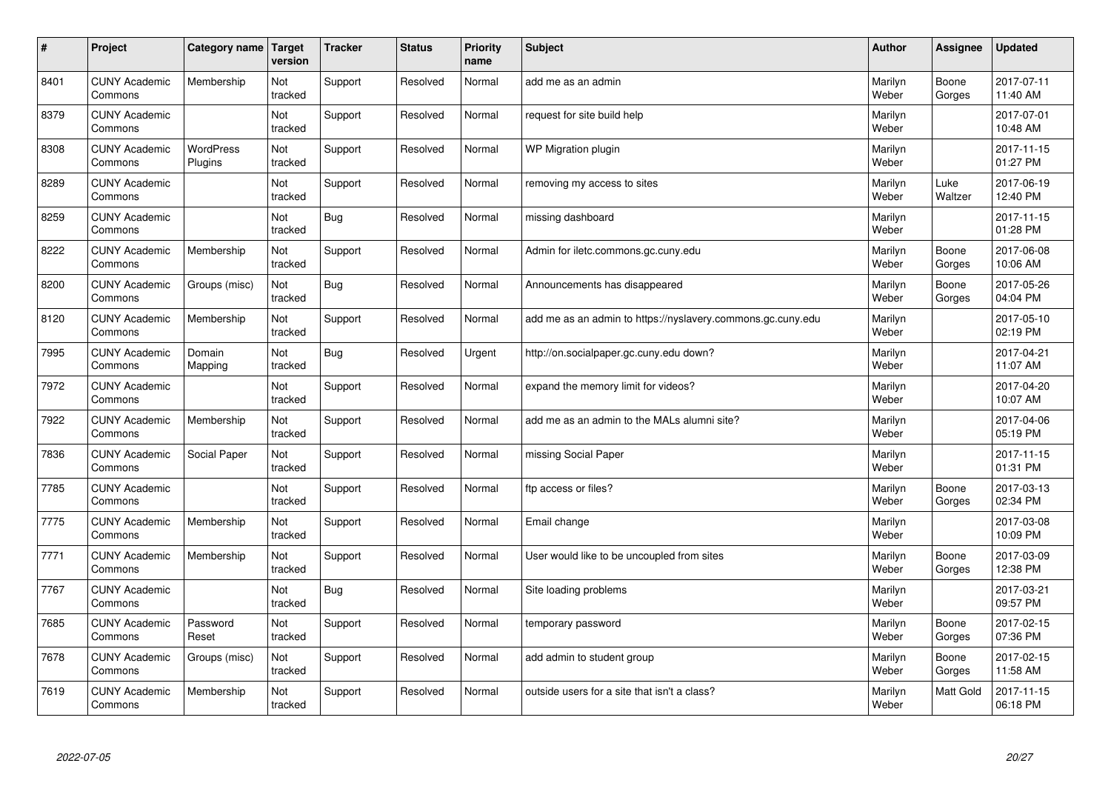| #    | Project                         | Category name               | Target<br>version | <b>Tracker</b> | <b>Status</b> | <b>Priority</b><br>name | <b>Subject</b>                                              | <b>Author</b>    | Assignee         | <b>Updated</b>         |
|------|---------------------------------|-----------------------------|-------------------|----------------|---------------|-------------------------|-------------------------------------------------------------|------------------|------------------|------------------------|
| 8401 | <b>CUNY Academic</b><br>Commons | Membership                  | Not<br>tracked    | Support        | Resolved      | Normal                  | add me as an admin                                          | Marilyn<br>Weber | Boone<br>Gorges  | 2017-07-11<br>11:40 AM |
| 8379 | <b>CUNY Academic</b><br>Commons |                             | Not<br>tracked    | Support        | Resolved      | Normal                  | request for site build help                                 | Marilyn<br>Weber |                  | 2017-07-01<br>10:48 AM |
| 8308 | <b>CUNY Academic</b><br>Commons | <b>WordPress</b><br>Plugins | Not<br>tracked    | Support        | Resolved      | Normal                  | WP Migration plugin                                         | Marilyn<br>Weber |                  | 2017-11-15<br>01:27 PM |
| 8289 | <b>CUNY Academic</b><br>Commons |                             | Not<br>tracked    | Support        | Resolved      | Normal                  | removing my access to sites                                 | Marilyn<br>Weber | Luke<br>Waltzer  | 2017-06-19<br>12:40 PM |
| 8259 | <b>CUNY Academic</b><br>Commons |                             | Not<br>tracked    | Bug            | Resolved      | Normal                  | missing dashboard                                           | Marilyn<br>Weber |                  | 2017-11-15<br>01:28 PM |
| 8222 | <b>CUNY Academic</b><br>Commons | Membership                  | Not<br>tracked    | Support        | Resolved      | Normal                  | Admin for iletc.commons.gc.cuny.edu                         | Marilyn<br>Weber | Boone<br>Gorges  | 2017-06-08<br>10:06 AM |
| 8200 | <b>CUNY Academic</b><br>Commons | Groups (misc)               | Not<br>tracked    | Bug            | Resolved      | Normal                  | Announcements has disappeared                               | Marilyn<br>Weber | Boone<br>Gorges  | 2017-05-26<br>04:04 PM |
| 8120 | <b>CUNY Academic</b><br>Commons | Membership                  | Not<br>tracked    | Support        | Resolved      | Normal                  | add me as an admin to https://nyslavery.commons.gc.cuny.edu | Marilyn<br>Weber |                  | 2017-05-10<br>02:19 PM |
| 7995 | <b>CUNY Academic</b><br>Commons | Domain<br>Mapping           | Not<br>tracked    | Bug            | Resolved      | Urgent                  | http://on.socialpaper.gc.cuny.edu down?                     | Marilyn<br>Weber |                  | 2017-04-21<br>11:07 AM |
| 7972 | <b>CUNY Academic</b><br>Commons |                             | Not<br>tracked    | Support        | Resolved      | Normal                  | expand the memory limit for videos?                         | Marilyn<br>Weber |                  | 2017-04-20<br>10:07 AM |
| 7922 | <b>CUNY Academic</b><br>Commons | Membership                  | Not<br>tracked    | Support        | Resolved      | Normal                  | add me as an admin to the MALs alumni site?                 | Marilyn<br>Weber |                  | 2017-04-06<br>05:19 PM |
| 7836 | <b>CUNY Academic</b><br>Commons | Social Paper                | Not<br>tracked    | Support        | Resolved      | Normal                  | missing Social Paper                                        | Marilyn<br>Weber |                  | 2017-11-15<br>01:31 PM |
| 7785 | <b>CUNY Academic</b><br>Commons |                             | Not<br>tracked    | Support        | Resolved      | Normal                  | ftp access or files?                                        | Marilyn<br>Weber | Boone<br>Gorges  | 2017-03-13<br>02:34 PM |
| 7775 | <b>CUNY Academic</b><br>Commons | Membership                  | Not<br>tracked    | Support        | Resolved      | Normal                  | Email change                                                | Marilyn<br>Weber |                  | 2017-03-08<br>10:09 PM |
| 7771 | <b>CUNY Academic</b><br>Commons | Membership                  | Not<br>tracked    | Support        | Resolved      | Normal                  | User would like to be uncoupled from sites                  | Marilyn<br>Weber | Boone<br>Gorges  | 2017-03-09<br>12:38 PM |
| 7767 | <b>CUNY Academic</b><br>Commons |                             | Not<br>tracked    | Bug            | Resolved      | Normal                  | Site loading problems                                       | Marilyn<br>Weber |                  | 2017-03-21<br>09:57 PM |
| 7685 | <b>CUNY Academic</b><br>Commons | Password<br>Reset           | Not<br>tracked    | Support        | Resolved      | Normal                  | temporary password                                          | Marilyn<br>Weber | Boone<br>Gorges  | 2017-02-15<br>07:36 PM |
| 7678 | <b>CUNY Academic</b><br>Commons | Groups (misc)               | Not<br>tracked    | Support        | Resolved      | Normal                  | add admin to student group                                  | Marilyn<br>Weber | Boone<br>Gorges  | 2017-02-15<br>11:58 AM |
| 7619 | <b>CUNY Academic</b><br>Commons | Membership                  | Not<br>tracked    | Support        | Resolved      | Normal                  | outside users for a site that isn't a class?                | Marilyn<br>Weber | <b>Matt Gold</b> | 2017-11-15<br>06:18 PM |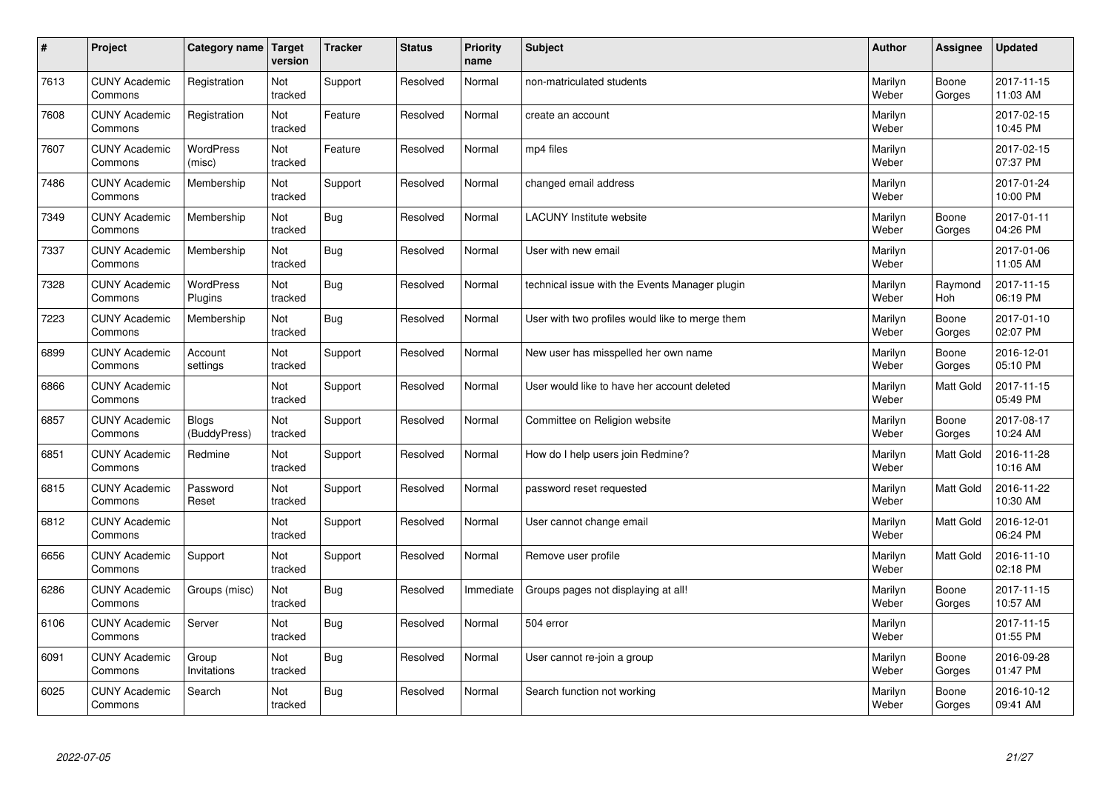| #    | Project                         | Category name                | Target<br>version | <b>Tracker</b> | <b>Status</b> | <b>Priority</b><br>name | <b>Subject</b>                                  | <b>Author</b>    | Assignee         | <b>Updated</b>         |
|------|---------------------------------|------------------------------|-------------------|----------------|---------------|-------------------------|-------------------------------------------------|------------------|------------------|------------------------|
| 7613 | <b>CUNY Academic</b><br>Commons | Registration                 | Not<br>tracked    | Support        | Resolved      | Normal                  | non-matriculated students                       | Marilyn<br>Weber | Boone<br>Gorges  | 2017-11-15<br>11:03 AM |
| 7608 | <b>CUNY Academic</b><br>Commons | Registration                 | Not<br>tracked    | Feature        | Resolved      | Normal                  | create an account                               | Marilyn<br>Weber |                  | 2017-02-15<br>10:45 PM |
| 7607 | <b>CUNY Academic</b><br>Commons | <b>WordPress</b><br>(misc)   | Not<br>tracked    | Feature        | Resolved      | Normal                  | mp4 files                                       | Marilyn<br>Weber |                  | 2017-02-15<br>07:37 PM |
| 7486 | <b>CUNY Academic</b><br>Commons | Membership                   | Not<br>tracked    | Support        | Resolved      | Normal                  | changed email address                           | Marilyn<br>Weber |                  | 2017-01-24<br>10:00 PM |
| 7349 | <b>CUNY Academic</b><br>Commons | Membership                   | Not<br>tracked    | Bug            | Resolved      | Normal                  | <b>LACUNY Institute website</b>                 | Marilyn<br>Weber | Boone<br>Gorges  | 2017-01-11<br>04:26 PM |
| 7337 | <b>CUNY Academic</b><br>Commons | Membership                   | Not<br>tracked    | Bug            | Resolved      | Normal                  | User with new email                             | Marilyn<br>Weber |                  | 2017-01-06<br>11:05 AM |
| 7328 | <b>CUNY Academic</b><br>Commons | WordPress<br>Plugins         | Not<br>tracked    | Bug            | Resolved      | Normal                  | technical issue with the Events Manager plugin  | Marilyn<br>Weber | Raymond<br>Hoh   | 2017-11-15<br>06:19 PM |
| 7223 | <b>CUNY Academic</b><br>Commons | Membership                   | Not<br>tracked    | Bug            | Resolved      | Normal                  | User with two profiles would like to merge them | Marilyn<br>Weber | Boone<br>Gorges  | 2017-01-10<br>02:07 PM |
| 6899 | <b>CUNY Academic</b><br>Commons | Account<br>settings          | Not<br>tracked    | Support        | Resolved      | Normal                  | New user has misspelled her own name            | Marilyn<br>Weber | Boone<br>Gorges  | 2016-12-01<br>05:10 PM |
| 6866 | <b>CUNY Academic</b><br>Commons |                              | Not<br>tracked    | Support        | Resolved      | Normal                  | User would like to have her account deleted     | Marilyn<br>Weber | <b>Matt Gold</b> | 2017-11-15<br>05:49 PM |
| 6857 | <b>CUNY Academic</b><br>Commons | <b>Blogs</b><br>(BuddyPress) | Not<br>tracked    | Support        | Resolved      | Normal                  | Committee on Religion website                   | Marilyn<br>Weber | Boone<br>Gorges  | 2017-08-17<br>10:24 AM |
| 6851 | <b>CUNY Academic</b><br>Commons | Redmine                      | Not<br>tracked    | Support        | Resolved      | Normal                  | How do I help users join Redmine?               | Marilyn<br>Weber | <b>Matt Gold</b> | 2016-11-28<br>10:16 AM |
| 6815 | <b>CUNY Academic</b><br>Commons | Password<br>Reset            | Not<br>tracked    | Support        | Resolved      | Normal                  | password reset requested                        | Marilyn<br>Weber | Matt Gold        | 2016-11-22<br>10:30 AM |
| 6812 | <b>CUNY Academic</b><br>Commons |                              | Not<br>tracked    | Support        | Resolved      | Normal                  | User cannot change email                        | Marilyn<br>Weber | Matt Gold        | 2016-12-01<br>06:24 PM |
| 6656 | <b>CUNY Academic</b><br>Commons | Support                      | Not<br>tracked    | Support        | Resolved      | Normal                  | Remove user profile                             | Marilyn<br>Weber | Matt Gold        | 2016-11-10<br>02:18 PM |
| 6286 | <b>CUNY Academic</b><br>Commons | Groups (misc)                | Not<br>tracked    | Bug            | Resolved      | Immediate               | Groups pages not displaying at all!             | Marilyn<br>Weber | Boone<br>Gorges  | 2017-11-15<br>10:57 AM |
| 6106 | <b>CUNY Academic</b><br>Commons | Server                       | Not<br>tracked    | Bug            | Resolved      | Normal                  | 504 error                                       | Marilyn<br>Weber |                  | 2017-11-15<br>01:55 PM |
| 6091 | <b>CUNY Academic</b><br>Commons | Group<br>Invitations         | Not<br>tracked    | Bug            | Resolved      | Normal                  | User cannot re-join a group                     | Marilyn<br>Weber | Boone<br>Gorges  | 2016-09-28<br>01:47 PM |
| 6025 | <b>CUNY Academic</b><br>Commons | Search                       | Not<br>tracked    | Bug            | Resolved      | Normal                  | Search function not working                     | Marilyn<br>Weber | Boone<br>Gorges  | 2016-10-12<br>09:41 AM |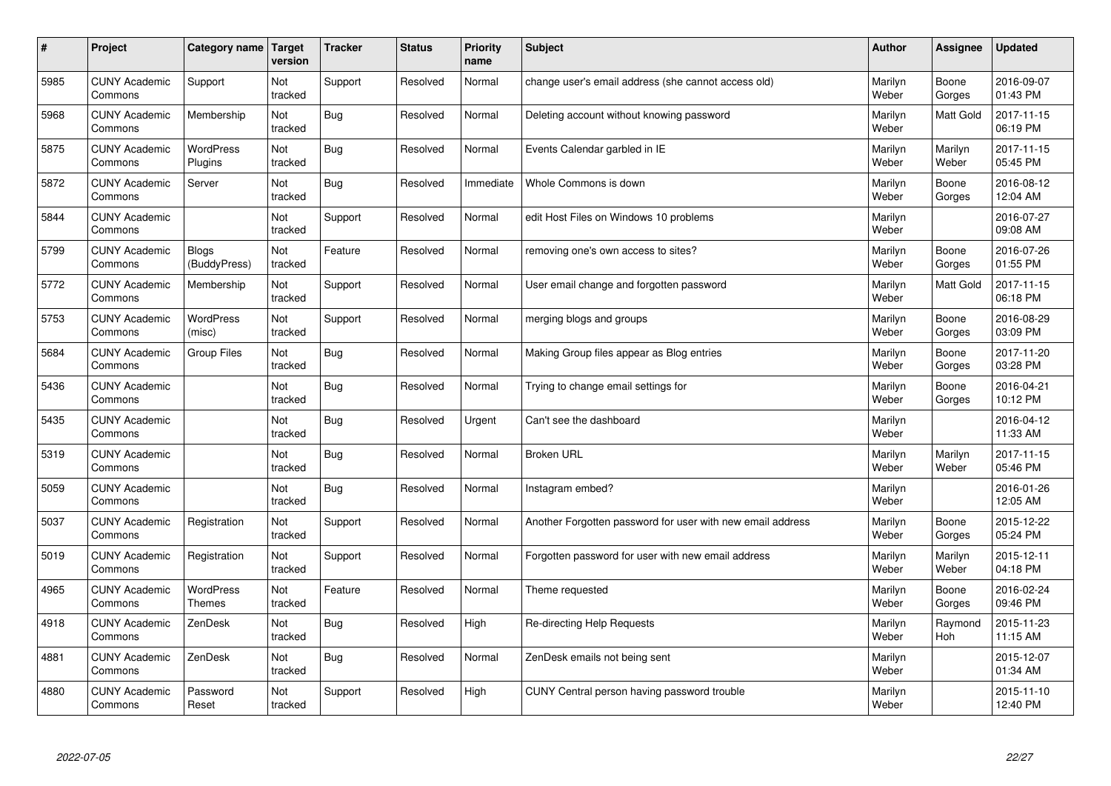| #    | Project                         | Category name   Target            | version        | <b>Tracker</b> | <b>Status</b> | Priority<br>name | <b>Subject</b>                                             | <b>Author</b>    | <b>Assignee</b>       | <b>Updated</b>         |
|------|---------------------------------|-----------------------------------|----------------|----------------|---------------|------------------|------------------------------------------------------------|------------------|-----------------------|------------------------|
| 5985 | <b>CUNY Academic</b><br>Commons | Support                           | Not<br>tracked | Support        | Resolved      | Normal           | change user's email address (she cannot access old)        | Marilyn<br>Weber | Boone<br>Gorges       | 2016-09-07<br>01:43 PM |
| 5968 | <b>CUNY Academic</b><br>Commons | Membership                        | Not<br>tracked | Bug            | Resolved      | Normal           | Deleting account without knowing password                  | Marilyn<br>Weber | <b>Matt Gold</b>      | 2017-11-15<br>06:19 PM |
| 5875 | <b>CUNY Academic</b><br>Commons | <b>WordPress</b><br>Plugins       | Not<br>tracked | Bug            | Resolved      | Normal           | Events Calendar garbled in IE                              | Marilyn<br>Weber | Marilyn<br>Weber      | 2017-11-15<br>05:45 PM |
| 5872 | <b>CUNY Academic</b><br>Commons | Server                            | Not<br>tracked | Bug            | Resolved      | Immediate        | Whole Commons is down                                      | Marilyn<br>Weber | Boone<br>Gorges       | 2016-08-12<br>12:04 AM |
| 5844 | <b>CUNY Academic</b><br>Commons |                                   | Not<br>tracked | Support        | Resolved      | Normal           | edit Host Files on Windows 10 problems                     | Marilyn<br>Weber |                       | 2016-07-27<br>09:08 AM |
| 5799 | <b>CUNY Academic</b><br>Commons | Blogs<br>(BuddyPress)             | Not<br>tracked | Feature        | Resolved      | Normal           | removing one's own access to sites?                        | Marilyn<br>Weber | Boone<br>Gorges       | 2016-07-26<br>01:55 PM |
| 5772 | <b>CUNY Academic</b><br>Commons | Membership                        | Not<br>tracked | Support        | Resolved      | Normal           | User email change and forgotten password                   | Marilyn<br>Weber | <b>Matt Gold</b>      | 2017-11-15<br>06:18 PM |
| 5753 | <b>CUNY Academic</b><br>Commons | <b>WordPress</b><br>(misc)        | Not<br>tracked | Support        | Resolved      | Normal           | merging blogs and groups                                   | Marilyn<br>Weber | Boone<br>Gorges       | 2016-08-29<br>03:09 PM |
| 5684 | <b>CUNY Academic</b><br>Commons | <b>Group Files</b>                | Not<br>tracked | Bug            | Resolved      | Normal           | Making Group files appear as Blog entries                  | Marilyn<br>Weber | Boone<br>Gorges       | 2017-11-20<br>03:28 PM |
| 5436 | <b>CUNY Academic</b><br>Commons |                                   | Not<br>tracked | Bug            | Resolved      | Normal           | Trying to change email settings for                        | Marilyn<br>Weber | Boone<br>Gorges       | 2016-04-21<br>10:12 PM |
| 5435 | <b>CUNY Academic</b><br>Commons |                                   | Not<br>tracked | Bug            | Resolved      | Urgent           | Can't see the dashboard                                    | Marilyn<br>Weber |                       | 2016-04-12<br>11:33 AM |
| 5319 | <b>CUNY Academic</b><br>Commons |                                   | Not<br>tracked | Bug            | Resolved      | Normal           | <b>Broken URL</b>                                          | Marilyn<br>Weber | Marilyn<br>Weber      | 2017-11-15<br>05:46 PM |
| 5059 | <b>CUNY Academic</b><br>Commons |                                   | Not<br>tracked | Bug            | Resolved      | Normal           | Instagram embed?                                           | Marilyn<br>Weber |                       | 2016-01-26<br>12:05 AM |
| 5037 | <b>CUNY Academic</b><br>Commons | Registration                      | Not<br>tracked | Support        | Resolved      | Normal           | Another Forgotten password for user with new email address | Marilyn<br>Weber | Boone<br>Gorges       | 2015-12-22<br>05:24 PM |
| 5019 | <b>CUNY Academic</b><br>Commons | Registration                      | Not<br>tracked | Support        | Resolved      | Normal           | Forgotten password for user with new email address         | Marilyn<br>Weber | Marilyn<br>Weber      | 2015-12-11<br>04:18 PM |
| 4965 | <b>CUNY Academic</b><br>Commons | <b>WordPress</b><br><b>Themes</b> | Not<br>tracked | Feature        | Resolved      | Normal           | Theme requested                                            | Marilyn<br>Weber | Boone<br>Gorges       | 2016-02-24<br>09:46 PM |
| 4918 | <b>CUNY Academic</b><br>Commons | ZenDesk                           | Not<br>tracked | Bug            | Resolved      | High             | Re-directing Help Requests                                 | Marilyn<br>Weber | Raymond<br><b>Hoh</b> | 2015-11-23<br>11:15 AM |
| 4881 | <b>CUNY Academic</b><br>Commons | ZenDesk                           | Not<br>tracked | Bug            | Resolved      | Normal           | ZenDesk emails not being sent                              | Marilyn<br>Weber |                       | 2015-12-07<br>01:34 AM |
| 4880 | <b>CUNY Academic</b><br>Commons | Password<br>Reset                 | Not<br>tracked | Support        | Resolved      | High             | CUNY Central person having password trouble                | Marilyn<br>Weber |                       | 2015-11-10<br>12:40 PM |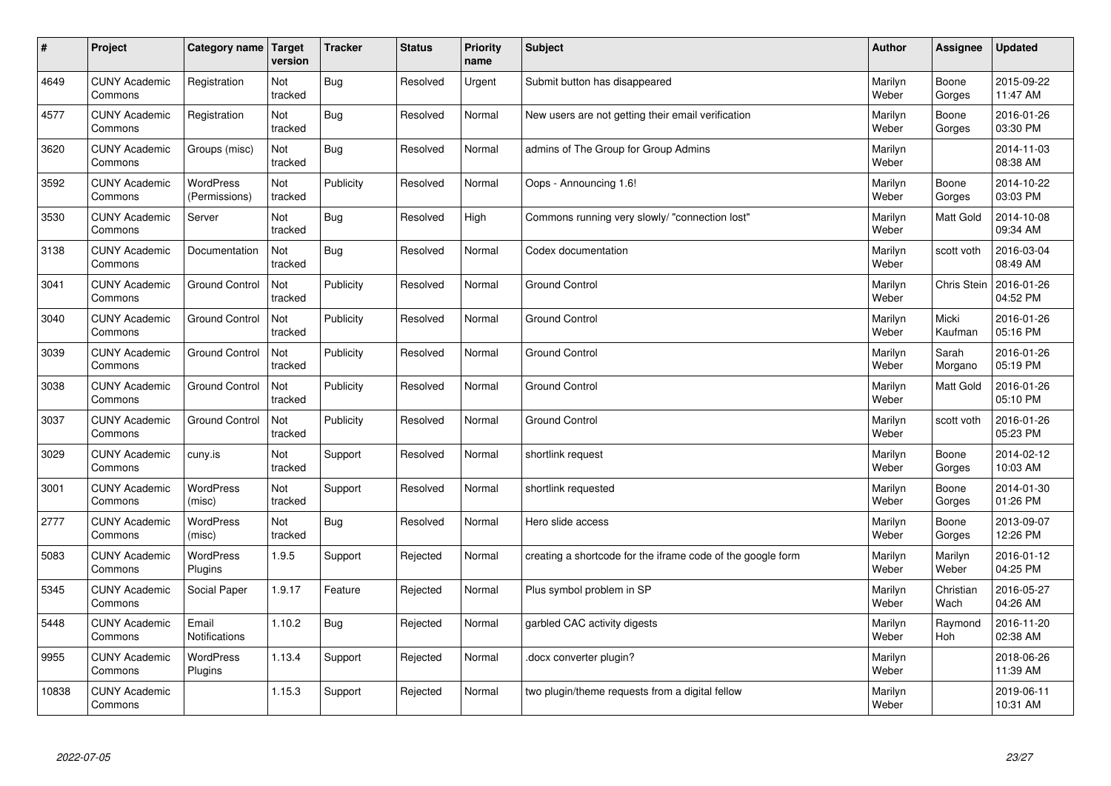| #     | Project                         | Category name   Target      | version        | <b>Tracker</b> | <b>Status</b> | Priority<br>name | <b>Subject</b>                                              | <b>Author</b>    | <b>Assignee</b>    | <b>Updated</b>         |
|-------|---------------------------------|-----------------------------|----------------|----------------|---------------|------------------|-------------------------------------------------------------|------------------|--------------------|------------------------|
| 4649  | <b>CUNY Academic</b><br>Commons | Registration                | Not<br>tracked | <b>Bug</b>     | Resolved      | Urgent           | Submit button has disappeared                               | Marilyn<br>Weber | Boone<br>Gorges    | 2015-09-22<br>11:47 AM |
| 4577  | <b>CUNY Academic</b><br>Commons | Registration                | Not<br>tracked | Bug            | Resolved      | Normal           | New users are not getting their email verification          | Marilyn<br>Weber | Boone<br>Gorges    | 2016-01-26<br>03:30 PM |
| 3620  | <b>CUNY Academic</b><br>Commons | Groups (misc)               | Not<br>tracked | Bug            | Resolved      | Normal           | admins of The Group for Group Admins                        | Marilyn<br>Weber |                    | 2014-11-03<br>08:38 AM |
| 3592  | <b>CUNY Academic</b><br>Commons | WordPress<br>(Permissions)  | Not<br>tracked | Publicity      | Resolved      | Normal           | Oops - Announcing 1.6!                                      | Marilyn<br>Weber | Boone<br>Gorges    | 2014-10-22<br>03:03 PM |
| 3530  | <b>CUNY Academic</b><br>Commons | Server                      | Not<br>tracked | Bug            | Resolved      | High             | Commons running very slowly/ "connection lost"              | Marilyn<br>Weber | <b>Matt Gold</b>   | 2014-10-08<br>09:34 AM |
| 3138  | <b>CUNY Academic</b><br>Commons | Documentation               | Not<br>tracked | Bug            | Resolved      | Normal           | Codex documentation                                         | Marilyn<br>Weber | scott voth         | 2016-03-04<br>08:49 AM |
| 3041  | <b>CUNY Academic</b><br>Commons | <b>Ground Control</b>       | Not<br>tracked | Publicity      | Resolved      | Normal           | Ground Control                                              | Marilyn<br>Weber | <b>Chris Stein</b> | 2016-01-26<br>04:52 PM |
| 3040  | <b>CUNY Academic</b><br>Commons | <b>Ground Control</b>       | Not<br>tracked | Publicity      | Resolved      | Normal           | Ground Control                                              | Marilyn<br>Weber | Micki<br>Kaufman   | 2016-01-26<br>05:16 PM |
| 3039  | <b>CUNY Academic</b><br>Commons | <b>Ground Control</b>       | Not<br>tracked | Publicity      | Resolved      | Normal           | <b>Ground Control</b>                                       | Marilyn<br>Weber | Sarah<br>Morgano   | 2016-01-26<br>05:19 PM |
| 3038  | <b>CUNY Academic</b><br>Commons | <b>Ground Control</b>       | Not<br>tracked | Publicity      | Resolved      | Normal           | <b>Ground Control</b>                                       | Marilyn<br>Weber | Matt Gold          | 2016-01-26<br>05:10 PM |
| 3037  | <b>CUNY Academic</b><br>Commons | <b>Ground Control</b>       | Not<br>tracked | Publicity      | Resolved      | Normal           | Ground Control                                              | Marilyn<br>Weber | scott voth         | 2016-01-26<br>05:23 PM |
| 3029  | <b>CUNY Academic</b><br>Commons | cuny.is                     | Not<br>tracked | Support        | Resolved      | Normal           | shortlink request                                           | Marilyn<br>Weber | Boone<br>Gorges    | 2014-02-12<br>10:03 AM |
| 3001  | <b>CUNY Academic</b><br>Commons | <b>WordPress</b><br>(misc)  | Not<br>tracked | Support        | Resolved      | Normal           | shortlink requested                                         | Marilyn<br>Weber | Boone<br>Gorges    | 2014-01-30<br>01:26 PM |
| 2777  | <b>CUNY Academic</b><br>Commons | WordPress<br>(misc)         | Not<br>tracked | Bug            | Resolved      | Normal           | Hero slide access                                           | Marilyn<br>Weber | Boone<br>Gorges    | 2013-09-07<br>12:26 PM |
| 5083  | <b>CUNY Academic</b><br>Commons | <b>WordPress</b><br>Plugins | 1.9.5          | Support        | Rejected      | Normal           | creating a shortcode for the iframe code of the google form | Marilyn<br>Weber | Marilyn<br>Weber   | 2016-01-12<br>04:25 PM |
| 5345  | <b>CUNY Academic</b><br>Commons | Social Paper                | 1.9.17         | Feature        | Rejected      | Normal           | Plus symbol problem in SP                                   | Marilyn<br>Weber | Christian<br>Wach  | 2016-05-27<br>04:26 AM |
| 5448  | <b>CUNY Academic</b><br>Commons | Email<br>Notifications      | 1.10.2         | Bug            | Rejected      | Normal           | garbled CAC activity digests                                | Marilyn<br>Weber | Raymond<br>Hoh     | 2016-11-20<br>02:38 AM |
| 9955  | <b>CUNY Academic</b><br>Commons | WordPress<br>Plugins        | 1.13.4         | Support        | Rejected      | Normal           | docx converter plugin?                                      | Marilyn<br>Weber |                    | 2018-06-26<br>11:39 AM |
| 10838 | <b>CUNY Academic</b><br>Commons |                             | 1.15.3         | Support        | Rejected      | Normal           | two plugin/theme requests from a digital fellow             | Marilyn<br>Weber |                    | 2019-06-11<br>10:31 AM |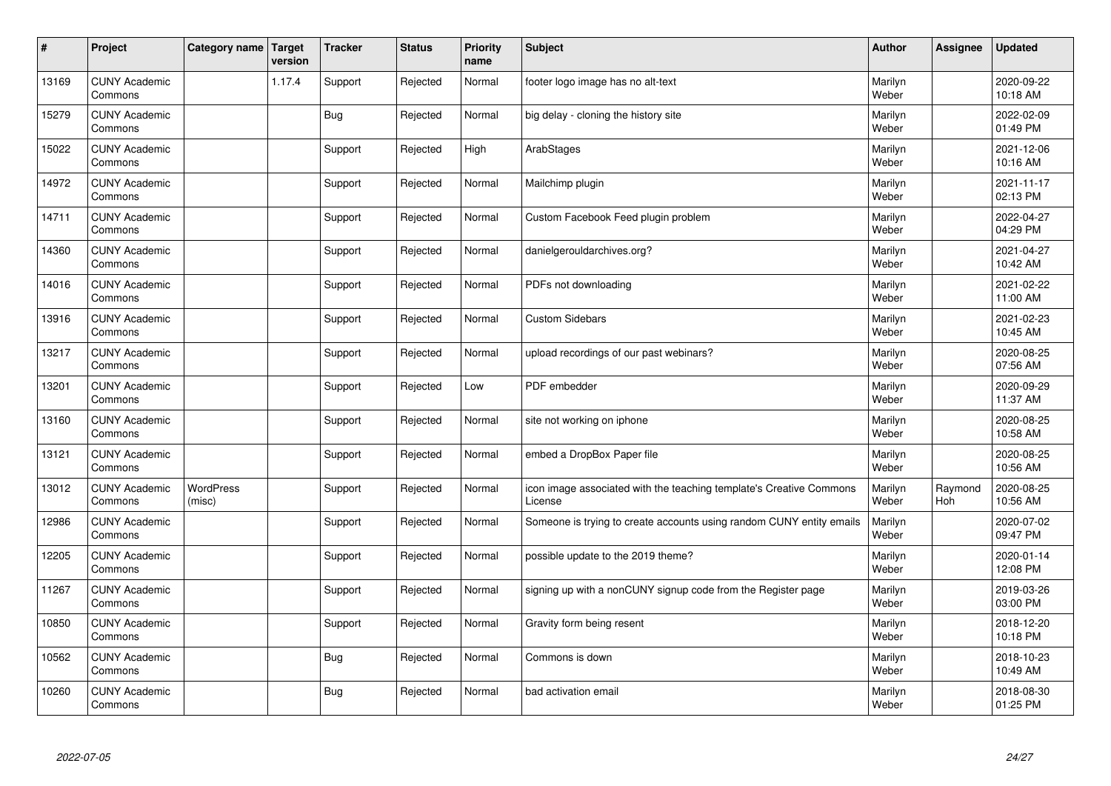| $\vert$ # | Project                         | Category name   Target     | version | <b>Tracker</b> | <b>Status</b> | <b>Priority</b><br>name | <b>Subject</b>                                                                 | <b>Author</b>    | <b>Assignee</b> | <b>Updated</b>         |
|-----------|---------------------------------|----------------------------|---------|----------------|---------------|-------------------------|--------------------------------------------------------------------------------|------------------|-----------------|------------------------|
| 13169     | <b>CUNY Academic</b><br>Commons |                            | 1.17.4  | Support        | Rejected      | Normal                  | footer logo image has no alt-text                                              | Marilyn<br>Weber |                 | 2020-09-22<br>10:18 AM |
| 15279     | <b>CUNY Academic</b><br>Commons |                            |         | <b>Bug</b>     | Rejected      | Normal                  | big delay - cloning the history site                                           | Marilyn<br>Weber |                 | 2022-02-09<br>01:49 PM |
| 15022     | <b>CUNY Academic</b><br>Commons |                            |         | Support        | Rejected      | High                    | ArabStages                                                                     | Marilyn<br>Weber |                 | 2021-12-06<br>10:16 AM |
| 14972     | <b>CUNY Academic</b><br>Commons |                            |         | Support        | Rejected      | Normal                  | Mailchimp plugin                                                               | Marilyn<br>Weber |                 | 2021-11-17<br>02:13 PM |
| 14711     | <b>CUNY Academic</b><br>Commons |                            |         | Support        | Rejected      | Normal                  | Custom Facebook Feed plugin problem                                            | Marilyn<br>Weber |                 | 2022-04-27<br>04:29 PM |
| 14360     | <b>CUNY Academic</b><br>Commons |                            |         | Support        | Rejected      | Normal                  | danielgerouldarchives.org?                                                     | Marilyn<br>Weber |                 | 2021-04-27<br>10:42 AM |
| 14016     | <b>CUNY Academic</b><br>Commons |                            |         | Support        | Rejected      | Normal                  | PDFs not downloading                                                           | Marilyn<br>Weber |                 | 2021-02-22<br>11:00 AM |
| 13916     | <b>CUNY Academic</b><br>Commons |                            |         | Support        | Rejected      | Normal                  | <b>Custom Sidebars</b>                                                         | Marilyn<br>Weber |                 | 2021-02-23<br>10:45 AM |
| 13217     | <b>CUNY Academic</b><br>Commons |                            |         | Support        | Rejected      | Normal                  | upload recordings of our past webinars?                                        | Marilyn<br>Weber |                 | 2020-08-25<br>07:56 AM |
| 13201     | <b>CUNY Academic</b><br>Commons |                            |         | Support        | Rejected      | Low                     | PDF embedder                                                                   | Marilyn<br>Weber |                 | 2020-09-29<br>11:37 AM |
| 13160     | <b>CUNY Academic</b><br>Commons |                            |         | Support        | Rejected      | Normal                  | site not working on iphone                                                     | Marilyn<br>Weber |                 | 2020-08-25<br>10:58 AM |
| 13121     | <b>CUNY Academic</b><br>Commons |                            |         | Support        | Rejected      | Normal                  | embed a DropBox Paper file                                                     | Marilyn<br>Weber |                 | 2020-08-25<br>10:56 AM |
| 13012     | <b>CUNY Academic</b><br>Commons | <b>WordPress</b><br>(misc) |         | Support        | Rejected      | Normal                  | icon image associated with the teaching template's Creative Commons<br>License | Marilyn<br>Weber | Raymond<br>Hoh  | 2020-08-25<br>10:56 AM |
| 12986     | <b>CUNY Academic</b><br>Commons |                            |         | Support        | Rejected      | Normal                  | Someone is trying to create accounts using random CUNY entity emails           | Marilyn<br>Weber |                 | 2020-07-02<br>09:47 PM |
| 12205     | <b>CUNY Academic</b><br>Commons |                            |         | Support        | Rejected      | Normal                  | possible update to the 2019 theme?                                             | Marilyn<br>Weber |                 | 2020-01-14<br>12:08 PM |
| 11267     | <b>CUNY Academic</b><br>Commons |                            |         | Support        | Rejected      | Normal                  | signing up with a nonCUNY signup code from the Register page                   | Marilyn<br>Weber |                 | 2019-03-26<br>03:00 PM |
| 10850     | <b>CUNY Academic</b><br>Commons |                            |         | Support        | Rejected      | Normal                  | Gravity form being resent                                                      | Marilyn<br>Weber |                 | 2018-12-20<br>10:18 PM |
| 10562     | <b>CUNY Academic</b><br>Commons |                            |         | Bug            | Rejected      | Normal                  | Commons is down                                                                | Marilyn<br>Weber |                 | 2018-10-23<br>10:49 AM |
| 10260     | <b>CUNY Academic</b><br>Commons |                            |         | Bug            | Rejected      | Normal                  | bad activation email                                                           | Marilyn<br>Weber |                 | 2018-08-30<br>01:25 PM |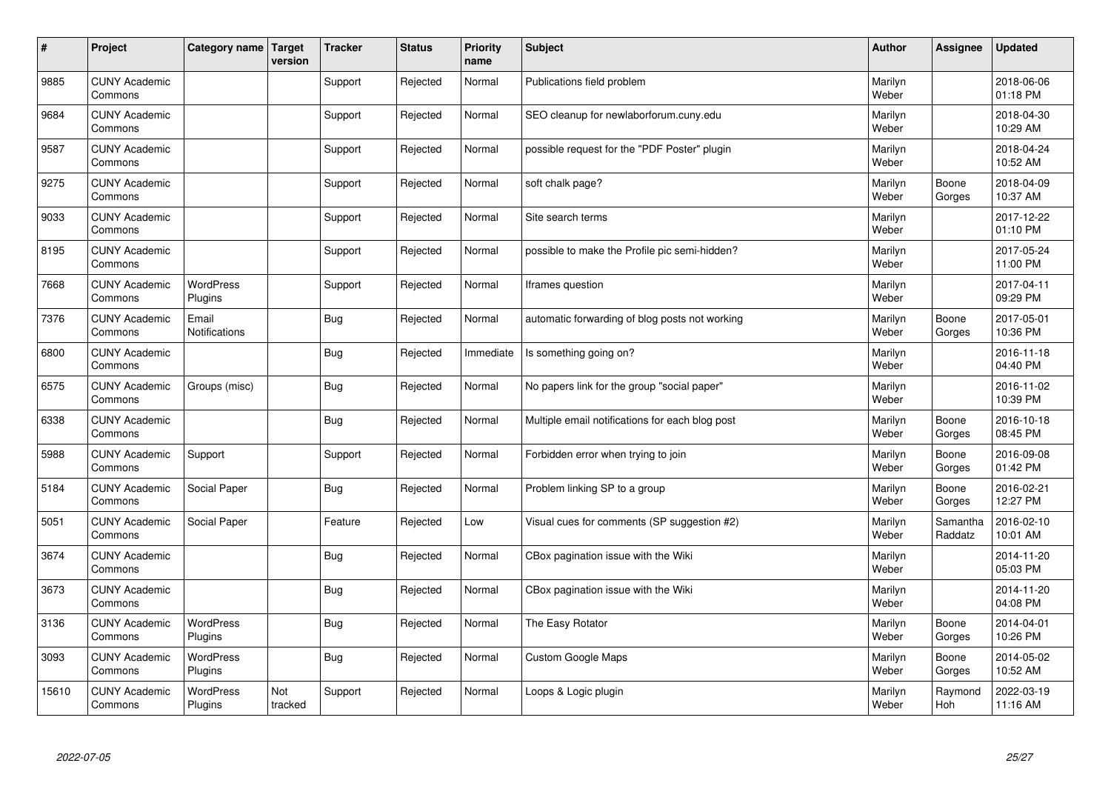| $\vert$ # | Project                         | Category name   Target      | version        | <b>Tracker</b> | <b>Status</b> | <b>Priority</b><br>name | <b>Subject</b>                                  | <b>Author</b>    | <b>Assignee</b>     | <b>Updated</b>         |
|-----------|---------------------------------|-----------------------------|----------------|----------------|---------------|-------------------------|-------------------------------------------------|------------------|---------------------|------------------------|
| 9885      | <b>CUNY Academic</b><br>Commons |                             |                | Support        | Rejected      | Normal                  | Publications field problem                      | Marilyn<br>Weber |                     | 2018-06-06<br>01:18 PM |
| 9684      | <b>CUNY Academic</b><br>Commons |                             |                | Support        | Rejected      | Normal                  | SEO cleanup for newlaborforum.cuny.edu          | Marilyn<br>Weber |                     | 2018-04-30<br>10:29 AM |
| 9587      | <b>CUNY Academic</b><br>Commons |                             |                | Support        | Rejected      | Normal                  | possible request for the "PDF Poster" plugin    | Marilyn<br>Weber |                     | 2018-04-24<br>10:52 AM |
| 9275      | <b>CUNY Academic</b><br>Commons |                             |                | Support        | Rejected      | Normal                  | soft chalk page?                                | Marilyn<br>Weber | Boone<br>Gorges     | 2018-04-09<br>10:37 AM |
| 9033      | <b>CUNY Academic</b><br>Commons |                             |                | Support        | Rejected      | Normal                  | Site search terms                               | Marilyn<br>Weber |                     | 2017-12-22<br>01:10 PM |
| 8195      | <b>CUNY Academic</b><br>Commons |                             |                | Support        | Rejected      | Normal                  | possible to make the Profile pic semi-hidden?   | Marilyn<br>Weber |                     | 2017-05-24<br>11:00 PM |
| 7668      | <b>CUNY Academic</b><br>Commons | <b>WordPress</b><br>Plugins |                | Support        | Rejected      | Normal                  | Iframes question                                | Marilyn<br>Weber |                     | 2017-04-11<br>09:29 PM |
| 7376      | <b>CUNY Academic</b><br>Commons | Email<br>Notifications      |                | Bug            | Rejected      | Normal                  | automatic forwarding of blog posts not working  | Marilyn<br>Weber | Boone<br>Gorges     | 2017-05-01<br>10:36 PM |
| 6800      | <b>CUNY Academic</b><br>Commons |                             |                | Bug            | Rejected      | Immediate               | Is something going on?                          | Marilyn<br>Weber |                     | 2016-11-18<br>04:40 PM |
| 6575      | <b>CUNY Academic</b><br>Commons | Groups (misc)               |                | Bug            | Rejected      | Normal                  | No papers link for the group "social paper"     | Marilyn<br>Weber |                     | 2016-11-02<br>10:39 PM |
| 6338      | <b>CUNY Academic</b><br>Commons |                             |                | <b>Bug</b>     | Rejected      | Normal                  | Multiple email notifications for each blog post | Marilyn<br>Weber | Boone<br>Gorges     | 2016-10-18<br>08:45 PM |
| 5988      | <b>CUNY Academic</b><br>Commons | Support                     |                | Support        | Rejected      | Normal                  | Forbidden error when trying to join             | Marilyn<br>Weber | Boone<br>Gorges     | 2016-09-08<br>01:42 PM |
| 5184      | <b>CUNY Academic</b><br>Commons | Social Paper                |                | <b>Bug</b>     | Rejected      | Normal                  | Problem linking SP to a group                   | Marilyn<br>Weber | Boone<br>Gorges     | 2016-02-21<br>12:27 PM |
| 5051      | <b>CUNY Academic</b><br>Commons | Social Paper                |                | Feature        | Rejected      | Low                     | Visual cues for comments (SP suggestion #2)     | Marilyn<br>Weber | Samantha<br>Raddatz | 2016-02-10<br>10:01 AM |
| 3674      | <b>CUNY Academic</b><br>Commons |                             |                | <b>Bug</b>     | Rejected      | Normal                  | CBox pagination issue with the Wiki             | Marilyn<br>Weber |                     | 2014-11-20<br>05:03 PM |
| 3673      | <b>CUNY Academic</b><br>Commons |                             |                | Bug            | Rejected      | Normal                  | CBox pagination issue with the Wiki             | Marilyn<br>Weber |                     | 2014-11-20<br>04:08 PM |
| 3136      | <b>CUNY Academic</b><br>Commons | <b>WordPress</b><br>Plugins |                | <b>Bug</b>     | Rejected      | Normal                  | The Easy Rotator                                | Marilyn<br>Weber | Boone<br>Gorges     | 2014-04-01<br>10:26 PM |
| 3093      | <b>CUNY Academic</b><br>Commons | WordPress<br>Plugins        |                | <b>Bug</b>     | Rejected      | Normal                  | <b>Custom Google Maps</b>                       | Marilyn<br>Weber | Boone<br>Gorges     | 2014-05-02<br>10:52 AM |
| 15610     | <b>CUNY Academic</b><br>Commons | <b>WordPress</b><br>Plugins | Not<br>tracked | Support        | Rejected      | Normal                  | Loops & Logic plugin                            | Marilyn<br>Weber | Raymond<br>Hoh      | 2022-03-19<br>11:16 AM |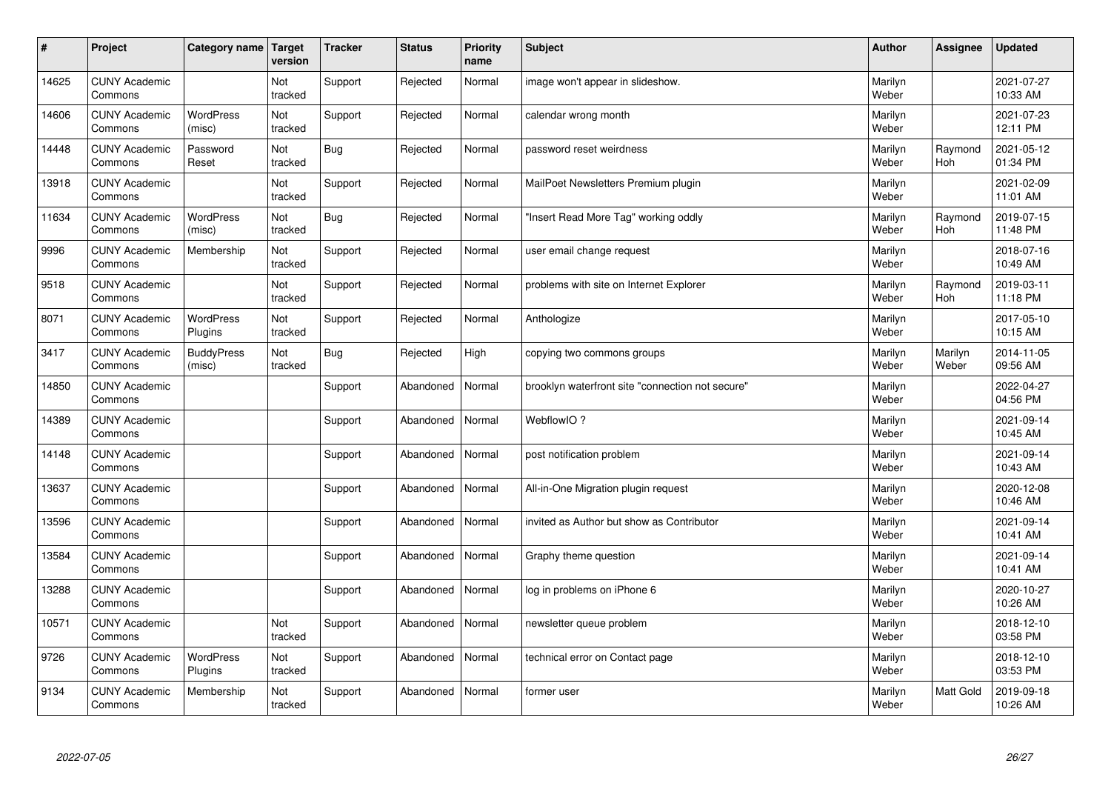| $\sharp$ | Project                         | Category name   Target      | version        | <b>Tracker</b> | <b>Status</b> | <b>Priority</b><br>name | <b>Subject</b>                                   | <b>Author</b>    | <b>Assignee</b>       | <b>Updated</b>         |
|----------|---------------------------------|-----------------------------|----------------|----------------|---------------|-------------------------|--------------------------------------------------|------------------|-----------------------|------------------------|
| 14625    | <b>CUNY Academic</b><br>Commons |                             | Not<br>tracked | Support        | Rejected      | Normal                  | image won't appear in slideshow.                 | Marilyn<br>Weber |                       | 2021-07-27<br>10:33 AM |
| 14606    | <b>CUNY Academic</b><br>Commons | <b>WordPress</b><br>(misc)  | Not<br>tracked | Support        | Rejected      | Normal                  | calendar wrong month                             | Marilyn<br>Weber |                       | 2021-07-23<br>12:11 PM |
| 14448    | <b>CUNY Academic</b><br>Commons | Password<br>Reset           | Not<br>tracked | Bug            | Rejected      | Normal                  | password reset weirdness                         | Marilyn<br>Weber | Raymond<br><b>Hoh</b> | 2021-05-12<br>01:34 PM |
| 13918    | <b>CUNY Academic</b><br>Commons |                             | Not<br>tracked | Support        | Rejected      | Normal                  | MailPoet Newsletters Premium plugin              | Marilyn<br>Weber |                       | 2021-02-09<br>11:01 AM |
| 11634    | <b>CUNY Academic</b><br>Commons | <b>WordPress</b><br>(misc)  | Not<br>tracked | Bug            | Rejected      | Normal                  | "Insert Read More Tag" working oddly             | Marilyn<br>Weber | Raymond<br>Hoh        | 2019-07-15<br>11:48 PM |
| 9996     | <b>CUNY Academic</b><br>Commons | Membership                  | Not<br>tracked | Support        | Rejected      | Normal                  | user email change request                        | Marilyn<br>Weber |                       | 2018-07-16<br>10:49 AM |
| 9518     | <b>CUNY Academic</b><br>Commons |                             | Not<br>tracked | Support        | Rejected      | Normal                  | problems with site on Internet Explorer          | Marilyn<br>Weber | Raymond<br>Hoh        | 2019-03-11<br>11:18 PM |
| 8071     | <b>CUNY Academic</b><br>Commons | <b>WordPress</b><br>Plugins | Not<br>tracked | Support        | Rejected      | Normal                  | Anthologize                                      | Marilyn<br>Weber |                       | 2017-05-10<br>10:15 AM |
| 3417     | <b>CUNY Academic</b><br>Commons | <b>BuddyPress</b><br>(misc) | Not<br>tracked | Bug            | Rejected      | High                    | copying two commons groups                       | Marilyn<br>Weber | Marilyn<br>Weber      | 2014-11-05<br>09:56 AM |
| 14850    | <b>CUNY Academic</b><br>Commons |                             |                | Support        | Abandoned     | Normal                  | brooklyn waterfront site "connection not secure" | Marilyn<br>Weber |                       | 2022-04-27<br>04:56 PM |
| 14389    | <b>CUNY Academic</b><br>Commons |                             |                | Support        | Abandoned     | Normal                  | WebflowIO?                                       | Marilyn<br>Weber |                       | 2021-09-14<br>10:45 AM |
| 14148    | <b>CUNY Academic</b><br>Commons |                             |                | Support        | Abandoned     | Normal                  | post notification problem                        | Marilyn<br>Weber |                       | 2021-09-14<br>10:43 AM |
| 13637    | <b>CUNY Academic</b><br>Commons |                             |                | Support        | Abandoned     | Normal                  | All-in-One Migration plugin request              | Marilyn<br>Weber |                       | 2020-12-08<br>10:46 AM |
| 13596    | <b>CUNY Academic</b><br>Commons |                             |                | Support        | Abandoned     | Normal                  | invited as Author but show as Contributor        | Marilyn<br>Weber |                       | 2021-09-14<br>10:41 AM |
| 13584    | <b>CUNY Academic</b><br>Commons |                             |                | Support        | Abandoned     | Normal                  | Graphy theme question                            | Marilyn<br>Weber |                       | 2021-09-14<br>10:41 AM |
| 13288    | <b>CUNY Academic</b><br>Commons |                             |                | Support        | Abandoned     | Normal                  | log in problems on iPhone 6                      | Marilyn<br>Weber |                       | 2020-10-27<br>10:26 AM |
| 10571    | <b>CUNY Academic</b><br>Commons |                             | Not<br>tracked | Support        | Abandoned     | Normal                  | newsletter queue problem                         | Marilyn<br>Weber |                       | 2018-12-10<br>03:58 PM |
| 9726     | <b>CUNY Academic</b><br>Commons | <b>WordPress</b><br>Plugins | Not<br>tracked | Support        | Abandoned     | Normal                  | technical error on Contact page                  | Marilyn<br>Weber |                       | 2018-12-10<br>03:53 PM |
| 9134     | <b>CUNY Academic</b><br>Commons | Membership                  | Not<br>tracked | Support        | Abandoned     | Normal                  | former user                                      | Marilyn<br>Weber | <b>Matt Gold</b>      | 2019-09-18<br>10:26 AM |